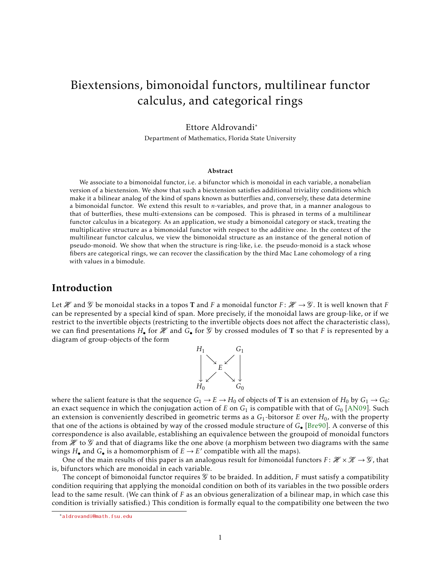# <span id="page-0-1"></span>Biextensions, bimonoidal functors, multilinear functor calculus, and categorical rings

### Ettore Aldrovandi\*

Department of Mathematics, Florida State University

#### Abstract

We associate to a bimonoidal functor, i.e. a bifunctor which is monoidal in each variable, a nonabelian version of a biextension. We show that such a biextension satisfies additional triviality conditions which make it a bilinear analog of the kind of spans known as butterflies and, conversely, these data determine a bimonoidal functor. We extend this result to *n*-variables, and prove that, in a manner analogous to that of butterflies, these multi-extensions can be composed. This is phrased in terms of a multilinear functor calculus in a bicategory. As an application, we study a bimonoidal category or stack, treating the multiplicative structure as a bimonoidal functor with respect to the additive one. In the context of the multilinear functor calculus, we view the bimonoidal structure as an instance of the general notion of pseudo-monoid. We show that when the structure is ring-like, i.e. the pseudo-monoid is a stack whose fibers are categorical rings, we can recover the classification by the third Mac Lane cohomology of a ring with values in a bimodule.

## <span id="page-0-0"></span>Introduction

Let H and G be monoidal stacks in a topos T and *F* a monoidal functor  $F: \mathcal{H} \to \mathcal{G}$ . It is well known that *F* can be represented by a special kind of span. More precisely, if the monoidal laws are group-like, or if we restrict to the invertible objects (restricting to the invertible objects does not affect the characteristic class), we can find presentations  $H_\bullet$  for  $\mathscr H$  and  $G_\bullet$  for  $\mathscr G$  by crossed modules of  $\mathtt T$  so that  $F$  is represented by a diagram of group-objects of the form



where the salient feature is that the sequence  $G_1 \to E \to H_0$  of objects of **T** is an extension of  $H_0$  by  $G_1 \to G_0$ : an exact sequence in which the conjugation action of *E* on *G*<sub>1</sub> is compatible with that of *G*<sub>0</sub> [\[AN09\]](#page-57-0). Such an extension is conveniently described in geometric terms as a *G*1-bitorsor *E* over *H*0, with the property that one of the actions is obtained by way of the crossed module structure of *G*• [\[Bre90\]](#page-58-0). A converse of this correspondence is also available, establishing an equivalence between the groupoid of monoidal functors from  $\mathcal H$  to  $\mathcal G$  and that of diagrams like the one above (a morphism between two diagrams with the same wings  $H_{\bullet}$  and  $G_{\bullet}$  is a homomorphism of  $E \to E'$  compatible with all the maps).

One of the main results of this paper is an analogous result for *bimonoidal* functors  $F: \mathcal{H} \times \mathcal{H} \to \mathcal{G}$ , that is, bifunctors which are monoidal in each variable.

The concept of bimonoidal functor requires  $\mathcal G$  to be braided. In addition, *F* must satisfy a compatibility condition requiring that applying the monoidal condition on both of its variables in the two possible orders lead to the same result. (We can think of *F* as an obvious generalization of a bilinear map, in which case this condition is trivially satisfied.) This condition is formally equal to the compatibility one between the two

<sup>\*</sup><aldrovandi@math.fsu.edu>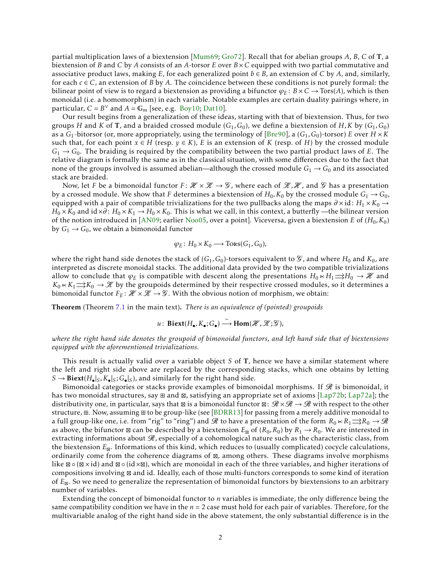<span id="page-1-0"></span>partial multiplication laws of a biextension [\[Mum69;](#page-59-0) [Gro72\]](#page-59-1). Recall that for abelian groups *A*, *B*, *C* of T, a biextension of *B* and *C* by *A* consists of an *A*-torsor *E* over *B*×*C* equipped with two partial commutative and associative product laws, making *E*, for each generalized point  $b \in B$ , an extension of *C* by *A*, and, similarly, for each  $c \in C$ , an extension of *B* by *A*. The coincidence between these conditions is not purely formal: the bilinear point of view is to regard a biextension as providing a bifunctor  $\varphi_E : B \times C \to \text{Tors}(A)$ , which is then monoidal (i.e. a homomorphism) in each variable. Notable examples are certain duality pairings where, in particular,  $C = B^{\vee}$  and  $A = \mathbb{G}_m$  [see, e.g. [Boy10;](#page-58-1) [Dat10\]](#page-58-2).

Our result begins from a generalization of these ideas, starting with that of biextension. Thus, for two groups *H* and *K* of **T**, and a braided crossed module ( $G_1$ ,  $G_0$ ), we define a biextension of *H*, *K* by ( $G_1$ ,  $G_0$ ) as a  $G_1$ -bitorsor (or, more appropriately, using the terminology of [\[Bre90\]](#page-58-0), a  $(G_1, G_0)$ -torsor) *E* over  $H \times K$ such that, for each point  $x \in H$  (resp.  $y \in K$ ), *E* is an extension of *K* (resp. of *H*) by the crossed module  $G_1 \rightarrow G_0$ . The braiding is required by the compatibility between the two partial product laws of *E*. The relative diagram is formally the same as in the classical situation, with some differences due to the fact that none of the groups involved is assumed abelian—although the crossed module  $G_1 \rightarrow G_0$  and its associated stack are braided.

Now, let *F* be a bimonoidal functor  $F: \mathcal{H} \times \mathcal{H} \to \mathcal{G}$ , where each of  $\mathcal{H}, \mathcal{H}$ , and  $\mathcal{G}$  has a presentation by a crossed module. We show that *F* determines a biextension of  $H_0$ ,  $K_0$  by the crossed module  $G_1 \rightarrow G_0$ , equipped with a pair of compatible trivializations for the two pullbacks along the maps *∂* × id: *H*<sup>1</sup> ×*K*<sup>0</sup> →  $H_0 \times K_0$  and id $\times \partial$ :  $H_0 \times K_1 \to H_0 \times K_0$ . This is what we call, in this context, a butterfly —the bilinear version of the notion introduced in [\[AN09;](#page-57-0) earlier [Noo05,](#page-59-2) over a point]. Viceversa, given a biextension *E* of (*H*0*,K*0) by  $G_1 \rightarrow G_0$ , we obtain a bimonoidal functor

$$
\varphi_E \colon H_0 \times K_0 \longrightarrow \text{Tors}(G_1, G_0),
$$

where the right hand side denotes the stack of  $(G_1, G_0)$ -torsors equivalent to  $\mathcal G$ , and where  $H_0$  and  $K_0$ , are interpreted as discrete monoidal stacks. The additional data provided by the two compatible trivializations allow to conclude that  $\varphi_E$  is compatible with descent along the presentations  $H_0 \ltimes H_1 \rightrightarrows H_0 \to \mathscr{H}$  and  $K_0 \ltimes K_1 \Longrightarrow K_0 \to \mathcal{K}$  by the groupoids determined by their respective crossed modules, so it determines a bimonoidal functor  $F_E: \mathcal{H} \times \mathcal{H} \to \mathcal{G}$ . With the obvious notion of morphism, we obtain:

Theorem (Theorem [7.1](#page-20-0) in the main text). *There is an equivalence of (pointed) groupoids*

$$
u: \mathbf{Bicxt}(H_{\bullet}, K_{\bullet}; G_{\bullet}) \stackrel{\sim}{\longrightarrow} \mathbf{Hom}(\mathscr{H}, \mathscr{K}; \mathscr{G}),
$$

*where the right hand side denotes the groupoid of bimonoidal functors, and left hand side that of biextensions equipped with the aforementioned trivializations.*

This result is actually valid over a variable object *S* of T, hence we have a similar statement where the left and right side above are replaced by the corresponding stacks, which one obtains by letting  $S \to \text{Biext}(H_{\bullet}|_S, K_{\bullet}|_S; G_{\bullet}|_S)$ , and similarly for the right hand side.

Bimonoidal categories or stacks provide examples of bimonoidal morphisms. If  $\mathscr R$  is bimonoidal, it has two monoidal structures, say  $\boxplus$  and  $\boxtimes$ , satisfying an appropriate set of axioms [\[Lap72b;](#page-59-3) [Lap72a\]](#page-59-4); the distributivity one, in particular, says that  $\boxtimes$  is a bimonoidal functor  $\boxtimes\colon\mathscr{R}\times\mathscr{R}\to\mathscr{R}$  with respect to the other structure,  $\pm$ . Now, assuming  $\pm$  to be group-like (see [\[BDRR13\]](#page-57-1) for passing from a merely additive monoidal to a full group-like one, i.e. from "rig" to "ring") and  $\mathscr R$  to have a presentation of the form  $R_0\ltimes R_1$   $\Longrightarrow$   $R_0\to \mathscr R$ as above, the bifunctor  $\boxtimes$  can be described by a biextension  $E_\boxtimes$  of  $(R_0,R_0)$  by  $R_1\to R_0.$  We are interested in extracting informations about  $\mathscr R$ , especially of a cohomological nature such as the characteristic class, from the biextension  $E_{\boxtimes}$ . Informations of this kind, which reduces to (usually complicated) cocycle calculations, ordinarily come from the coherence diagrams of  $\boxtimes$ , among others. These diagrams involve morphisms like  $\boxtimes \circ (\boxtimes \times \text{id})$  and  $\boxtimes \circ (\text{id} \times \boxtimes)$ , which are monoidal in each of the three variables, and higher iterations of compositions involving  $\boxtimes$  and id. Ideally, each of those multi-functors corresponds to some kind of iteration of  $E_{\rm g}$ . So we need to generalize the representation of bimonoidal functors by biextensions to an arbitrary number of variables.

Extending the concept of bimonoidal functor to *n* variables is immediate, the only difference being the same compatibility condition we have in the *n* = 2 case must hold for each pair of variables. Therefore, for the multivariable analog of the right hand side in the above statement, the only substantial difference is in the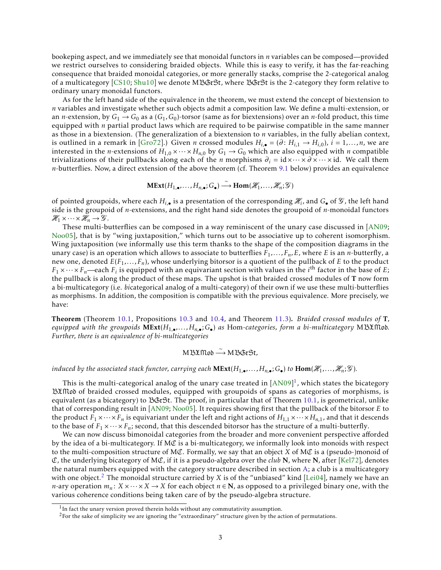<span id="page-2-2"></span>bookeping aspect, and we immediately see that monoidal functors in *n* variables can be composed—provided we restrict ourselves to considering braided objects. While this is easy to verify, it has the far-reaching consequence that braided monoidal categories, or more generally stacks, comprise the 2-categorical analog of a multicategory [\[CS10;](#page-58-3) [Shu10\]](#page-60-0) we denote MBGrSt, where BGrSt is the 2-category they form relative to ordinary unary monoidal functors.

As for the left hand side of the equivalence in the theorem, we must extend the concept of biextension to *n* variables and investigate whether such objects admit a composition law. We define a multi-extension, or an *n*-extension, by  $G_1 \rightarrow G_0$  as a  $(G_1, G_0)$ -torsor (same as for biextensions) over an *n*-fold product, this time equipped with *n* partial product laws which are required to be pairwise compatible in the same manner as those in a biextension. (The generalization of a biextension to *n* variables, in the fully abelian context, is outlined in a remark in [\[Gro72\]](#page-59-1).) Given *n* crossed modules  $H_{i_{\bullet}} = (\partial : H_{i,1} \to H_{i,0}), i = 1,...,n$ , we are interested in the *n*-extensions of  $H_{1,0} \times \cdots \times H_{n,0}$  by  $G_1 \to G_0$  which are also equipped with *n* compatible trivializations of their pullbacks along each of the *n* morphisms  $\partial_i = \text{id} \times \cdots \times \partial \times \cdots \times \text{id}$ . We call them *n*-butterflies. Now, a direct extension of the above theorem (cf. Theorem [9.1](#page-25-0) below) provides an equivalence

$$
\mathbf{MExt}(H_{1,\bullet},\ldots,H_{n,\bullet};G_{\bullet}) \stackrel{\sim}{\longrightarrow} \mathbf{Hom}(\mathcal{H}_1,\ldots,\mathcal{H}_n;\mathcal{G})
$$

of pointed groupoids, where each  $H_{i,\bullet}$  is a presentation of the corresponding  $\mathscr{H}_i$ , and  $G_\bullet$  of  $\mathscr{G}$ , the left hand side is the groupoid of *n*-extensions, and the right hand side denotes the groupoid of *n*-monoidal functors  $\mathcal{H}_1 \times \cdots \times \mathcal{H}_n \to \mathcal{G}$ .

These multi-butterflies can be composed in a way reminiscent of the unary case discussed in [\[AN09;](#page-57-0) [Noo05\]](#page-59-2), that is by "wing juxtaposition," which turns out to be associative up to coherent isomorphism. Wing juxtaposition (we informally use this term thanks to the shape of the composition diagrams in the unary case) is an operation which allows to associate to butterflies  $F_1$ ,..., $F_n$ , $E$ , where  $E$  is an *n*-butterfly, a new one, denoted *E*(*F*1*,...,Fn*), whose underlying bitorsor is a quotient of the pullback of *E* to the product  $F_1 \times \cdots \times F_n$ —each  $F_i$  is equipped with an equivariant section with values in the *i*<sup>th</sup> factor in the base of *E*; the pullback is along the product of these maps. The upshot is that braided crossed modules of T now form a bi-multicategory (i.e. *bi*categorical analog of a multi-category) of their own if we use these multi-butterflies as morphisms. In addition, the composition is compatible with the previous equivalence. More precisely, we have:

Theorem (Theorem [10.1,](#page-26-0) Propositions [10.3](#page-29-0) and [10.4,](#page-29-1) and Theorem [11.3\)](#page-30-0). *Braided crossed modules of* T*, equipped with the groupoids* MExt(*H*1*,*• *,...,Hn,*• ;*G*• ) *as* Hom*-categories, form a bi-multicategory* MBXMod*. Further, there is an equivalence of bi-multicategories*

$$
M\mathfrak{B}\mathfrak{XMO} \stackrel{\sim}{\longrightarrow} M\mathfrak{BGrSt},
$$

induced by the associated stack functor, carrying each  $\mathbf{MExt}(H_{1,\bullet},\ldots,H_{n,\bullet};G_\bullet)$  to  $\mathbf{Hom}(\mathscr{H}_1,\ldots,\mathscr{H}_n;\mathscr{G}).$ 

This is the multi-categorical analog of the unary case treated in  $[{\rm AN09}]^1$  $[{\rm AN09}]^1$ , which states the bicategory BXMod of braided crossed modules, equipped with groupoids of spans as categories of morphisms, is equivalent (as a bicategory) to BGrSt. The proof, in particular that of Theorem [10.1,](#page-26-0) is geometrical, unlike that of corresponding result in [\[AN09;](#page-57-0) [Noo05\]](#page-59-2). It requires showing first that the pullback of the bitorsor *E* to the product  $F_1 \times \cdots \times F_n$  is equivariant under the left and right actions of  $H_{1,1} \times \cdots \times H_{n,1}$ , and that it descends to the base of  $F_1 \times \cdots \times F_n$ ; second, that this descended bitorsor has the structure of a multi-butterfly.

We can now discuss bimonoidal categories from the broader and more convenient perspective afforded by the idea of a bi-multicategory. If MC is a bi-multicategory, we informally look into monoids with respect to the multi-composition structure of MC. Formally, we say that an object *X* of MC is a (pseudo-)monoid of  $\mathcal{C}$ , the underlying bicategory of M $\mathcal{C}$ , if it is a pseudo-algebra over the *club* N, where N, after [\[Kel72\]](#page-59-5), denotes the natural numbers equipped with the category structure described in section [A;](#page-45-0) a club is a multicategory with one object.<sup>[2](#page-2-1)</sup> The monoidal structure carried by *X* is of the "unbiased" kind [\[Lei04\]](#page-59-6), namely we have an *n*-ary operation  $m_n$ :  $X \times \cdots \times X \to X$  for each object  $n \in \mathbb{N}$ , as opposed to a privileged binary one, with the various coherence conditions being taken care of by the pseudo-algebra structure.

<span id="page-2-0"></span> $<sup>1</sup>$ In fact the unary version proved therein holds without any commutativity assumption.</sup>

<span id="page-2-1"></span> ${}^{2}$ For the sake of simplicity we are ignoring the "extraordinary" structure given by the action of permutations.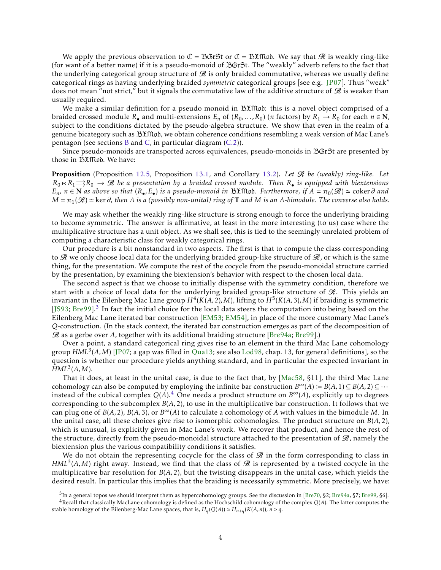<span id="page-3-2"></span>We apply the previous observation to  $\mathcal{C} = \mathcal{B} \mathcal{A} \mathcal{B}$  or  $\mathcal{C} = \mathcal{B} \mathcal{X} \mathcal{A} \mathcal{A}$  We say that  $\mathcal{R}$  is weakly ring-like (for want of a better name) if it is a pseudo-monoid of BGrSt. The "weakly" adverb refers to the fact that the underlying categorical group structure of  $\mathscr B$  is only braided commutative, whereas we usually define categorical rings as having underlying braided *symmetric* categorical groups [see e.g. [JP07\]](#page-59-7). Thus "weak" does not mean "not strict," but it signals the commutative law of the additive structure of  $\mathscr B$  is weaker than usually required.

We make a similar definition for a pseudo monoid in BXMob: this is a novel object comprised of a braided crossed module  $R_{\bullet}$  and multi-extensions  $E_n$  of  $(R_0, \ldots, R_0)$  (*n* factors) by  $R_1 \to R_0$  for each  $n \in \mathbb{N}$ , subject to the conditions dictated by the pseudo-algebra structure. We show that even in the realm of a genuine bicategory such as BXMod, we obtain coherence conditions resembling a weak version of Mac Lane's pentagon (see sections  $B$  and  $C$ , in particular diagram  $(C.2)$ ).

Since pseudo-monoids are transported across equivalences, pseudo-monoids in BGrSt are presented by those in BXMod. We have:

Proposition (Proposition [12.5,](#page-32-0) Proposition [13.1,](#page-34-0) and Corollary [13.2\)](#page-34-1). *Let* R *be (weakly) ring-like. Let*  $R_0 \times R_1 \Longrightarrow R_0 \to \mathscr{R}$  be a presentation by a braided crossed module. Then  $R_{\bullet}$  is equipped with biextensions  $E_n$ ,  $n \in \mathbb{N}$  *as above so that*  $(R_\bullet, E_\bullet)$  *is a pseudo-monoid in* BXMob. Furthermore, if  $A = \pi_0(\mathscr{R}) \simeq \text{coker } \partial$  *and*  $M = \pi_1(\mathcal{R}) \simeq \ker \partial$ , then A is a (possibly non-unital) ring of **T** and M is an A-bimodule. The converse also holds.

We may ask whether the weakly ring-like structure is strong enough to force the underlying braiding to become symmetric. The answer is affirmative, at least in the more interesting (to us) case where the multiplicative structure has a unit object. As we shall see, this is tied to the seemingly unrelated problem of computing a characteristic class for weakly categorical rings.

Our procedure is a bit nonstandard in two aspects. The first is that to compute the class corresponding to  $\mathscr R$  we only choose local data for the underlying braided group-like structure of  $\mathscr R$ , or which is the same thing, for the presentation. We compute the rest of the cocycle from the pseudo-monoidal structure carried by the presentation, by examining the biextension's behavior with respect to the chosen local data.

The second aspect is that we choose to initially dispense with the symmetry condition, therefore we start with a choice of local data for the underlying braided group-like structure of  $\mathscr R$ . This yields an invariant in the Eilenberg Mac Lane group  $H^4(K(A,2),M)$ , lifting to  $H^5(K(A,3),M)$  if braiding is symmetric [\[JS93;](#page-59-8) [Bre99\]](#page-58-4).<sup>[3](#page-3-0)</sup> In fact the initial choice for the local data steers the computation into being based on the Eilenberg Mac Lane iterated bar construction [\[EM53;](#page-58-5) [EM54\]](#page-58-6), in place of the more customary Mac Lane's *Q*-construction. (In the stack context, the iterated bar construction emerges as part of the decomposition of R as a gerbe over *A*, together with its additional braiding structure [\[Bre94a;](#page-58-7) [Bre99\]](#page-58-4).)

Over a point, a standard categorical ring gives rise to an element in the third Mac Lane cohomology group *HML*<sup>3</sup> (*A,M*) [\[JP07;](#page-59-7) a gap was filled in [Qua13;](#page-59-9) see also [Lod98,](#page-59-10) chap. 13, for general definitions], so the question is whether our procedure yields anything standard, and in particular the expected invariant in *HML*<sup>3</sup> (*A,M*).

That it does, at least in the unital case, is due to the fact that, by [\[Mac58,](#page-59-11) §11], the third Mac Lane cohomology can also be computed by employing the infinite bar construction  $B^{\infty}(A) := B(A,1) \subseteq B(A,2) \subseteq \cdots$ instead of the cubical complex  $Q(A)$ .<sup>[4](#page-3-1)</sup> One needs a product structure on  $B^{\infty}(A)$ , explicitly up to degrees corresponding to the subcomplex *B*(*A,*2), to use in the multiplicative bar construction. It follows that we can plug one of *B*(*A,*2), *B*(*A,*3), or *B* <sup>∞</sup>(*A*) to calculate a cohomology of *A* with values in the bimodule *M*. In the unital case, all these choices give rise to isomorphic cohomologies. The product structure on *B*(*A,*2), which is unusual, is explicitly given in Mac Lane's work. We recover that product, and hence the rest of the structure, directly from the pseudo-monoidal structure attached to the presentation of  $\mathcal{R}$ , namely the biextension plus the various compatibility conditions it satisfies.

We do not obtain the representing cocycle for the class of  $\mathcal R$  in the form corresponding to class in  $HML<sup>3</sup>(A, M)$  right away. Instead, we find that the class of  $\mathscr R$  is represented by a twisted cocycle in the multiplicative bar resolution for *B*(*A,*2), but the twisting disappears in the unital case, which yields the desired result. In particular this implies that the braiding is necessarily symmetric. More precisely, we have:

<span id="page-3-1"></span><span id="page-3-0"></span> $^3$ In a general topos we should interpret them as hypercohomology groups. See the discussion in [\[Bre70,](#page-58-8) §2; [Bre94a,](#page-58-7) §7; [Bre99,](#page-58-4) §6].

<sup>4</sup>Recall that classically MacLane cohomology is defined as the Hochschild cohomology of the complex ˜ *Q*(*A*). The latter computes the stable homology of the Eilenberg-Mac Lane spaces, that is,  $H_q(Q(A)) \simeq H_{n+q}(K(A,n))$ ,  $n > q$ .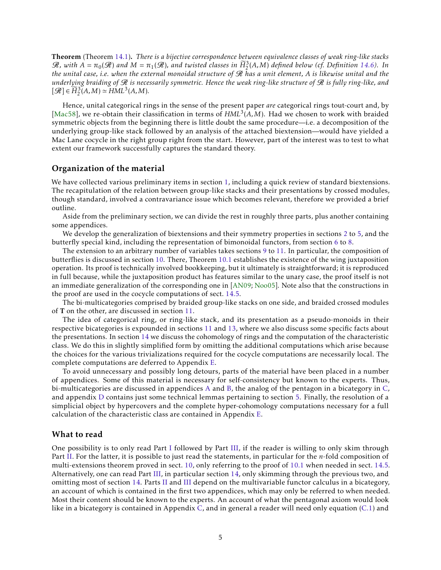<span id="page-4-0"></span>Theorem (Theorem [14.1\)](#page-36-0). *There is a bijective correspondence between equivalence classes of weak ring-like stacks*  $\mathscr{R}$ *, with*  $A = \pi_0(\mathscr{R})$  and  $M = \pi_1(\mathscr{R})$ *, and twisted classes in*  $\widetilde{H}_2^3(A,M)$  *defined below (cf. Definition [14.6\)](#page-39-0). In the unital case, i.e. when the external monoidal structure of* R *has a unit element, A is likewise unital and the underlying braiding of* R *is necessarily symmetric. Hence the weak ring-like structure of* R *is fully ring-like, and*  $[\mathscr{R}] \in \widetilde{H}_2^3(A,M) \simeq \text{HML}^3(A,M).$ 

Hence, unital categorical rings in the sense of the present paper *are* categorical rings tout-court and, by [\[Mac58\]](#page-59-11), we re-obtain their classification in terms of  $HML<sup>3</sup>(A, M)$ . Had we chosen to work with braided symmetric objects from the beginning there is little doubt the same procedure—i.e. a decomposition of the underlying group-like stack followed by an analysis of the attached biextension—would have yielded a Mac Lane cocycle in the right group right from the start. However, part of the interest was to test to what extent our framework successfully captures the standard theory.

#### Organization of the material

We have collected various preliminary items in section [1,](#page-6-0) including a quick review of standard biextensions. The recapitulation of the relation between group-like stacks and their presentations by crossed modules, though standard, involved a contravariance issue which becomes relevant, therefore we provided a brief outline.

Aside from the preliminary section, we can divide the rest in roughly three parts, plus another containing some appendices.

We develop the generalization of biextensions and their symmetry properties in sections [2](#page-10-0) to [5,](#page-16-0) and the butterfly special kind, including the representation of bimonoidal functors, from section [6](#page-18-0) to [8.](#page-23-0)

The extension to an arbitrary number of variables takes sections [9](#page-25-1) to [11.](#page-30-1) In particular, the composition of butterflies is discussed in section [10.](#page-26-1) There, Theorem [10.1](#page-26-0) establishes the existence of the wing juxtaposition operation. Its proof is technically involved bookkeeping, but it ultimately is straightforward; it is reproduced in full because, while the juxtaposition product has features similar to the unary case, the proof itself is not an immediate generalization of the corresponding one in [\[AN09;](#page-57-0) [Noo05\]](#page-59-2). Note also that the constructions in the proof are used in the cocycle computations of sect. [14.5.](#page-41-0)

The bi-multicategories comprised by braided group-like stacks on one side, and braided crossed modules of T on the other, are discussed in section [11.](#page-30-1)

The idea of categorical ring, or ring-like stack, and its presentation as a pseudo-monoids in their respective bicategories is expounded in sections [11](#page-30-1) and [13,](#page-33-0) where we also discuss some specific facts about the presentations. In section [14](#page-36-1) we discuss the cohomology of rings and the computation of the characteristic class. We do this in slightly simplified form by omitting the additional computations which arise because the choices for the various trivializations required for the cocycle computations are necessarily local. The complete computations are deferred to Appendix [E.](#page-54-0)

To avoid unnecessary and possibly long detours, parts of the material have been placed in a number of appendices. Some of this material is necessary for self-consistency but known to the experts. Thus, bi-multicategories are discussed in appendices [A](#page-45-0) and [B,](#page-47-0) the analog of the pentagon in a bicategory in [C,](#page-49-0) and appendix [D](#page-52-0) contains just some technical lemmas pertaining to section [5.](#page-16-0) Finally, the resolution of a simplicial object by hypercovers and the complete hyper-cohomology computations necessary for a full calculation of the characteristic class are contained in Appendix [E.](#page-54-0)

#### What to read

One possibility is to only read Part [I](#page-6-1) followed by Part [III,](#page-31-0) if the reader is willing to only skim through Part [II.](#page-25-2) For the latter, it is possible to just read the statements, in particular for the *n*-fold composition of multi-extensions theorem proved in sect. [10,](#page-26-1) only referring to the proof of [10.1](#page-26-0) when needed in sect. [14.5.](#page-41-0) Alternatively, one can read Part [III,](#page-31-0) in particular section [14,](#page-36-1) only skimming through the previous two, and omitting most of section [14.](#page-36-1) Parts [II](#page-25-2) and [III](#page-31-0) depend on the multivariable functor calculus in a bicategory, an account of which is contained in the first two appendices, which may only be referred to when needed. Most their content should be known to the experts. An account of what the pentagonal axiom would look like in a bicategory is contained in Appendix [C,](#page-49-0) and in general a reader will need only equation [\(C.1\)](#page-49-1) and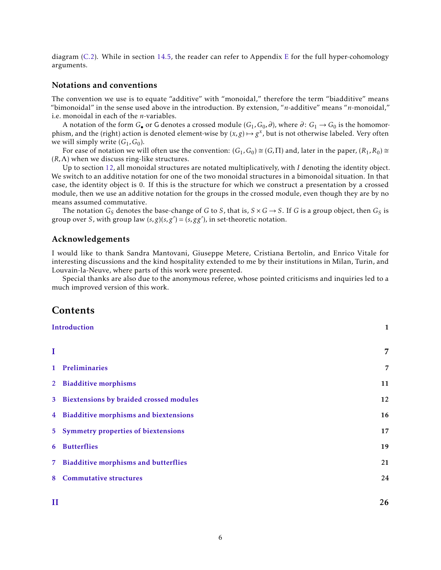diagram [\(C.2\)](#page-51-0). While in section [14.5,](#page-41-0) the reader can refer to Appendix [E](#page-54-0) for the full hyper-cohomology arguments.

### Notations and conventions

The convention we use is to equate "additive" with "monoidal," therefore the term "biadditive" means "bimonoidal" in the sense used above in the introduction. By extension, "*n*-additive" means "*n*-monoidal," i.e. monoidal in each of the *n*-variables.

A notation of the form  $G_{\bullet}$  or G denotes a crossed module  $(G_1, G_0, \partial)$ , where  $\partial: G_1 \to G_0$  is the homomorphism, and the (right) action is denoted element-wise by  $(x, g) \mapsto g^x$ , but is not otherwise labeled. Very often we will simply write  $(G_1, G_0)$ .

For ease of notation we will often use the convention:  $(G_1, G_0) \cong (G, \Pi)$  and, later in the paper,  $(R_1, R_0) \cong$  $(R, \Lambda)$  when we discuss ring-like structures.

Up to section [12,](#page-31-1) all monoidal structures are notated multiplicatively, with *I* denoting the identity object. We switch to an additive notation for one of the two monoidal structures in a bimonoidal situation. In that case, the identity object is 0. If this is the structure for which we construct a presentation by a crossed module, then we use an additive notation for the groups in the crossed module, even though they are by no means assumed commutative.

The notation  $G_S$  denotes the base-change of *G* to *S*, that is,  $S \times G \rightarrow S$ . If *G* is a group object, then  $G_S$  is group over *S*, with group law  $(s, g)(s, g') = (s, gg')$ , in set-theoretic notation.

### Acknowledgements

I would like to thank Sandra Mantovani, Giuseppe Metere, Cristiana Bertolin, and Enrico Vitale for interesting discussions and the kind hospitality extended to me by their institutions in Milan, Turin, and Louvain-la-Neuve, where parts of this work were presented.

Special thanks are also due to the anonymous referee, whose pointed criticisms and inquiries led to a much improved version of this work.

### **Contents**

|              | <b>Introduction</b>                       | $\mathbf{1}$ |
|--------------|-------------------------------------------|--------------|
| I            |                                           | 7            |
|              | 1 Preliminaries                           | 7            |
|              | 2 Biadditive morphisms                    | 11           |
|              | 3 Biextensions by braided crossed modules | 12           |
|              | 4 Biadditive morphisms and biextensions   | 16           |
|              | 5 Symmetry properties of biextensions     | 17           |
|              | 6 Butterflies                             | 19           |
|              | 7 Biadditive morphisms and butterflies    | 21           |
|              | 8 Commutative structures                  | 24           |
| $\mathbf{I}$ |                                           | 26           |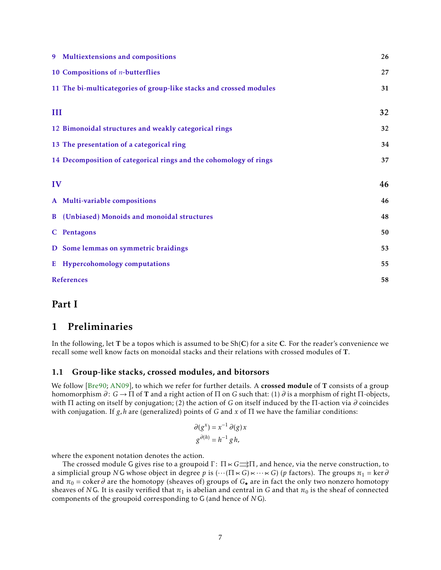<span id="page-6-3"></span>

|     | 9 Multiextensions and compositions                                 | 26 |
|-----|--------------------------------------------------------------------|----|
|     | 10 Compositions of $n$ -butterflies                                | 27 |
|     | 11 The bi-multicategories of group-like stacks and crossed modules | 31 |
| III |                                                                    | 32 |
|     | 12 Bimonoidal structures and weakly categorical rings              | 32 |
|     | 13 The presentation of a categorical ring                          | 34 |
|     | 14 Decomposition of categorical rings and the cohomology of rings  | 37 |
|     |                                                                    |    |
| IV  |                                                                    | 46 |
|     | A Multi-variable compositions                                      | 46 |
|     | <b>B</b> (Unbiased) Monoids and monoidal structures                | 48 |
|     | C Pentagons                                                        | 50 |
|     | D Some lemmas on symmetric braidings                               | 53 |
|     | <b>E</b> Hypercohomology computations                              | 55 |

## <span id="page-6-1"></span>Part I

## <span id="page-6-0"></span>1 Preliminaries

In the following, let  $T$  be a topos which is assumed to be  $Sh(C)$  for a site C. For the reader's convenience we recall some well know facts on monoidal stacks and their relations with crossed modules of T.

### <span id="page-6-2"></span>1.1 Group-like stacks, crossed modules, and bitorsors

We follow  $[Bre90; AN09]$  $[Bre90; AN09]$  $[Bre90; AN09]$ , to which we refer for further details. A crossed module of T consists of a group homomorphism *∂*: *G* → Π of T and a right action of Π on *G* such that: (1) *∂* is a morphism of right Π-objects, with Π acting on itself by conjugation; (2) the action of *G* on itself induced by the Π-action via *∂* coincides with conjugation. If *g, h* are (generalized) points of *G* and *x* of Π we have the familiar conditions:

$$
\partial(g^x) = x^{-1} \partial(g) x
$$

$$
g^{\partial(h)} = h^{-1} g h,
$$

where the exponent notation denotes the action.

The crossed module G gives rise to a groupoid  $\Gamma\colon \Pi\ltimes G\!\rightrightarrows\!\Pi$  , and hence, via the nerve construction, to a simplicial group *N* G whose object in degree *p* is  $(\cdots(\Pi \ltimes G) \ltimes \cdots \ltimes G)$  (*p* factors). The groups  $\pi_1 = \ker \partial$ and  $\pi_0$  = coker  $\partial$  are the homotopy (sheaves of) groups of  $G_{\bullet}$  are in fact the only two nonzero homotopy sheaves of *N* G. It is easily verified that  $\pi_1$  is abelian and central in *G* and that  $\pi_0$  is the sheaf of connected components of the groupoid corresponding to G (and hence of *N* G).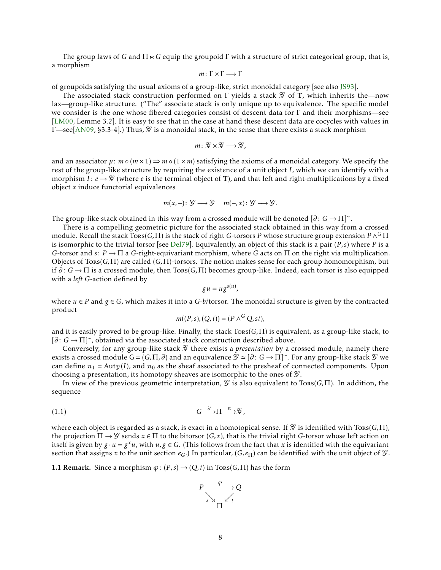<span id="page-7-2"></span>The group laws of *G* and  $\Pi \times G$  equip the groupoid  $\Gamma$  with a structure of strict categorical group, that is, a morphism

 $m: \Gamma \times \Gamma \longrightarrow \Gamma$ 

of groupoids satisfying the usual axioms of a group-like, strict monoidal category [see also [JS93\]](#page-59-8).

The associated stack construction performed on  $\Gamma$  yields a stack  $\mathscr G$  of T, which inherits the—now lax—group-like structure. ("The" associate stack is only unique up to equivalence. The specific model we consider is the one whose fibered categories consist of descent data for Γ and their morphisms—see [\[LM00,](#page-59-12) Lemme 3.2]. It is easy to see that in the case at hand these descent data are cocycles with values in Γ—see[\[AN09,](#page-57-0) §3.3-4].) Thus,  $\mathcal G$  is a monoidal stack, in the sense that there exists a stack morphism

$$
m\colon \mathcal G\times \mathcal G\longrightarrow \mathcal G,
$$

and an associator  $\mu$ :  $m \circ (m \times 1) \Rightarrow m \circ (1 \times m)$  satisfying the axioms of a monoidal category. We specify the rest of the group-like structure by requiring the existence of a unit object *I*, which we can identify with a morphism *I*:  $e \rightarrow \mathcal{G}$  (where *e* is the terminal object of **T**), and that left and right-multiplications by a fixed object *x* induce functorial equivalences

$$
m(x,-): \mathcal{G} \longrightarrow \mathcal{G} \quad m(-,x): \mathcal{G} \longrightarrow \mathcal{G}.
$$

The group-like stack obtained in this way from a crossed module will be denoted  $[\partial\colon G\,{\to}\,\Pi]^\sim$ .

There is a compelling geometric picture for the associated stack obtained in this way from a crossed module. Recall the stack Tors(*G,*Π) is the stack of right *G*-torsors *P* whose structure group extension *P* ∧ *<sup>G</sup>* Π is isomorphic to the trivial torsor [see [Del79\]](#page-58-9). Equivalently, an object of this stack is a pair  $(P, s)$  where P is a *G*-torsor and *s*: *P* → Π a *G*-right-equivariant morphism, where *G* acts on Π on the right via multiplication. Objects of Tors(*G,*Π) are called (*G,*Π)-torsors. The notion makes sense for each group homomorphism, but if *∂*: *G* → Π is a crossed module, then Tors(*G,*Π) becomes group-like. Indeed, each torsor is also equipped with a *left G*-action defined by

$$
gu = u g^{s(u)},
$$

where  $u \in P$  and  $g \in G$ , which makes it into a *G*-*bi*torsor. The monoidal structure is given by the contracted product

$$
m((P,s),(Q,t))=(P\wedge^G Q, st),
$$

and it is easily proved to be group-like. Finally, the stack Tors(*G,*Π) is equivalent, as a group-like stack, to [*∂*: *G* → Π] <sup>∼</sup>, obtained via the associated stack construction described above.

Conversely, for any group-like stack  $\mathcal G$  there exists a *presentation* by a crossed module, namely there exists a crossed module G =  $(G,\Pi,\partial)$  and an equivalence  $\mathcal{G} \simeq [\partial\colon G\to \Pi]$ ~. For any group-like stack  $\mathcal G$  we can define  $\pi_1 = \text{Aut}_{\mathcal{C}}(I)$ , and  $\pi_0$  as the sheaf associated to the presheaf of connected components. Upon choosing a presentation, its homotopy sheaves are isomorphic to the ones of  $\mathcal{G}$ .

In view of the previous geometric interpretation,  $\mathcal G$  is also equivalent to Tors( $G$ , Π). In addition, the sequence

$$
(1.1) \tG^{\frac{\partial}{\partial \eta}} \Pi \longrightarrow^{\pi} \mathcal{G},
$$

where each object is regarded as a stack, is exact in a homotopical sense. If G is identified with Tors(*G,*Π), the projection  $\Pi \to \mathcal{G}$  sends  $x \in \Pi$  to the bitorsor  $(G, x)$ , that is the trivial right *G*-torsor whose left action on itself is given by  $g \cdot u = g^x u$ , with  $u, g \in G$ . (This follows from the fact that *x* is identified with the equivariant section that assigns x to the unit section  $e_G$ .) In particular,  $(G, e_H)$  can be identified with the unit object of  $\mathcal G$ .

<span id="page-7-0"></span>**1.1 Remark.** Since a morphism  $\varphi$ :  $(P, s) \rightarrow (Q, t)$  in Tors( $G, \Pi$ ) has the form

<span id="page-7-1"></span>
$$
P \xrightarrow[s \searrow \sqrt{q}]{\varphi} Q
$$

$$
\overrightarrow{\sum_{s \searrow \sqrt{q}} \swarrow t}
$$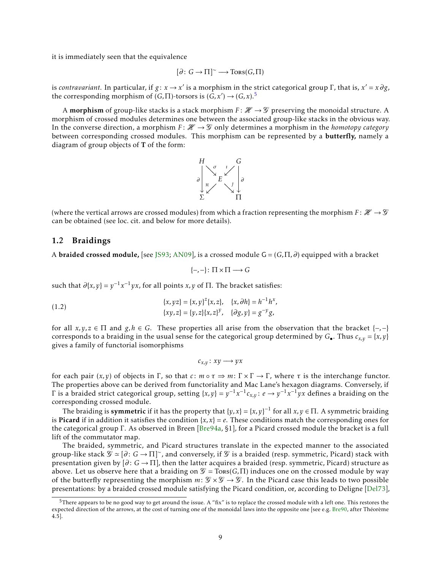<span id="page-8-2"></span>it is immediately seen that the equivalence

$$
[\partial\colon G\to\Pi]^\sim\longrightarrow\operatorname{Tors}(G,\Pi)
$$

is *contravariant.* In particular, if  $g: x \to x'$  is a morphism in the strict categorical group Γ, that is,  $x' = x \partial g$ , the corresponding morphism of  $(G,\Pi)$ -torsors is  $(G, x') \rightarrow (G, x)$ .<sup>[5](#page-8-0)</sup>

A **morphism** of group-like stacks is a stack morphism  $F: \mathcal{H} \to \mathcal{G}$  preserving the monoidal structure. A morphism of crossed modules determines one between the associated group-like stacks in the obvious way. In the converse direction, a morphism  $F: \mathcal{H} \to \mathcal{G}$  only determines a morphism in the *homotopy category* between corresponding crossed modules. This morphism can be represented by a butterfly, namely a diagram of group objects of T of the form:



(where the vertical arrows are crossed modules) from which a fraction representing the morphism  $F: \mathcal{H} \to \mathcal{G}$ can be obtained (see loc. cit. and below for more details).

#### 1.2 Braidings

A **braided crossed module,** [see [JS93;](#page-59-8) [AN09\]](#page-57-0), is a crossed module  $G = (G,\Pi,\partial)$  equipped with a bracket

<span id="page-8-1"></span> $\{-,-\}: \Pi \times \Pi \longrightarrow G$ 

such that  $\partial\{x,y\} = y^{-1}x^{-1}yx$ , for all points *x*, *y* of  $\Pi$ . The bracket satisfies:

(1.2) 
$$
\{x, yz\} = \{x, y\}^z \{x, z\}, \quad \{x, \partial h\} = h^{-1} h^x,
$$

$$
\{xy, z\} = \{y, z\} \{x, z\}^y, \quad \{\partial g, y\} = g^{-y} g,
$$

for all  $x, y, z \in \Pi$  and  $g, h \in G$ . These properties all arise from the observation that the bracket  $\{-, -\}$ corresponds to a braiding in the usual sense for the categorical group determined by  $G_{\bullet}$ . Thus  $c_{x,y} = \{x,y\}$ gives a family of functorial isomorphisms

$$
c_{x,y}: xy \longrightarrow yx
$$

for each pair  $(x, y)$  of objects in  $\Gamma$ , so that  $c: m \circ \tau \Rightarrow m: \Gamma \times \Gamma \to \Gamma$ , where  $\tau$  is the interchange functor. The properties above can be derived from functoriality and Mac Lane's hexagon diagrams. Conversely, if  $Γ$  is a braided strict categorical group, setting {*x,y*} =  $y^{-1}x^{-1}c_{x,y}$ :  $e → y^{-1}x^{-1}yx$  defines a braiding on the corresponding crossed module.

The braiding is **symmetric** if it has the property that  $\{y, x\} = \{x, y\}^{-1}$  for all  $x, y \in \Pi$ . A symmetric braiding is Picard if in addition it satisfies the condition  $\{x, x\} = e$ . These conditions match the corresponding ones for the categorical group Γ. As observed in Breen [\[Bre94a,](#page-58-7) §1], for a Picard crossed module the bracket is a full lift of the commutator map.

The braided, symmetric, and Picard structures translate in the expected manner to the associated group-like stack G ' [*∂*: *G* → Π] <sup>∼</sup>, and conversely, if G is a braided (resp. symmetric, Picard) stack with presentation given by [*∂*: *G* → Π], then the latter acquires a braided (resp. symmetric, Picard) structure as above. Let us observe here that a braiding on  $\mathcal{G} = \text{Tors}(G,\Pi)$  induces one on the crossed module by way of the butterfly representing the morphism  $m: \mathcal{G} \times \mathcal{G} \rightarrow \mathcal{G}$ . In the Picard case this leads to two possible presentations: by a braided crossed module satisfying the Picard condition, or, according to Deligne [\[Del73\]](#page-58-10),

<span id="page-8-0"></span> $5$ There appears to be no good way to get around the issue. A "fix" is to replace the crossed module with a left one. This restores the expected direction of the arrows, at the cost of turning one of the monoidal laws into the opposite one [see e.g. [Bre90,](#page-58-0) after Théorème 4.5].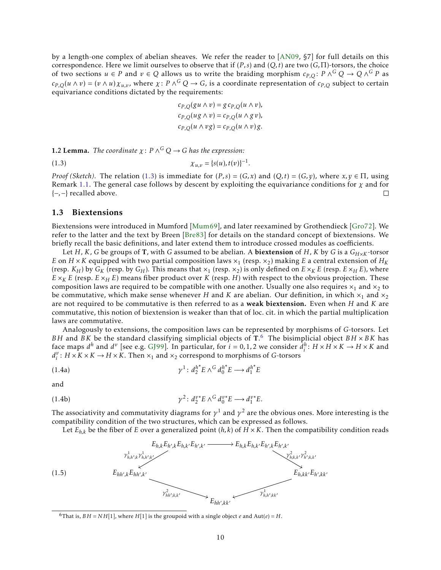<span id="page-9-6"></span>by a length-one complex of abelian sheaves. We refer the reader to [\[AN09,](#page-57-0) §7] for full details on this correspondence. Here we limit ourselves to observe that if  $(P, s)$  and  $(Q, t)$  are two  $(G, \Pi)$ -torsors, the choice of two sections  $u \in P$  and  $v \in Q$  allows us to write the braiding morphism  $c_{P,Q}$ :  $P \wedge^G Q \to Q \wedge^G P$  as  $c_{P,Q}(u\wedge v)=(v\wedge u)\chi_{u,v}$ , where  $\chi\colon P\wedge^G Q\to G$ , is a coordinate representation of  $c_{P,Q}$  subject to certain equivariance conditions dictated by the requirements:

<span id="page-9-0"></span>
$$
c_{P,Q}(gu \wedge v) = g c_{P,Q}(u \wedge v),
$$
  
\n
$$
c_{P,Q}(ug \wedge v) = c_{P,Q}(u \wedge gv),
$$
  
\n
$$
c_{P,Q}(u \wedge vg) = c_{P,Q}(u \wedge v)g.
$$

<span id="page-9-5"></span>**1.2 Lemma.** *The coordinate*  $\chi$ :  $P \wedge^G Q \rightarrow G$  *has the expression:* 

(1.3)  $\chi_{u,v} = \{s(u), t(v)\}^{-1}.$ 

*Proof (Sketch).* The relation [\(1.3\)](#page-9-0) is immediate for  $(P, s) = (G, x)$  and  $(Q, t) = (G, y)$ , where  $x, y \in \Pi$ , using Remark [1.1.](#page-7-0) The general case follows by descent by exploiting the equivariance conditions for *χ* and for {−*,*−} recalled above.  $\Box$ 

#### <span id="page-9-3"></span>1.3 Biextensions

Biextensions were introduced in Mumford [\[Mum69\]](#page-59-0), and later reexamined by Grothendieck [\[Gro72\]](#page-59-1). We refer to the latter and the text by Breen [\[Bre83\]](#page-58-11) for details on the standard concept of biextensions. We briefly recall the basic definitions, and later extend them to introduce crossed modules as coefficients.

Let *H*, *K*, *G* be groups of **T**, with *G* assumed to be abelian. A **biextension** of *H*, *K* by *G* is a  $G_{H \times K}$ -torsor *E* on  $H \times K$  equipped with two partial composition laws  $\times_1$  (resp.  $\times_2$ ) making *E* a central extension of  $H_K$ (resp.  $K_H$ ) by  $G_K$  (resp. by  $G_H$ ). This means that  $\times_1$  (resp.  $\times_2$ ) is only defined on  $E \times_K E$  (resp.  $E \times_H E$ ), where  $E \times_K E$  (resp.  $E \times_H E$ ) means fiber product over *K* (resp. *H*) with respect to the obvious projection. These composition laws are required to be compatible with one another. Usually one also requires  $x_1$  and  $x_2$  to be commutative, which make sense whenever *H* and *K* are abelian. Our definition, in which  $x_1$  and  $x_2$ are not required to be commutative is then referred to as a weak biextension. Even when *H* and *K* are commutative, this notion of biextension is weaker than that of loc. cit. in which the partial multiplication laws are commutative.

Analogously to extensions, the composition laws can be represented by morphisms of *G*-torsors. Let *BH* and *BK* be the standard classifying simplicial objects of  $T$ .<sup>[6](#page-9-1)</sup> The bisimplicial object *BH* × *BK* has face maps  $d^h$  and  $d^v$  [see e.g. [GJ99\]](#page-58-12). In particular, for  $i = 0, 1, 2$  we consider  $\hat{d}^h_i : H \times H \times K \to H \times K$  and  $d_i^v$ :  $H \times K \times K \to H \times K$ . Then  $x_1$  and  $x_2$  correspond to morphisms of *G*-torsors

<span id="page-9-4"></span>(1.4a) 
$$
\gamma^1 : d_2^{h^*} E \wedge^G d_0^{h^*} E \longrightarrow d_1^{h^*} E
$$

and

(1.4b) 
$$
\gamma^2 \colon d_2^{v*} E \wedge^G d_0^{v*} E \longrightarrow d_1^{v*} E.
$$

The associativity and commutativity diagrams for  $\gamma^1$  and  $\gamma^2$  are the obvious ones. More interesting is the compatibility condition of the two structures, which can be expressed as follows.

<span id="page-9-2"></span>Let  $E_{h,k}$  be the fiber of *E* over a generalized point  $(h,k)$  of  $H \times K$ . Then the compatibility condition reads



<span id="page-9-1"></span><sup>&</sup>lt;sup>6</sup>That is, *BH* = *NH*[1], where *H*[1] is the groupoid with a single object *e* and Aut(*e*) = *H*.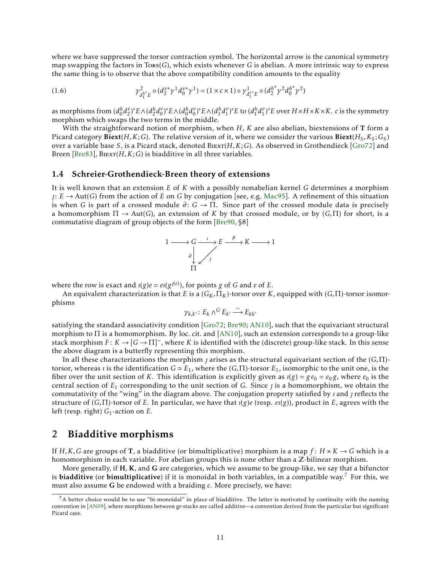<span id="page-10-4"></span>where we have suppressed the torsor contraction symbol. The horizontal arrow is the canonical symmetry map swapping the factors in Tors(*G*), which exists whenever *G* is abelian. A more intrinsic way to express the same thing is to observe that the above compatibility condition amounts to the equality

<span id="page-10-3"></span>(1.6) 
$$
\gamma_{d_1^{h^*}E}^2 \circ (d_2^{v^*} \gamma^1 d_0^{v^*} \gamma^1) = (1 \times c \times 1) \circ \gamma_{d_1^{v^*}E}^1 \circ (d_2^{h^*} \gamma^2 d_0^{h^*} \gamma^2)
$$

as morphisms from  $(d_0^hd_2^v)^*E\wedge(d_2^hd_0^v)^*E\wedge(d_0^hd_0^v)^*E\wedge(d_1^hd_1^v)^*E$  to  $(d_1^hd_1^v)^*E$  over  $H\times H\times K\times K.$   $c$  is the symmetry morphism which swaps the two terms in the middle.

With the straightforward notion of morphism, when *H*, *K* are also abelian, biextensions of T form a Picard category Biext( $H, K; G$ ). The relative version of it, where we consider the various Biext( $H_S, K_S; G_S$ ) over a variable base *S*, is a Picard stack, denoted Biext(*H,K*;*G*). As observed in Grothendieck [\[Gro72\]](#page-59-1) and Breen [\[Bre83\]](#page-58-11), BIEXT(*H*, *K*; *G*) is biadditive in all three variables.

### <span id="page-10-2"></span>1.4 Schreier-Grothendieck-Breen theory of extensions

It is well known that an extension *E* of *K* with a possibly nonabelian kernel *G* determines a morphism  $\chi: E \to \text{Aut}(G)$  from the action of *E* on *G* by conjugation [see, e.g. [Mac95\]](#page-59-13). A refinement of this situation is when *G* is part of a crossed module *∂*: *G* → Π. Since part of the crossed module data is precisely a homomorphism Π → Aut(*G*), an extension of *K* by that crossed module, or by (*G,*Π) for short, is a commutative diagram of group objects of the form [\[Bre90,](#page-58-0) §8]



where the row is exact and  $\iota(g)e = \operatorname{eu}(\mathfrak{g}^{j(e)})$ , for points *g* of *G* and *e* of *E*.

An equivalent characterization is that *E* is a (*GK,*Π*K*)-torsor over *K*, equipped with (*G,*Π)-torsor isomorphisms

$$
\gamma_{k,k'}\colon E_k \wedge^G E_{k'} \xrightarrow{\sim} E_{kk'}
$$

satisfying the standard associativity condition [\[Gro72;](#page-59-1) [Bre90;](#page-58-0) [AN10\]](#page-57-3), such that the equivariant structural morphism to  $\Pi$  is a homomorphism. By loc. cit. and  $[AN10]$ , such an extension corresponds to a group-like stack morphism *F* : *K* → [*G* → Π] <sup>∼</sup>, where *K* is identified with the (discrete) group-like stack. In this sense the above diagram is a butterfly representing this morphism.

In all these characterizations the morphism  $\mu$  arises as the structural equivariant section of the ( $G,\Pi$ )torsor, whereas *i* is the identification  $G \simeq E_1$ , where the  $(G,\Pi)$ -torsor  $E_1$ , isomorphic to the unit one, is the fiber over the unit section of *K*. This identification is explicitly given as  $\iota(g) = g e_0 = e_0 g$ , where  $e_0$  is the central section of  $E_1$  corresponding to the unit section of *G*. Since *j* is a homomorphism, we obtain the commutativity of the "wing" in the diagram above. The conjugation property satisfied by *i* and *j* reflects the structure of (*G,*Π)-torsor of *E*. In particular, we have that *ı*(*g*)*e* (resp. *eı*(*g*)), product in *E*, agrees with the left (resp. right) *G*1-action on *E*.

## <span id="page-10-0"></span>2 Biadditive morphisms

If *H*, *K*, *G* are groups of **T**, a biadditive (or bimultiplicative) morphism is a map  $f : H \times K \to G$  which is a homomorphism in each variable. For abelian groups this is none other than a Z-bilinear morphism.

More generally, if  $H$ ,  $K$ , and  $G$  are categories, which we assume to be group-like, we say that a bifunctor is **biadditive** (or **bimultiplicative**) if it is monoidal in both variables, in a compatible way.<sup>[7](#page-10-1)</sup> For this, we must also assume G be endowed with a braiding *c*. More precisely, we have:

<span id="page-10-1"></span> $7A$  better choice would be to use "bi-monoidal" in place of biadditive. The latter is motivated by continuity with the naming convention in [\[AN09\]](#page-57-0), where morphisms between gr-stacks are called additive—a convention derived from the particular but significant Picard case.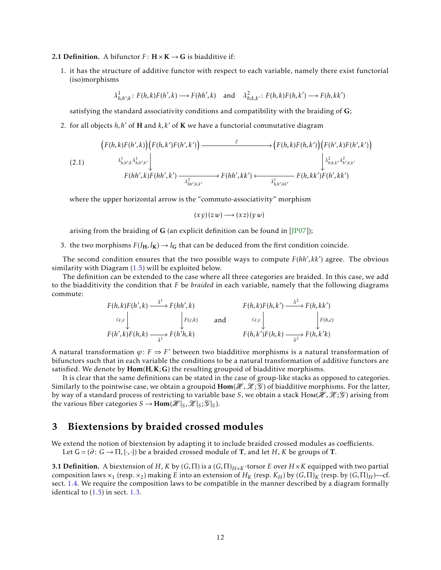#### <span id="page-11-4"></span><span id="page-11-2"></span>2.1 Definition. A bifunctor  $F: H \times K \rightarrow G$  is biadditive if:

1. it has the structure of additive functor with respect to each variable, namely there exist functorial (iso)morphisms

$$
\lambda^1_{h,h';k} : F(h,k)F(h',k) \longrightarrow F(hh',k) \quad \text{and} \quad \lambda^2_{h;k,k'} : F(h,k)F(h,k') \longrightarrow F(h,kk')
$$

satisfying the standard associativity conditions and compatibility with the braiding of G;

2. for all objects  $h, h'$  of **H** and  $k, k'$  of **K** we have a functorial commutative diagram

<span id="page-11-1"></span>
$$
(2.1) \qquad \begin{aligned} \left(F(h,k)F(h',k)\right)\left(F(h,k')F(h',k')\right) &\xrightarrow{\delta} \left(F(h,k)F(h,k')\right)\left(F(h',k)F(h',k')\right) \\ &\xrightarrow{\lambda_{h,h';k}^1 \lambda_{h,h';k'}^1} \downarrow \qquad \qquad \downarrow \lambda_{h;k',k'}^2 \lambda_{h';k,k'}^2 \\ &\xrightarrow{\lambda_{h,h';k}^2} F(hh',k)F(hh',k') &\xrightarrow{\lambda_{hh';k,k'}^2} F(h,kk')F(h',kk') \end{aligned}
$$

where the upper horizontal arrow is the "commuto-associativity" morphism

$$
(xy)(zw) \longrightarrow (xz)(yw)
$$

arising from the braiding of  $G$  (an explicit definition can be found in [\[JP07\]](#page-59-7));

<span id="page-11-3"></span>3. the two morphisms  $F(I_H, I_K) \to I_G$  that can be deduced from the first condition coincide.

The second condition ensures that the two possible ways to compute  $F(hh', kk')$  agree. The obvious similarity with Diagram [\(1.5\)](#page-9-2) will be exploited below.

The definition can be extended to the case where all three categories are braided. In this case, we add to the biadditivity the condition that *F* be *braided* in each variable, namely that the following diagrams commute:

$$
F(h,k)F(h',k) \xrightarrow{\lambda^1} F(hh',k) \qquad F(h,k)F(h,k') \xrightarrow{\lambda^2} F(h,kk')
$$
  
\n
$$
F(h',k)F(h,k) \xrightarrow{\lambda^1} F(h,h,k) \qquad \text{and} \qquad F(h,k')F(h,k) \xrightarrow{\lambda^2} F(h,kk')
$$
  
\n
$$
F(h',k)F(h,k) \xrightarrow{\lambda^1} F(h,h,k) \qquad F(h,k')F(h,k) \xrightarrow{\lambda^2} F(h,k'k)
$$

A natural transformation  $\varphi\colon F\Rightarrow F'$  between two biadditive morphisms is a natural transformation of bifunctors such that in each variable the conditions to be a natural transformation of additive functors are satisfied. We denote by  $Hom(H, K; G)$  the resulting groupoid of biadditive morphisms.

It is clear that the same definitions can be stated in the case of group-like stacks as opposed to categories. Similarly to the pointwise case, we obtain a groupoid  $\text{Hom}(\mathcal{H}, \mathcal{H}; \mathcal{G})$  of biadditive morphisms. For the latter, by way of a standard process of restricting to variable base *S*, we obtain a stack  $Hom(\mathcal{H}, \mathcal{K}; \mathcal{G})$  arising from the various fiber categories  $S \to \text{Hom}(\mathcal{H}|_S, \mathcal{K}|_S; \mathcal{G}|_S)$ .

## <span id="page-11-0"></span>3 Biextensions by braided crossed modules

We extend the notion of biextension by adapting it to include braided crossed modules as coefficients. Let  $G = (\partial : G \to \Pi, \{ \cdot, \cdot \})$  be a braided crossed module of **T**, and let *H*, *K* be groups of **T**.

3.1 Definition. A biextension of *H*, *K* by  $(G,\Pi)$  is a  $(G,\Pi)_{H\times K}$ -torsor *E* over  $H\times K$  equipped with two partial composition laws  $\times_1$  (resp.  $\times_2$ ) making *E* into an extension of  $H_K$  (resp.  $K_H$ ) by (*G*,  $\Pi$ )<sub>*K*</sub> (resp. by (*G*,  $\Pi$ )<sub>*H*</sub>)—cf. sect. [1.4.](#page-10-2) We require the composition laws to be compatible in the manner described by a diagram formally identical to [\(1.5\)](#page-9-2) in sect. [1.3.](#page-9-3)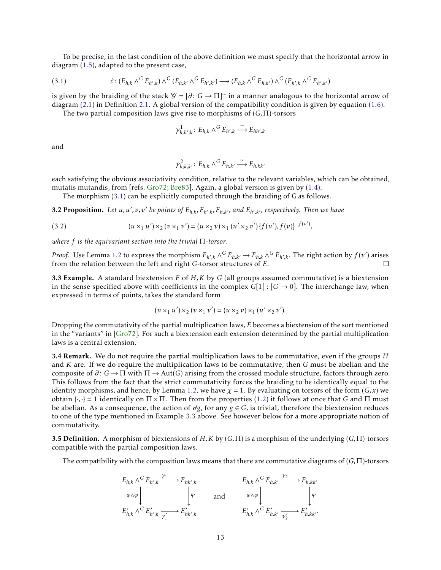<span id="page-12-4"></span>To be precise, in the last condition of the above definition we must specify that the horizontal arrow in diagram [\(1.5\)](#page-9-2), adapted to the present case,

<span id="page-12-0"></span>
$$
(3.1) \qquad \hat{c} \colon (E_{h,k} \wedge^G E_{h',k}) \wedge^G (E_{h,k'} \wedge^G E_{h',k'}) \longrightarrow (E_{h,k} \wedge^G E_{h,k'}) \wedge^G (E_{h',k} \wedge^G E_{h',k'})
$$

is given by the braiding of the stack  $\mathscr{G} = [\partial\colon G \to \Pi]^\sim$  in a manner analogous to the horizontal arrow of diagram [\(2.1\)](#page-11-1) in Definition [2.1.](#page-11-2) A global version of the compatibility condition is given by equation [\(1.6\)](#page-10-3).

The two partial composition laws give rise to morphisms of (*G,*Π)-torsors

$$
\gamma_{h,h';k}^1: E_{h,k} \wedge^G E_{h',k} \xrightarrow{\sim} E_{hh',k}
$$

and

$$
\gamma_{h;k,k'}^2\colon E_{h,k}\wedge^G E_{h,k'} \xrightarrow{\sim} E_{h,kk'}
$$

each satisfying the obvious associativity condition, relative to the relevant variables, which can be obtained, mutatis mutandis, from [refs. [Gro72;](#page-59-1) [Bre83\]](#page-58-11). Again, a global version is given by [\(1.4\)](#page-9-4).

The morphism [\(3.1\)](#page-12-0) can be explicitly computed through the braiding of G as follows.

<span id="page-12-2"></span>**3.2 Proposition.** Let  $u, u', v, v'$  be points of  $E_{h,k}, E_{h',k}, E_{h,k'}$ , and  $E_{h',k'}$ , respectively. Then we have

(3.2) 
$$
(u \times_1 u') \times_2 (v \times_1 v') = (u \times_2 v) \times_1 (u' \times_2 v') \{f(u'), f(v)\}^{-f(v')},
$$

*where f is the equivariant section into the trivial* Π*-torsor.*

*Proof.* Use Lemma [1.2](#page-9-5) to express the morphism  $E_{h',k}\wedge^G E_{h,k'}\to E_{h,k}\wedge^G E_{h',k}.$  The right action by  $f(v')$  arises from the relation between the left and right *G*-torsor structures of *E*.

<span id="page-12-1"></span>3.3 Example. A standard biextension *E* of *H,K* by *G* (all groups assumed commutative) is a biextension in the sense specified above with coefficients in the complex  $G[1]$ :  $[G \rightarrow 0]$ . The interchange law, when expressed in terms of points, takes the standard form

$$
(u \times_1 u') \times_2 (v \times_1 v') = (u \times_2 v) \times_1 (u' \times_2 v').
$$

Dropping the commutativity of the partial multiplication laws, *E* becomes a biextension of the sort mentioned in the "variants" in [\[Gro72\]](#page-59-1). For such a biextension each extension determined by the partial multiplication laws is a central extension.

<span id="page-12-3"></span>3.4 Remark. We do not require the partial multiplication laws to be commutative, even if the groups *H* and *K* are. If we do require the multiplication laws to be commutative, then *G* must be abelian and the composite of  $\partial: G \to \Pi$  with  $\Pi \to \text{Aut}(G)$  arising from the crossed module structure, factors through zero. This follows from the fact that the strict commutativity forces the braiding to be identically equal to the identity morphisms, and hence, by Lemma [1.2,](#page-9-5) we have  $\chi = 1$ . By evaluating on torsors of the form  $(G, x)$  we obtain  $\{\cdot,\cdot\} = 1$  identically on  $\Pi \times \Pi$ . Then from the properties [\(1.2\)](#page-8-1) it follows at once that *G* and  $\Pi$  must be abelian. As a consequence, the action of *∂g*, for any *g* ∈ *G*, is trivial, therefore the biextension reduces to one of the type mentioned in Example [3.3](#page-12-1) above. See however below for a more appropriate notion of commutativity.

3.5 Definition. A morphism of biextensions of *H,K* by (*G,*Π) is a morphism of the underlying (*G,*Π)-torsors compatible with the partial composition laws.

The compatibility with the composition laws means that there are commutative diagrams of (*G,*Π)-torsors

$$
E_{h,k} \wedge^{G} E_{h',k} \xrightarrow{\gamma_1} E_{hh',k} \qquad E_{h,k} \wedge^{G} E_{h,k'} \xrightarrow{\gamma_2} E_{h,kk'}
$$
  
\n
$$
E'_{h,k} \wedge^{G} E'_{h',k} \xrightarrow{\gamma_1} E'_{hh',k} \qquad \text{and} \qquad \varphi \wedge \varphi \downarrow \qquad \qquad \downarrow \varphi
$$
  
\n
$$
E'_{h,k} \wedge^{G} E'_{h,k'} \xrightarrow{\gamma_2} E'_{h,kk'}.
$$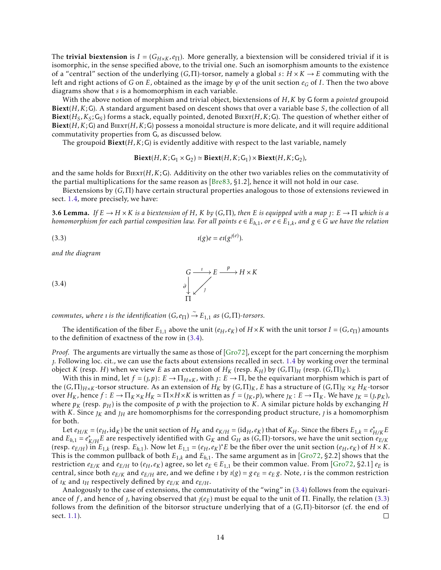<span id="page-13-3"></span>The **trivial biextension** is  $I = (G_{H \times K}, e_{\Pi})$ . More generally, a biextension will be considered trivial if it is isomorphic, in the sense specified above, to the trivial one. Such an isomorphism amounts to the existence of a "central" section of the underlying (*G,*Π)-torsor, namely a global *s*: *H* × *K* → *E* commuting with the left and right actions of *G* on *E*, obtained as the image by  $\varphi$  of the unit section  $e_G$  of *I*. Then the two above diagrams show that *s* is a homomorphism in each variable.

With the above notion of morphism and trivial object, biextensions of *H,K* by G form a *pointed* groupoid Biext(*H,K*;G). A standard argument based on descent shows that over a variable base *S*, the collection of all Biext( $H_S$ ,  $K_S$ ;  $G_S$ ) forms a stack, equally pointed, denoted BIEXT( $H$ ,  $K$ ;  $G$ ). The question of whether either of Biext(*H,K*;G) and Biext(*H,K*;G) possess a monoidal structure is more delicate, and it will require additional commutativity properties from G, as discussed below.

The groupoid Biext(*H,K*;G) is evidently additive with respect to the last variable, namely

<span id="page-13-1"></span>
$$
Biext(H, K; G_1 \times G_2) \simeq Biext(H, K; G_1) \times Biext(H, K; G_2),
$$

and the same holds for Biext(*H,K*;G). Additivity on the other two variables relies on the commutativity of the partial multiplications for the same reason as [\[Bre83,](#page-58-11) §1.2], hence it will not hold in our case.

Biextensions by (*G,*Π) have certain structural properties analogous to those of extensions reviewed in sect. [1.4,](#page-10-2) more precisely, we have:

<span id="page-13-2"></span>**3.6 Lemma.** *If*  $E \to H \times K$  *is a biextension of*  $H$ *,*  $K$  *by* ( $G$ , $\Pi$ )*, then*  $E$  *is equipped with a map*  $\jmath$ :  $E \to \Pi$  *which is a homomorphism for each partial composition law. For all points*  $e \in E_{h,1}$ *, or*  $e \in E_{1,k}$ *, and*  $g \in G$  we have the relation

$$
(3.3) \t\t t(g)e = e1(gj(e)).
$$

*and the diagram*

<span id="page-13-0"></span>(3.4) 
$$
\begin{array}{c}\nG \xrightarrow{1} E \xrightarrow{p} H \times K \\
\downarrow^2 \searrow^2 \xrightarrow{\qquad} \Pi\n\end{array}
$$

 $\tilde{c}$  *commutes, where 1 is the identification*  $(G,e_{\Pi}) \stackrel{\sim}{\to} E_{1,1}$  *as*  $(G,\Pi)$ *-torsors.* 

The identification of the fiber  $E_{1,1}$  above the unit  $(e_H, e_K)$  of  $H \times K$  with the unit torsor  $I = (G, e_{\Pi})$  amounts to the definition of exactness of the row in [\(3.4\)](#page-13-0).

*Proof.* The arguments are virtually the same as those of [\[Gro72\]](#page-59-1), except for the part concerning the morphism . Following loc. cit., we can use the facts about extensions recalled in sect. [1.4](#page-10-2) by working over the terminal object *K* (resp. *H*) when we view *E* as an extension of  $H_K$  (resp.  $K_H$ ) by  $(G,\Pi)_H$  (resp.  $(G,\Pi)_K$ ).

With this in mind, let  $f = (j, p)$ :  $E \to \Pi_{H \times K}$ , with  $j: E \to \Pi$ , be the equivariant morphism which is part of the  $(G,\Pi)_{H\times K}$ -torsor structure. As an extension of  $H_K$  by  $(G,\Pi)_K$ , *E* has a structure of  $(G,\Pi)_K\times_K H_K$ -torsor over  $H_K$ , hence  $f: E \to \Pi_K \times_K H_K \simeq \Pi \times H \times K$  is written as  $f = (f_K, p)$ , where  $f_K: E \to \Pi_K$ . We have  $f_K = (f, p_K)$ , where  $p_K$  (resp.  $p_H$ ) is the composite of  $p$  with the projection to  $K$ . A similar picture holds by exchanging  $H$ with *K*. Since  $\chi$  and  $\chi$  are homomorphisms for the corresponding product structure,  $\chi$  is a homomorphism for both.

Let  $e_{H/K} = (e_H, id_K)$  be the unit section of  $H_K$  and  $e_{K/H} = (id_H, e_K)$  that of  $K_H$ . Since the fibers  $E_{1,k} = e_{H/K}^* E$ and  $E_{h,1} = e_{K/H}^*E$  are respectively identified with  $G_K$  and  $G_H$  as  $(G,\Pi)$ -torsors, we have the unit section  $e_{E/K}$ (resp.  $e_{E/H}$ ) in  $E_{1,k}$  (resp.  $E_{h,1}$ ). Now let  $E_{1,1} = (e_H, e_K)^*E$  be the fiber over the unit section  $(e_H, e_K)$  of  $H \times K$ . This is the common pullback of both *E*1*,k* and *Eh,*1. The same argument as in [\[Gro72,](#page-59-1) §2.2] shows that the restriction  $e_{E/K}$  and  $e_{E/H}$  to  $(e_H, e_K)$  agree, so let  $e_E \in E_{1,1}$  be their common value. From [\[Gro72,](#page-59-1) §2.1]  $e_E$  is central, since both  $e_{E/K}$  and  $e_{E/H}$  are, and we define  $\iota$  by  $\iota(g) = g e_E = e_E g$ . Note,  $\iota$  is the common restriction of  $\iota_K$  and  $\iota_H$  respectively defined by  $e_{E/K}$  and  $e_{E/H}$ .

Analogously to the case of extensions, the commutativity of the "wing" in [\(3.4\)](#page-13-0) follows from the equivariance of *f*, and hence of *f*, having observed that  $f(e_E)$  must be equal to the unit of  $\Pi$ . Finally, the relation [\(3.3\)](#page-13-1) follows from the definition of the bitorsor structure underlying that of a (*G,*Π)-bitorsor (cf. the end of sect. [1.1\)](#page-6-2).  $\Box$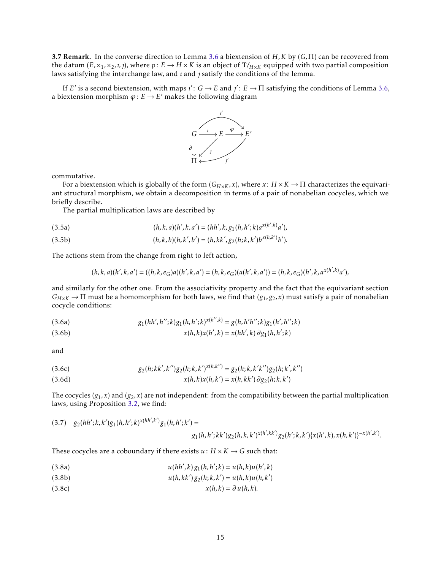3.7 Remark. In the converse direction to Lemma [3.6](#page-13-2) a biextension of *H,K* by (*G,*Π) can be recovered from the datum  $(E, x_1, x_2, t, j)$ , where  $p: E \to H \times K$  is an object of  $T/_{H \times K}$  equipped with two partial composition laws satisfying the interchange law, and  $\iota$  and  $\jmath$  satisfy the conditions of the lemma.

If *E'* is a second biextension, with maps  $\iota'$ :  $G \to E$  and  $\iota'$ :  $E \to \Pi$  satisfying the conditions of Lemma [3.6,](#page-13-2) a biextension morphism  $\varphi: E \to E'$  makes the following diagram

<span id="page-14-0"></span>

commutative.

For a biextension which is globally of the form  $(G_{H\times K}, x)$ , where  $x: H \times K \to \Pi$  characterizes the equivariant structural morphism, we obtain a decomposition in terms of a pair of nonabelian cocycles, which we briefly describe.

The partial multiplication laws are described by

(3.5a) 
$$
(h,k,a)(h',k,a') = (hh',k,g_1(h,h';k)a^{x(h',k)}a'),
$$

(3.5b) 
$$
(h,k,b)(h,k',b') = (h,kk',g_2(h;k,k')b^{x(h,k')}b').
$$

The actions stem from the change from right to left action,

<span id="page-14-1"></span>
$$
(h,k,a)(h',k,a') = ((h,k,e_G)a)(h',k,a') = (h,k,e_G)(a(h',k,a')) = (h,k,e_G)(h',k,a^{x(h',k)}a'),
$$

and similarly for the other one. From the associativity property and the fact that the equivariant section  $G_{H\times K}$   $\to$   $\Pi$  must be a homomorphism for both laws, we find that ( $g_1$ , $g_2$ , $x$ ) must satisfy a pair of nonabelian cocycle conditions:

<span id="page-14-3"></span>(3.6a) 
$$
g_1(hh',h'';k)g_1(h,h';k)^{x(h'',k)} = g(h,h'h'';k)g_1(h',h'';k)
$$

(3.6b) 
$$
x(h,k)x(h',k) = x(hh',k)\partial g_1(h,h';k)
$$

and

<span id="page-14-4"></span>(3.6c) 
$$
g_2(h;kk',k'')g_2(h;k,k')^{x(h,k'')} = g_2(h;k,k'k'')g_2(h;k',k'')
$$

$$
(3.6d) \t x(h,k)x(h,k') = x(h,kk') \partial g_2(h;k,k')
$$

The cocycles  $(g_1, x)$  and  $(g_2, x)$  are not independent: from the compatibility between the partial multiplication laws, using Proposition [3.2,](#page-12-2) we find:

<span id="page-14-2"></span>
$$
(3.7) \quad g_2(hh';k,k')g_1(h,h';k)^{x(hh',k')}g_1(h,h';k') =
$$

$$
g_1(h,h';kk')g_2(h,k,k')^{x(h',kk')}g_2(h';k,k')\{x(h',k),x(h,k')\}^{-x(h',k')}.
$$

These cocycles are a coboundary if there exists  $u: H \times K \to G$  such that:

(3.8a) 
$$
u(hh',k) g_1(h,h';k) = u(h,k)u(h',k)
$$

(3.8b) 
$$
u(h, kk')g_2(h;k,k') = u(h,k)u(h,k')
$$

$$
(3.8c) \t\t x(h,k) = \partial u(h,k).
$$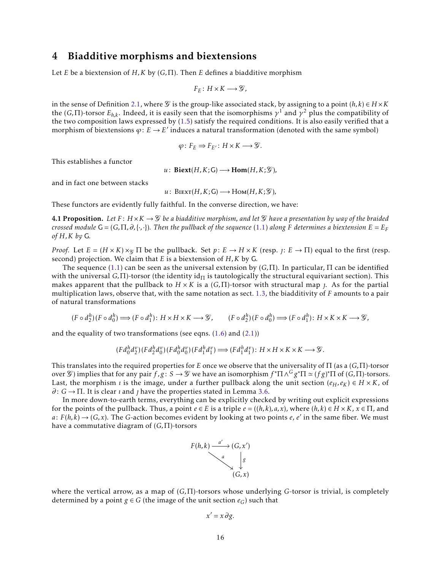## <span id="page-15-0"></span>4 Biadditive morphisms and biextensions

Let *E* be a biextension of *H*, *K* by  $(G,\Pi)$ . Then *E* defines a biadditive morphism

$$
F_E\colon H\times K\longrightarrow \mathcal G,
$$

in the sense of Definition [2.1,](#page-11-2) where  $\mathcal G$  is the group-like associated stack, by assigning to a point  $(h,k) \in H \times K$ the (*G,*Π)-torsor  $E_{h,k}.$  Indeed, it is easily seen that the isomorphisms  $\gamma^1$  and  $\gamma^2$  plus the compatibility of the two composition laws expressed by [\(1.5\)](#page-9-2) satisfy the required conditions. It is also easily verified that a morphism of biextensions  $\varphi: E \to E'$  induces a natural transformation (denoted with the same symbol)

$$
\varphi\colon F_E\Rightarrow F_{E'}\colon H\times K\longrightarrow\mathcal G.
$$

This establishes a functor

 $u: \textbf{Bicxt}(H,K;\mathsf{G}) \longrightarrow \textbf{Hom}(H,K;\mathcal{G})$ *,* 

and in fact one between stacks

 $u: \text{Blex}T(H,K;G) \longrightarrow \text{Hom}(H,K; \mathcal{G})$ 

These functors are evidently fully faithful. In the converse direction, we have:

<span id="page-15-1"></span>**4.1 Proposition.** Let  $F: H \times K \to \mathcal{G}$  be a biadditive morphism, and let  $\mathcal G$  have a presentation by way of the braided *crossed module*  $G = (G, \Pi, \partial, \{ \cdot, \cdot \})$ . Then the pullback of the sequence [\(1.1\)](#page-7-1) along *F* determines a biextension  $E = E_F$ *of H,K by* G*.*

*Proof.* Let  $E = (H \times K) \times_{\mathcal{C}} \Pi$  be the pullback. Set  $p: E \to H \times K$  (resp.  $p: E \to \Pi$ ) equal to the first (resp. second) projection. We claim that *E* is a biextension of *H,K* by G.

The sequence [\(1.1\)](#page-7-1) can be seen as the universal extension by (*G,*Π). In particular, Π can be identified with the universal *G*,Π)-torsor (the identity id<sub>Π</sub> is tautologically the structural equivariant section). This makes apparent that the pullback to  $H \times K$  is a  $(G,\Pi)$ -torsor with structural map *j*. As for the partial multiplication laws, observe that, with the same notation as sect. [1.3,](#page-9-3) the biadditivity of *F* amounts to a pair of natural transformations

$$
(F \circ d_2^h)(F \circ d_0^h) \Longrightarrow (F \circ d_1^h): H \times H \times K \longrightarrow \mathcal{G}, \qquad (F \circ d_2^h)(F \circ d_0^h) \Longrightarrow (F \circ d_1^h): H \times K \times K \longrightarrow \mathcal{G},
$$

and the equality of two transformations (see eqns.  $(1.6)$  and  $(2.1)$ )

$$
(Fd_0^hd_2^v)(Fd_2^hd_0^v)(Fd_0^hd_0^v)(Fd_1^hd_1^v) \Longrightarrow (Fd_1^hd_1^v): H \times H \times K \times K \longrightarrow \mathcal{G}.
$$

This translates into the required properties for *E* once we observe that the universality of Π (as a (*G,*Π)-torsor over  $\mathscr G$ ) implies that for any pair  $f,g\colon S\to \mathscr G$  we have an isomorphism  $f^*\Pi\wedge^Gg^*\Pi\simeq (fg)^*\Pi$  of  $(G,\Pi)$ -torsors. Last, the morphism *i* is the image, under a further pullback along the unit section  $(e_H, e_K) \in H \times K$ , of  $\partial$ : *G* →  $\Pi$ . It is clear *i* and *j* have the properties stated in Lemma [3.6.](#page-13-2)

In more down-to-earth terms, everything can be explicitly checked by writing out explicit expressions for the points of the pullback. Thus, a point  $e \in E$  is a triple  $e = ((h,k), a,x)$ , where  $(h,k) \in H \times K$ ,  $x \in \Pi$ , and  $a: F(h, k) \to (G, x)$ . The *G*-action becomes evident by looking at two points *e*, *e'* in the same fiber. We must have a commutative diagram of (*G,*Π)-torsors

$$
F(h,k) \xrightarrow{a'} (G,x')
$$
\n
$$
\downarrow g
$$
\n
$$
(G,x)
$$

where the vertical arrow, as a map of (*G,*Π)-torsors whose underlying *G*-torsor is trivial, is completely determined by a point  $g \in G$  (the image of the unit section  $e_G$ ) such that

$$
x'=x\,\partial g.
$$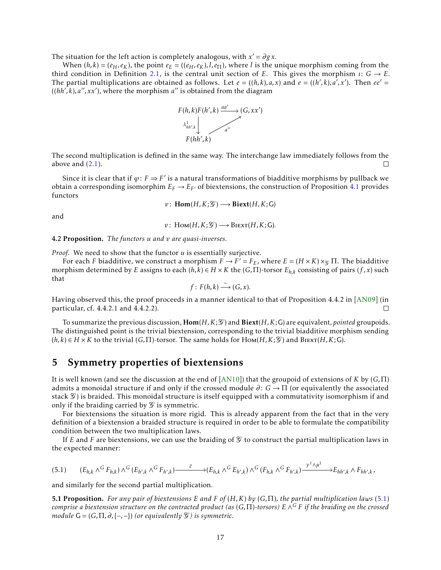<span id="page-16-4"></span>The situation for the left action is completely analogous, with  $x' = \partial g x$ .

When  $(h,k) = (e_H, e_K)$ , the point  $e_E = ((e_H, e_K), l, e_H)$ , where *l* is the unique morphism coming from the third condition in Definition [2.1,](#page-11-2) is the central unit section of *E*. This gives the morphism  $\iota: G \to E$ . The partial multiplications are obtained as follows. Let  $e = ((h,k),a,x)$  and  $e = ((h',k),a',x')$ . Then  $ee' =$  $((hh',k),a'',xx')$ , where the morphism  $a''$  is obtained from the diagram



The second multiplication is defined in the same way. The interchange law immediately follows from the above and [\(2.1\)](#page-11-1). □

Since it is clear that if  $\varphi: F \Rightarrow F'$  is a natural transformations of biadditive morphisms by pullback we obtain a corresponding isomorphim  $E_F \to E_{F'}$  of biextensions, the construction of Proposition [4.1](#page-15-1) provides functors

 $v: Hom(H, K; \mathcal{G}) \longrightarrow Biext(H, K; G)$ 

and

$$
v\colon \operatorname{Hom}(H,K;\mathcal{G})\longrightarrow \operatorname{Blex}(\Pi,K;\mathsf{G}).
$$

<span id="page-16-3"></span>4.2 Proposition. *The functors u and v are quasi-inverses.*

*Proof.* We need to show that the functor *u* is essentially surjective.

For each *F* biadditive, we construct a morphism  $\vec{F} \to \vec{F'} = F_E$ , where  $E = (H \times K) \times_{\mathcal{G}} \Pi$ . The biadditive morphism determined by *E* assigns to each  $(h, k) \in H \times K$  the  $(G, \Pi)$ -torsor  $E_{h,k}$  consisting of pairs  $(f, x)$  such that ∼

$$
f: F(h,k) \xrightarrow{\sim} (G,x).
$$

Having observed this, the proof proceeds in a manner identical to that of Proposition 4.4.2 in [\[AN09\]](#page-57-0) (in particular, cf. 4.4.2.1 and 4.4.2.2).  $\Box$ 

To summarize the previous discussion,  $Hom(H, K; \mathcal{G})$  and  $Biext(H, K; G)$  are equivalent, *pointed* groupoids. The distinguished point is the trivial biextension, corresponding to the trivial biadditive morphism sending  $(h, k) \in H \times K$  to the trivial  $(G, \Pi)$ -torsor. The same holds for  $Hom(H, K; \mathcal{G})$  and  $Biesz(T, K; G)$ .

## <span id="page-16-0"></span>5 Symmetry properties of biextensions

It is well known (and see the discussion at the end of [\[AN10\]](#page-57-3)) that the groupoid of extensions of *K* by (*G,*Π) admits a monoidal structure if and only if the crossed module  $\partial$ :  $G \rightarrow \Pi$  (or equivalently the associated stack  $\mathscr{G}$ ) is braided. This monoidal structure is itself equipped with a commutativity isomorphism if and only if the braiding carried by  $\mathcal G$  is symmetric.

For biextensions the situation is more rigid. This is already apparent from the fact that in the very definition of a biextension a braided structure is required in order to be able to formulate the compatibility condition between the two multiplication laws.

If *E* and *F* are biextensions, we can use the braiding of  $\mathcal G$  to construct the partial multiplication laws in the expected manner:

<span id="page-16-1"></span>
$$
(5.1) \qquad (E_{h,k} \wedge^G F_{h,k}) \wedge^G (E_{h',k} \wedge^G F_{h',k}) \longrightarrow (E_{h,k} \wedge^G E_{h',k}) \wedge^G (F_{h,k} \wedge^G F_{h',k}) \longrightarrow^{1} \wedge^{\mu^1} E_{hh',k} \wedge F_{hh',k},
$$

and similarly for the second partial multiplication.

<span id="page-16-2"></span>5.1 Proposition. *For any pair of biextensions E and F of* (*H,K*) *by* (*G,*Π)*, the partial multiplication laws* [\(5.1\)](#page-16-1) *comprise a biextension structure on the contracted product (as* (*G,*Π)*-torsors) E* ∧ *<sup>G</sup> F if the braiding on the crossed module*  $G = (G, \Pi, \partial, \{-, -\})$  *(or equivalently*  $\mathcal{G}$ *) is symmetric.*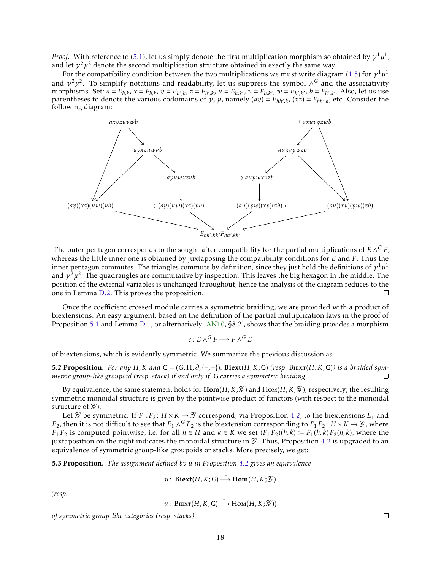<span id="page-17-0"></span>*Proof.* With reference to [\(5.1\)](#page-16-1), let us simply denote the first multiplication morphism so obtained by  $\gamma^1\mu^1$ , and let  $\gamma^2\mu^2$  denote the second multiplication structure obtained in exactly the same way.

For the compatibility condition between the two multiplications we must write diagram [\(1.5\)](#page-9-2) for  $\gamma^1\mu^1$ and  $γ²μ²$ . To simplify notations and readability, let us suppress the symbol ∧<sup>G</sup> and the associativity morphisms. Set:  $a = E_{h,k}$ ,  $x = F_{h,k}$ ,  $y = E_{h',k}$ ,  $z = F_{h',k}$ ,  $u = E_{h,k'}$ ,  $v = F_{h,k'}$ ,  $w = E_{h',k'}$ ,  $b = F_{h',k'}$ . Also, let us use parentheses to denote the various codomains of  $\gamma$ ,  $\mu$ , namely (*ay*) =  $E_{hh',k}$ , (*xz*) =  $F_{hh',k}$ , etc. Consider the following diagram:



The outer pentagon corresponds to the sought-after compatibility for the partial multiplications of  $E \wedge^G F$ , whereas the little inner one is obtained by juxtaposing the compatibility conditions for *E* and *F*. Thus the inner pentagon commutes. The triangles commute by definition, since they just hold the definitions of  $\gamma^1\mu^1$ and  $\gamma^2\mu^2.$  The quadrangles are commutative by inspection. This leaves the big hexagon in the middle. The position of the external variables is unchanged throughout, hence the analysis of the diagram reduces to the one in Lemma [D.2.](#page-53-0) This proves the proposition.  $\Box$ 

Once the coefficient crossed module carries a symmetric braiding, we are provided with a product of biextensions. An easy argument, based on the definition of the partial multiplication laws in the proof of Proposition [5.1](#page-16-2) and Lemma [D.1,](#page-52-1) or alternatively [\[AN10,](#page-57-3) §8.2], shows that the braiding provides a morphism

$$
c\colon E\wedge^G F\longrightarrow F\wedge^G E
$$

of biextensions, which is evidently symmetric. We summarize the previous discussion as

5.2 Proposition. For any H, K and  $G = (G, \Pi, \partial, \{-, -\})$ , Biext(*H*, *K*; *G*) (resp. BIEXT(*H*, *K*; *G*)) is a braided sym*metric group-like groupoid (resp. stack) if and only if* G *carries a symmetric braiding.*  $\Box$ 

By equivalence, the same statement holds for  $\text{Hom}(H,K;\mathcal{G})$  and  $\text{Hom}(H,K;\mathcal{G})$ , respectively; the resulting symmetric monoidal structure is given by the pointwise product of functors (with respect to the monoidal structure of  $\mathcal{G}$ ).

Let  $\mathscr G$  be symmetric. If  $F_1, F_2$ :  $H \times K \to \mathscr G$  correspond, via Proposition [4.2,](#page-16-3) to the biextensions  $E_1$  and *E*<sub>2</sub>, then it is not difficult to see that  $E_1 \wedge^G E_2$  is the biextension corresponding to  $F_1 F_2$ :  $H \times K \to \mathcal{G}$ , where *F*<sub>1</sub> *F*<sub>2</sub> is computed pointwise, i.e. for all  $h \in H$  and  $k \in K$  we set  $(F_1 F_2)(h, k) := F_1(h, k) F_2(h, k)$ , where the juxtaposition on the right indicates the monoidal structure in  $\mathcal G$ . Thus, Proposition [4.2](#page-16-3) is upgraded to an equivalence of symmetric group-like groupoids or stacks. More precisely, we get:

5.3 Proposition. *The assignment defined by u in Proposition [4.2](#page-16-3) gives an equivalence*

$$
u\colon \mathbf{Biext}(H,K;\mathsf{G}) \stackrel{\sim}{\longrightarrow} \mathbf{Hom}(H,K;\mathcal{G})
$$

*(resp.*

$$
u\colon \operatorname{Blex}(\mathcal{H}, K; \mathsf{G}) \xrightarrow{\sim} \operatorname{Hom}(\mathcal{H}, K; \mathcal{G})
$$

*of symmetric group-like categories (resp. stacks).*

 $\Box$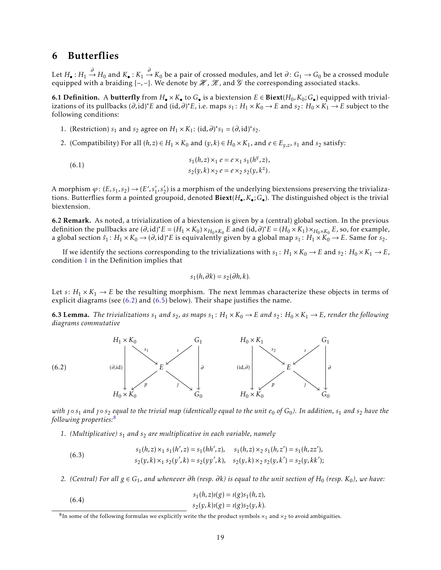### <span id="page-18-0"></span>6 Butterflies

Let  $H_\bullet$  :  $H_1$   $\stackrel{\partial}{\to}$   $H_0$  and  $K_\bullet$  :  $K_1$   $\stackrel{\partial}{\to}$   $K_0$  be a pair of crossed modules, and let  $\partial\colon G_1\to G_0$  be a crossed module equipped with a braiding {−,−}. We denote by  $\mathscr X$  ,  $\mathscr X$  , and  $\mathscr G$  the corresponding associated stacks.

<span id="page-18-8"></span>**6.1 Definition.** A butterfly from  $H_{\bullet} \times K_{\bullet}$  to  $G_{\bullet}$  is a biextension  $E \in \text{Biext}(H_0, K_0; G_{\bullet})$  equipped with trivializations of its pullbacks  $(\partial, id)^*E$  and  $(id, \partial)^*E$ , i.e. maps  $s_1 : H_1 \times K_0 \to E$  and  $s_2 : H_0 \times K_1 \to E$  subject to the following conditions:

- <span id="page-18-1"></span>1. (Restriction)  $s_1$  and  $s_2$  agree on  $H_1 \times K_1$ : (id,  $\partial$ )\* $s_1 = (\partial, id)^* s_2$ .
- <span id="page-18-10"></span>2. (Compatibility) For all  $(h, z) \in H_1 \times K_0$  and  $(y, k) \in H_0 \times K_1$ , and  $e \in E_{v, z}$ ,  $s_1$  and  $s_2$  satisfy:

(6.1) 
$$
s_1(h, z) \times_1 e = e \times_1 s_1(h^y, z), \n s_2(y, k) \times_2 e = e \times_2 s_2(y, k^z).
$$

A morphism  $\varphi: (E, s_1, s_2) \to (E', s_1', s_2')$  is a morphism of the underlying biextensions preserving the trivializations. Butterflies form a pointed groupoid, denoted Biext(*H*• *,K*• ;*G*• ). The distinguished object is the trivial biextension.

6.2 Remark. As noted, a trivialization of a biextension is given by a (central) global section. In the previous definition the pullbacks are  $(\partial, id)^* E = (H_1 \times K_0) \times_{H_0 \times K_0} E$  and  $(id, \partial)^* E = (H_0 \times K_1) \times_{H_0 \times K_0} E$ , so, for example, a global section  $\hat{s}_1$ :  $H_1 \times K_0 \to (\partial, id)^* E$  is equivalently given by a global map  $s_1$ :  $H_1 \times K_0 \to E$ . Same for  $s_2$ .

If we identify the sections corresponding to the trivializations with  $s_1$ :  $H_1 \times K_0 \to E$  and  $s_2$ :  $H_0 \times K_1 \to E$ , condition [1](#page-18-1) in the Definition implies that

<span id="page-18-7"></span>
$$
s_1(h, \partial k) = s_2(\partial h, k).
$$

Let  $s: H_1 \times K_1 \to E$  be the resulting morphism. The next lemmas characterize these objects in terms of explicit diagrams (see [\(6.2\)](#page-18-2) and [\(6.5\)](#page-19-0) below). Their shape justifies the name.

<span id="page-18-6"></span>**6.3 Lemma.** The trivializations  $s_1$  and  $s_2$ , as maps  $s_1$ :  $H_1 \times K_0 \to E$  and  $s_2$ :  $H_0 \times K_1 \to E$ , render the following *diagrams commutative*

<span id="page-18-2"></span>

*with*  $j \circ s_1$  *and*  $j \circ s_2$  *equal to the trivial map (identically equal to the unit*  $e_0$  *of*  $G_0$ ). In addition,  $s_1$  *and*  $s_2$  *have the following properties:*[8](#page-18-3)

- <span id="page-18-9"></span><span id="page-18-4"></span>*1. (Multiplicative) s*<sup>1</sup> *and s*<sup>2</sup> *are multiplicative in each variable, namely*
	- (6.3)  $s_1(h, z) \times_1 s_1(h', z) = s_1(hh', z), \quad s_1(h, z) \times_2 s_1(h, z') = s_1(h, zz'),$  $s_2(y,k) \times_1 s_2(y',k) = s_2(yy',k), \quad s_2(y,k) \times_2 s_2(y,k') = s_2(y,kk');$

<span id="page-18-11"></span>*2. (Central)* For all  $g ∈ G_1$ *, and whenever ∂h (resp. ∂k) is equal to the unit section of*  $H_0$  *(resp.*  $K_0$ *), we have:* 

<span id="page-18-5"></span>(6.4)  $s_1(h, z)$  $i(g) = i(g)s_1(h, z)$ ,  $s_2(y,k)i(g) = i(g)s_2(y,k)$ .

<span id="page-18-3"></span> $^8{\rm In}$  some of the following formulas we explicitly write the the product symbols  $\times_1$  and  $\times_2$  to avoid ambiguities.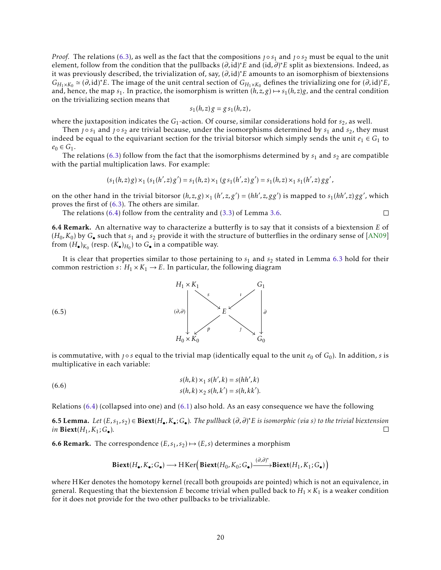<span id="page-19-1"></span>*Proof.* The relations [\(6.3\)](#page-18-4), as well as the fact that the compositions  $1 \circ s_1$  and  $1 \circ s_2$  must be equal to the unit element, follow from the condition that the pullbacks (*∂,*id) <sup>∗</sup>*E* and (id*,∂*) <sup>∗</sup>*E* split as biextensions. Indeed, as it was previously described, the trivialization of, say, (*∂,*id) <sup>∗</sup>*E* amounts to an isomorphism of biextensions  $G_{H_1\times K_0} \simeq (\partial, id)^*E$ . The image of the unit central section of  $G_{H_1\times K_0}$  defines the trivializing one for  $(\partial, id)^*E$ , and, hence, the map  $s_1$ . In practice, the isomorphism is written  $(h, z, g) \mapsto s_1(h, z)g$ , and the central condition on the trivializing section means that

$$
s_1(h,z)g = g s_1(h,z),
$$

where the juxtaposition indicates the  $G_1$ -action. Of course, similar considerations hold for  $s_2$ , as well.

Then  $j \circ s_1$  and  $j \circ s_2$  are trivial because, under the isomorphisms determined by  $s_1$  and  $s_2$ , they must indeed be equal to the equivariant section for the trivial bitorsor which simply sends the unit  $e_1 \in G_1$  to  $e_0 \in G_1$ .

The relations [\(6.3\)](#page-18-4) follow from the fact that the isomorphisms determined by  $s_1$  and  $s_2$  are compatible with the partial multiplication laws. For example:

$$
(s_1(h,z)g) \times_1 (s_1(h',z)g') = s_1(h,z) \times_1 (gs_1(h',z)g') = s_1(h,z) \times_1 s_1(h',z) gg',
$$

on the other hand in the trivial bitorsor  $(h, z, g) \times_1 (h', z, g') = (hh', z, gg')$  is mapped to  $s_1(hh', z)gg'$ , which proves the first of [\(6.3\)](#page-18-4). The others are similar.

 $\Box$ 

The relations [\(6.4\)](#page-18-5) follow from the centrality and [\(3.3\)](#page-13-1) of Lemma [3.6.](#page-13-2)

6.4 Remark. An alternative way to characterize a butterfly is to say that it consists of a biextension *E* of  $(H_0, K_0)$  by  $G_{\bullet}$  such that  $s_1$  and  $s_2$  provide it with the structure of butterflies in the ordinary sense of [\[AN09\]](#page-57-0) from  $(H_{\bullet})_{K_0}$  (resp.  $(K_{\bullet})_{H_0}$ ) to  $G_{\bullet}$  in a compatible way.

It is clear that properties similar to those pertaining to  $s_1$  and  $s_2$  stated in Lemma [6.3](#page-18-6) hold for their common restriction *s*:  $H_1 \times K_1 \rightarrow E$ . In particular, the following diagram

<span id="page-19-0"></span>

is commutative, with  $j \circ s$  equal to the trivial map (identically equal to the unit  $e_0$  of  $G_0$ ). In addition, *s* is multiplicative in each variable:

(6.6) 
$$
s(h,k) \times_1 s(h',k) = s(hh',k) s(h,k) \times_2 s(h,k') = s(h,kk').
$$

(6.5)

Relations [\(6.4\)](#page-18-5) (collapsed into one) and [\(6.1\)](#page-18-7) also hold. As an easy consequence we have the following

**6.5 Lemma.** Let  $(E, s_1, s_2)$  ∈ **Biext** $(H_\bullet, K_\bullet; G_\bullet)$ . The pullback  $(\partial, \partial)^* E$  is isomorphic (via s) to the trivial biextension *in*  $Biext(H_1, K_1; G_{\bullet}).$  $\Box$ 

**6.6 Remark.** The correspondence  $(E, s_1, s_2) \mapsto (E, s)$  determines a morphism

$$
\textbf{Biext}(H_{\bullet}, K_{\bullet}; G_{\bullet}) \longrightarrow \textbf{HKer}\Big(\textbf{Biext}(H_0, K_0; G_{\bullet}) \xrightarrow{(\partial, \partial)^*} \textbf{Biext}(H_1, K_1; G_{\bullet})\Big)
$$

where HKer denotes the homotopy kernel (recall both groupoids are pointed) which is not an equivalence, in general. Requesting that the biextension *E* become trivial when pulled back to  $H_1 \times K_1$  is a weaker condition for it does not provide for the two other pullbacks to be trivializable.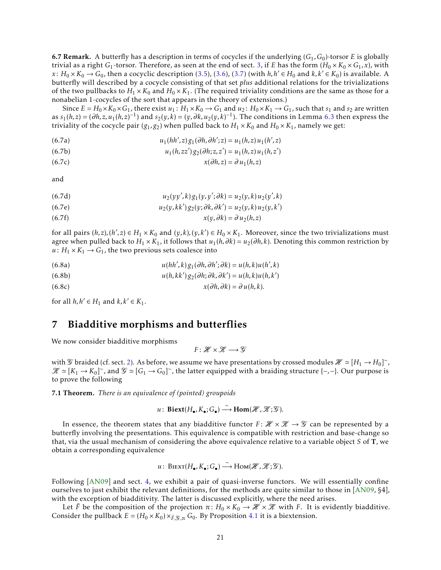6.7 Remark. A butterfly has a description in terms of cocycles if the underlying  $(G_1, G_0)$ -torsor *E* is globally trivial as a right *G*<sub>1</sub>-torsor. Therefore, as seen at the end of sect. [3,](#page-11-0) if *E* has the form  $(H_0 \times K_0 \times G_1, x)$ , with *x*: *H*<sub>0</sub> × *K*<sub>0</sub> → *G*<sub>0</sub>, then a cocyclic description [\(3.5\)](#page-14-0), [\(3.6\)](#page-14-1), [\(3.7\)](#page-14-2) (with *h*, *h*<sup>*'*</sup> ∈ *H*<sub>0</sub> and *k*, *k*<sup>'</sup> ∈ *K*<sub>0</sub>) is available. A butterfly will described by a cocycle consisting of that set *plus* additional relations for the trivializations of the two pullbacks to  $H_1 \times K_0$  and  $H_0 \times K_1$ . (The required triviality conditions are the same as those for a nonabelian 1-cocycles of the sort that appears in the theory of extensions.)

Since  $E = H_0 \times K_0 \times G_1$ , there exist  $u_1: H_1 \times K_0 \to G_1$  and  $u_2: H_0 \times K_1 \to G_1$ , such that  $s_1$  and  $s_2$  are written as  $s_1(h, z) = (\partial h, z, u_1(h, z)^{-1})$  and  $s_2(y, k) = (y, \partial k, u_2(y, k)^{-1})$ . The conditions in Lemma [6.3](#page-18-6) then express the triviality of the cocycle pair ( $g_1, g_2$ ) when pulled back to  $H_1 \times K_0$  and  $H_0 \times K_1$ , namely we get:

(6.7a) 
$$
u_1(hh', z) g_1(\partial h, \partial h'; z) = u_1(h, z) u_1(h', z)
$$

(6.7b) 
$$
u_1(h, zz')g_2(\partial h; z, z') = u_1(h, z)u_1(h, z')
$$

$$
(6.7c) \t x(\partial h, z) = \partial u_1(h, z)
$$

and

(6.7d) 
$$
u_2(yy',k) g_1(y,y';\partial k) = u_2(y,k) u_2(y',k)
$$

(6.7e) 
$$
u_2(y, kk')g_2(y; \partial k, \partial k') = u_2(y, k)u_2(y, k')
$$

$$
x(y, \partial k) = \partial u_2(h, z)
$$

for all pairs  $(h, z)$ ,  $(h', z) \in H_1 \times K_0$  and  $(y, k)$ ,  $(y, k') \in H_0 \times K_1$ . Moreover, since the two trivializations must agree when pulled back to  $H_1 \times K_1$ , it follows that  $u_1(h, \partial k) = u_2(\partial h, k)$ . Denoting this common restriction by  $u: H_1 \times K_1 \rightarrow G_1$ , the two previous sets coalesce into

(6.8a)  
\n
$$
u(hh',k)g_1(\partial h,\partial h';\partial k) = u(h,k)u(h',k)
$$
\n
$$
u(h,kk')g_2(\partial h;\partial k,\partial k') = u(h,k)u(h,k')
$$

$$
(6.8c) \t x(\partial h, \partial k) = \partial u(h, k).
$$

for all  $h, h' \in H_1$  and  $k, k' \in K_1$ .

## <span id="page-20-1"></span>7 Biadditive morphisms and butterflies

We now consider biadditive morphisms

$$
F\colon \mathcal{H}\times \mathcal{K}\longrightarrow \mathcal{G}
$$

with  $\mathscr G$  braided (cf. sect. [2\)](#page-10-0). As before, we assume we have presentations by crossed modules  $\mathscr H \simeq [H_1 \to H_0]^\sim$ ,  $\mathscr{K} \simeq [K_1 \to K_0]^\sim$ , and  $\mathscr{G} \simeq [G_1 \to G_0]^\sim$ , the latter equipped with a braiding structure {−,−}. Our purpose is to prove the following

<span id="page-20-0"></span>7.1 Theorem. *There is an equivalence of (pointed) groupoids*

$$
u: \textbf{Biext}(H_{\bullet}, K_{\bullet}; G_{\bullet}) \stackrel{\sim}{\longrightarrow} \textbf{Hom}(\mathscr{H}, \mathscr{K}; \mathscr{G}).
$$

In essence, the theorem states that any biadditive functor  $F: \mathcal{H} \times \mathcal{H} \to \mathcal{G}$  can be represented by a butterfly involving the presentations. This equivalence is compatible with restriction and base-change so that, via the usual mechanism of considering the above equivalence relative to a variable object *S* of T, we obtain a corresponding equivalence

$$
u\colon \operatorname{Blex}(\mathcal{H}_{\bullet}, K_{\bullet}; G_{\bullet}) \stackrel{\sim}{\longrightarrow} \operatorname{Hom}(\mathscr{H}, \mathscr{K}; \mathscr{G}).
$$

Following [\[AN09\]](#page-57-0) and sect. [4,](#page-15-0) we exhibit a pair of quasi-inverse functors. We will essentially confine ourselves to just exhibit the relevant definitions, for the methods are quite similar to those in [\[AN09,](#page-57-0) §4], with the exception of biadditivity. The latter is discussed explicitly, where the need arises.

Let  $\bar{F}$  be the composition of the projection  $\pi: H_0 \times K_0 \to \mathcal{H} \times \mathcal{H}$  with *F*. It is evidently biadditive. Consider the pullback  $E = (H_0 \times K_0) \times_{\bar{F}, \mathcal{G}, \pi} G_0$ . By Proposition [4.1](#page-15-1) it is a biextension.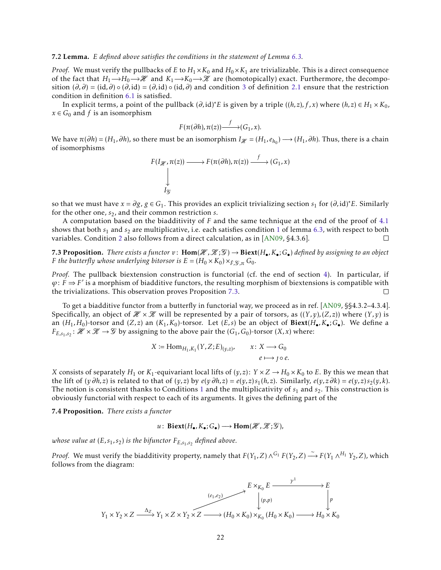#### <span id="page-21-1"></span>7.2 Lemma. *E defined above satisfies the conditions in the statement of Lemma [6.3.](#page-18-6)*

*Proof.* We must verify the pullbacks of *E* to  $H_1 \times K_0$  and  $H_0 \times K_1$  are trivializable. This is a direct consequence of the fact that  $H_1{\longrightarrow} H_0{\longrightarrow} \mathscr{H}$  and  $K_1{\longrightarrow} K_0{\longrightarrow} \mathscr{H}$  are (homotopically) exact. Furthermore, the decomposition  $(\partial, \partial) = (\mathrm{id}, \partial) \circ (\partial, \mathrm{id}) = (\partial, \mathrm{id}) \circ (\mathrm{id}, \partial)$  and condition [3](#page-11-3) of definition [2.1](#page-11-2) ensure that the restriction condition in definition [6.1](#page-18-8) is satisfied.

In explicit terms, a point of the pullback  $(\partial, id)^*E$  is given by a triple  $((h, z), f, x)$  where  $(h, z) \in H_1 \times K_0$ ,  $x \in G_0$  and *f* is an isomorphism

$$
F(\pi(\partial h), \pi(z)) \stackrel{f}{\longrightarrow} (G_1, x).
$$

We have  $\pi(\partial h) = (H_1, \partial h)$ , so there must be an isomorphism  $I_{\mathcal{H}} = (H_1, e_{h_0}) \longrightarrow (H_1, \partial h)$ . Thus, there is a chain of isomorphisms

$$
F(I_{\mathcal{H}}, \pi(z)) \longrightarrow F(\pi(\partial h), \pi(z)) \xrightarrow{f} (G_1, x)
$$
  
\n
$$
\downarrow
$$
  
\n
$$
I_{\mathcal{G}}
$$

so that we must have  $x = \partial g$ ,  $g \in G_1$ . This provides an explicit trivializing section  $s_1$  for  $(\partial, id)^*E$ . Similarly for the other one, *s*2, and their common restriction *s*.

A computation based on the biadditivity of *F* and the same technique at the end of the proof of [4.1](#page-15-1) shows that both *s*<sup>1</sup> and *s*<sup>2</sup> are multiplicative, i.e. each satisfies condition [1](#page-18-9) of lemma [6.3,](#page-18-6) with respect to both variables. Condition [2](#page-18-10) also follows from a direct calculation, as in [\[AN09,](#page-57-0) §4.3.6]. П

<span id="page-21-0"></span>**7.3 Proposition.** There exists a functor  $v:$   $Hom(\mathcal{H}, \mathcal{K}; \mathcal{G}) \to$   $Biext(H_., K_., G_*)$  defined by assigning to an object *F the butterfly whose underlying bitorsor is*  $E = (H_0 \times K_0) \times_{\bar{F}, \mathcal{G}, \pi} G_0$ *.* 

*Proof.* The pullback biextension construction is functorial (cf. the end of section [4\)](#page-15-0). In particular, if  $\varphi: \overrightarrow{F} \Rightarrow F'$  is a morphism of biadditive functors, the resulting morphism of biextensions is compatible with the trivializations. This observation proves Proposition [7.3.](#page-21-0)  $\Box$ 

To get a biadditive functor from a butterfly in functorial way, we proceed as in ref. [\[AN09,](#page-57-0) §§4.3.2–4.3.4]. Specifically, an object of  $\mathcal{H} \times \mathcal{H}$  will be represented by a pair of torsors, as  $((Y, y), (Z, z))$  where  $(Y, y)$  is an  $(H_1, H_0)$ -torsor and  $(Z, z)$  an  $(K_1, K_0)$ -torsor. Let  $(E, s)$  be an object of  $\textbf{Bicxt}(H_\bullet, K_\bullet; G_\bullet)$ . We define a  $F_{E,s_1,s_2} \colon \mathscr{H} \times \mathscr{H} \to \mathscr{G}$  by assigning to the above pair the  $(G_1,G_0)$ -torsor  $(X,x)$  where:

$$
X := \text{Hom}_{H_1, K_1}(Y, Z; E)_{(y, z)}, \qquad x \colon X \longrightarrow G_0
$$

$$
e \longmapsto j \circ e.
$$

*X* consists of separately *H*<sub>1</sub> or *K*<sub>1</sub>-equivariant local lifts of  $(y, z)$ :  $Y \times Z \rightarrow H_0 \times K_0$  to *E*. By this we mean that the lift of  $(y \partial h, z)$  is related to that of  $(y, z)$  by  $e(y \partial h, z) = e(y, z) s_1(h, z)$ . Similarly,  $e(y, z \partial k) = e(y, z) s_2(y, k)$ . The notion is consistent thanks to Conditions [1](#page-18-1) and the multiplicativity of  $s_1$  and  $s_2$ . This construction is obviously functorial with respect to each of its arguments. It gives the defining part of the

7.4 Proposition. *There exists a functor*

 $u: \text{Biext}(H_{\bullet}, K_{\bullet}; G_{\bullet}) \longrightarrow \text{Hom}(\mathcal{H}, \mathcal{K}; \mathcal{G}),$ 

*whose value at* (*E, s*1*, s*2) *is the bifunctor FE,s*1*,s*<sup>2</sup> *defined above.*

*Proof.* We must verify the biadditivity property, namely that  $F(Y_1, Z) \wedge^{G_1} F(Y_2, Z) \stackrel{\sim}{\longrightarrow} F(Y_1 \wedge^{H_1} Y_2, Z)$ , which follows from the diagram:

$$
Y_1 \times Y_2 \times Z \xrightarrow{\Delta_Z} Y_1 \times Z \times Y_2 \times Z \xrightarrow{\text{(e_1,e_2)}} (H_0 \times K_0) \times_{K_0} (H_0 \times K_0) \xrightarrow{\gamma^1} E
$$
  
\n
$$
\downarrow^{(p,p)} \downarrow^{p}
$$
  
\n
$$
Y_1 \times Y_2 \times Z \xrightarrow{\Delta_Z} Y_1 \times Z \times Y_2 \times Z \xrightarrow{\text{(e_1,e_2)}} (H_0 \times K_0) \times_{K_0} (H_0 \times K_0) \xrightarrow{\gamma^1} E
$$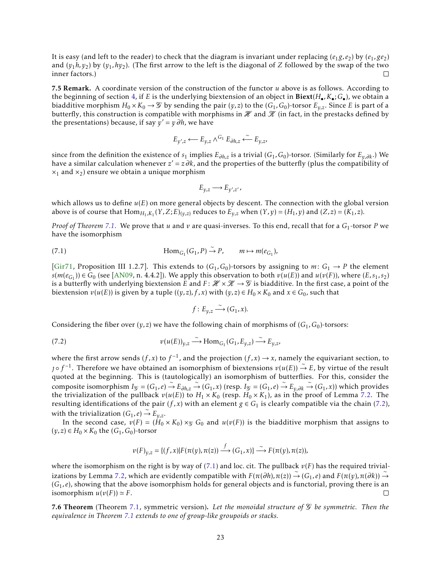<span id="page-22-4"></span>It is easy (and left to the reader) to check that the diagram is invariant under replacing ( $e_1g,e_2$ ) by ( $e_1,ge_2$ ) and  $(y_1h, y_2)$  by  $(y_1, hy_2)$ . (The first arrow to the left is the diagonal of *Z* followed by the swap of the two inner factors.)  $\Box$ 

<span id="page-22-2"></span>7.5 Remark. A coordinate version of the construction of the functor *u* above is as follows. According to the beginning of section [4,](#page-15-0) if *E* is the underlying biextension of an object in  $\textbf{Biext}(H_\bullet,K_\bullet;G_\bullet)$ , we obtain a biadditive morphism  $H_0 \times K_0 \to \mathcal{G}$  by sending the pair  $(y, z)$  to the  $(G_1, G_0)$ -torsor  $E_{y,z}$ . Since *E* is part of a butterfly, this construction is compatible with morphisms in  $\mathcal X$  and  $\mathcal X$  (in fact, in the prestacks defined by the presentations) because, if say  $y' = y \partial h$ , we have

$$
E_{y',z} \longleftarrow E_{y,z} \wedge^{G_1} E_{\partial h,z} \stackrel{\sim}{\longleftarrow} E_{y,z},
$$

since from the definition the existence of  $s_1$  implies  $E_{\partial h,z}$  is a trivial ( $G_1, G_0$ )-torsor. (Similarly for  $E_{v,\partial k}$ .) We have a similar calculation whenever  $z' = z \partial k$ , and the properties of the butterfly (plus the compatibility of  $x_1$  and  $x_2$ ) ensure we obtain a unique morphism

$$
E_{y,z} \longrightarrow E_{y',z'} ,
$$

which allows us to define *u*(*E*) on more general objects by descent. The connection with the global version above is of course that  $\text{Hom}_{H_1,K_1}(Y,Z;E)_{(y,z)}$  reduces to  $E_{y,z}$  when  $(Y,y) = (H_1,y)$  and  $(Z,z) = (K_1,z)$ .

*Proof of Theorem [7.1.](#page-20-0)* We prove that *u* and *v* are quasi-inverses. To this end, recall that for a *G*1-torsor *P* we have the isomorphism

(7.1) 
$$
\text{Hom}_{G_1}(G_1, P) \xrightarrow{\sim} P, \qquad m \mapsto m(e_{G_1}),
$$

[\[Gir71,](#page-58-13) Proposition III 1.2.7]. This extends to  $(G_1, G_0)$ -torsors by assigning to  $m: G_1 \to P$  the element *s*(*m*( $e_{G_1}$ )) ∈  $G_0$  (see [\[AN09,](#page-57-0) n. 4.4.2]). We apply this observation to both  $v(u(E))$  and  $u(v(F))$ , where (*E*, *s*<sub>1</sub>, *s*<sub>2</sub>) is a butterfly with underlying biextension *E* and *F* :  $\mathcal{H} \times \mathcal{H} \to \mathcal{G}$  is biadditive. In the first case, a point of the biextension  $v(u(E))$  is given by a tuple  $((y, z), f, x)$  with  $(y, z) \in H_0 \times K_0$  and  $x \in G_0$ , such that

<span id="page-22-1"></span><span id="page-22-0"></span>
$$
f: E_{y,z} \xrightarrow{\sim} (G_1, x).
$$

Considering the fiber over  $(y, z)$  we have the following chain of morphisms of  $(G_1, G_0)$ -torsors:

(7.2) 
$$
v(u(E))_{y,z} \xrightarrow{\sim} \text{Hom}_{G_1}(G_1, E_{y,z}) \xrightarrow{\sim} E_{y,z},
$$

where the first arrow sends  $(f, x)$  to  $f^{-1}$ , and the projection  $(f, x) \to x$ , namely the equivariant section, to  $f \circ f^{-1}$ . Therefore we have obtained an isomorphism of biextensions  $v(u(E)) \to E$ , by virtue of the result quoted at the beginning. This is (tautologically) an isomorphism of butterflies. For this, consider the composite isomorphism  $I_g = (G_1, e) \rightarrow E_{\partial h,z} \rightarrow (G_1, x)$  (resp.  $I_g = (G_1, e) \rightarrow E_{y,\partial k} \rightarrow (G_1, x)$ ) which provides the trivialization of the pullback  $v(u(E))$  to  $H_1 \times K_0$  (resp.  $H_0 \times K_1$ ), as in the proof of Lemma [7.2.](#page-21-1) The resulting identifications of the pair (*f*, *x*) with an element  $g \in G_1$  is clearly compatible via the chain [\(7.2\)](#page-22-0), with the trivialization  $(G_1, e) \rightarrow E_{y,z}$ .

In the second case,  $v(F) = (H_0 \times K_0) \times_{\mathcal{G}} G_0$  and  $u(v(F))$  is the biadditive morphism that assigns to  $(y, z) ∈ H<sub>0</sub> × K<sub>0</sub>$  the  $(G<sub>1</sub>, G<sub>0</sub>)$ -torsor

$$
v(F)_{y,z} = \{(f,x)|F(\pi(y),\pi(z)) \xrightarrow{f} (G_1,x)\} \xrightarrow{\sim} F(\pi(y),\pi(z)),
$$

where the isomorphism on the right is by way of  $(7.1)$  and loc. cit. The pullback  $v(F)$  has the required trivial-izations by Lemma [7.2,](#page-21-1) which are evidently compatible with  $F(\pi(\partial h), \pi(z)) \to (G_1, e)$  and  $F(\pi(y), \pi(\partial k)) \to$ (*G*1*, e*), showing that the above isomorphism holds for general objects and is functorial, proving there is an isomorphism  $u(v(F)) \simeq F$ .  $\Box$ 

<span id="page-22-3"></span>7.6 Theorem (Theorem [7.1,](#page-20-0) symmetric version). *Let the monoidal structure of* G *be symmetric. Then the equivalence in Theorem [7.1](#page-20-0) extends to one of group-like groupoids or stacks.*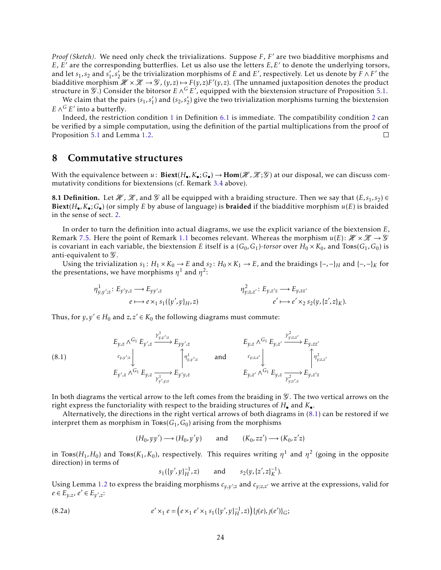*Proof (Sketch)*. We need only check the trivializations. Suppose *F*, *F'* are two biadditive morphisms and *E*,  $E'$  are the corresponding butterflies. Let us also use the letters  $E, E'$  to denote the underlying torsors, and let  $s_1$ ,  $s_2$  and  $s_1$  $\frac{1}{2}$ ,  $s_2$  be the trivialization morphisms of *E* and *E'*, respectively. Let us denote by  $\overline{F} \wedge F'$  the biadditive morphism  $\mathscr{H} \times \mathscr{H} \to \mathscr{G}$ ,  $(y, z) \mapsto F(y, z)F'(y, z)$ . (The unnamed juxtaposition denotes the product structure in  $\mathscr{G}$ .) Consider the bitorsor  $E \wedge^G E'$ , equipped with the biextension structure of Proposition [5.1.](#page-16-2)

We claim that the pairs  $(s_1, s'_1)$  and  $(s_2, s'_2)$  give the two trivialization morphisms turning the biextension  $E \wedge^G E'$  into a butterfly.

Indeed, the restriction condition [1](#page-18-1) in Definition [6.1](#page-18-8) is immediate. The compatibility condition [2](#page-18-10) can be verified by a simple computation, using the definition of the partial multiplications from the proof of Proposition [5.1](#page-16-2) and Lemma [1.2.](#page-9-5)  $\Box$ 

### <span id="page-23-0"></span>8 Commutative structures

With the equivalence between  $u:$   $Biext(H_{\bullet}, K_{\bullet}; G_{\bullet}) \to Hom(\mathscr{H}, \mathscr{H}; \mathscr{G})$  at our disposal, we can discuss commutativity conditions for biextensions (cf. Remark [3.4](#page-12-3) above).

8.1 Definition. Let  $\mathcal{H}$ ,  $\mathcal{H}$ , and  $\mathcal{G}$  all be equipped with a braiding structure. Then we say that  $(E, s_1, s_2) \in$  $\textbf{Bicxt}(H_\bullet,K_\bullet;G_\bullet)$  (or simply  $E$  by abuse of language) is  $\textbf{braided}$  if the biadditive morphism  $u(E)$  is braided in the sense of sect. [2.](#page-10-0)

In order to turn the definition into actual diagrams, we use the explicit variance of the biextension *E*, Remark [7.5.](#page-22-2) Here the point of Remark [1.1](#page-7-0) becomes relevant. Whereas the morphism  $u(E): \mathcal{H} \times \mathcal{H} \to \mathcal{G}$ is covariant in each variable, the biextension *E* itself is a  $(G_0, G_1)$ *-torsor* over  $H_0 \times K_0$ , and Tors $(G_1, G_0)$  is anti-equivalent to  $\mathcal{G}$ .

Using the trivialization  $s_1$ :  $H_1 \times K_0 \to E$  and  $s_2$ :  $H_0 \times K_1 \to E$ , and the braidings  $\{-, -\}$ *H* and  $\{-, -\}$ *K* for the presentations, we have morphisms  $\eta^1$  and  $\eta^2$ :

$$
\eta_{y,y',z}^1: E_{y'y,z} \longrightarrow E_{yy',z} \longrightarrow E_{yy',z} \qquad \eta_{y;z,z'}^2: E_{y,z'z} \longrightarrow E_{y,zz'} \qquad \qquad e \longmapsto e \times_1 s_1(\{y',y\}_H,z) \qquad \qquad e' \longmapsto e' \times_2 s_2(y,\{z',z\}_K).
$$

Thus, for  $y, y' \in H_0$  and  $z, z' \in K_0$  the following diagrams must commute:

<span id="page-23-1"></span>(8.1) 
$$
E_{y,z} \wedge^{G_1} E_{y',z} \xrightarrow{\gamma_{y,y',z}^1} E_{yy',z} \qquad E_{y,z} \wedge^{G_1} E_{y,z'} \xrightarrow{\gamma_{y,z,z'}^2} E_{y,zz'}
$$
  
\n
$$
E_{y,z} \wedge^{G_1} E_{y,z'} \xrightarrow{\gamma_{y,z,z}^1} E_{y',z'}
$$
  
\nand 
$$
E_{y,z} \wedge^{G_1} E_{y,z'} \xrightarrow{\gamma_{y,z,z}^1} E_{y',z'z}
$$
  
\n
$$
E_{y,z'} \wedge^{G_1} E_{y,z} \xrightarrow{\gamma_{y,z',z}^2} E_{y,z'z}
$$

In both diagrams the vertical arrow to the left comes from the braiding in  $\mathscr G$ . The two vertical arrows on the right express the functoriality with respect to the braiding structures of *H*• and *K*• .

Alternatively, the directions in the right vertical arrows of both diagrams in [\(8.1\)](#page-23-1) can be restored if we interpret them as morphism in  $Tors(G_1, G_0)$  arising from the morphisms

$$
(H_0, yy') \longrightarrow (H_0, y'y) \qquad \text{and} \qquad (K_0, zz') \longrightarrow (K_0, z'z)
$$

in Tors $(H_1,H_0)$  and Tors $(K_1,K_0)$ , respectively. This requires writing  $\eta^1$  and  $\eta^2$  (going in the opposite direction) in terms of

<span id="page-23-2"></span>
$$
s_1({y', y}_{H}^{-1}, z)
$$
 and  $s_2(y, {z', z}_{K}^{-1}).$ 

Using Lemma [1.2](#page-9-5) to express the braiding morphisms  $c_{y,y';z}$  and  $c_{y;z,z'}$  we arrive at the expressions, valid for  $e \in E_{y,z}$ ,  $e' \in E_{y',z}$ :

(8.2a) 
$$
e' \times_1 e = (e \times_1 e' \times_1 s_1(\{y', y\}_{H}^{-1}, z)) \{j(e), j(e')\}_{G};
$$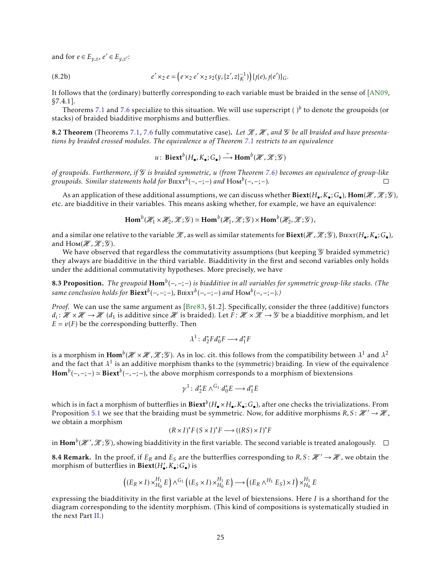<span id="page-24-0"></span>and for  $e \in E_{y,z}$ ,  $e' \in E_{y,z'}$ :

(8.2b) 
$$
e' \times_2 e = (e \times_2 e' \times_2 s_2(y, \{z', z\}_{K}^{-1})) \{j(e), j(e')\}_{G}.
$$

It follows that the (ordinary) butterfly corresponding to each variable must be braided in the sense of [\[AN09,](#page-57-0) §7.4.1].

Theorems [7.1](#page-20-0) and [7.6](#page-22-3) specialize to this situation. We will use superscript ( )<sup>b</sup> to denote the groupoids (or stacks) of braided biadditive morphisms and butterflies.

**8.2 Theorem** (Theorems [7.1,](#page-20-0) [7.6](#page-22-3) fully commutative case). Let  $\mathcal{K}, \mathcal{H}$ , and  $\mathcal{G}$  be all braided and have presenta*tions by braided crossed modules. The equivalence u of Theorem [7.1](#page-20-0) restricts to an equivalence*

$$
u\colon \mathbf{Biext}^b(H_{\bullet}, K_{\bullet}; G_{\bullet}) \xrightarrow{\sim} \mathbf{Hom}^b(\mathcal{H}, \mathcal{K}; \mathcal{G})
$$

*of groupoids. Furthermore, if* G *is braided symmetric, u (from Theorem [7.6\)](#page-22-3) becomes an equivalence of group-like groupoids. Similar statements hold for* Biext*<sup>b</sup>* (−*,*−;−) *and* Hom*<sup>b</sup>* (−*,*−;−)*.*  $\Box$ 

As an application of these additional assumptions, we can discuss whether  $\textbf{Bicxt}(H_\bullet,K_\bullet;G_\bullet)$ ,  $\textbf{Hom}(\mathscr{H},\mathscr{K};\mathscr{G})$ , etc. are biadditive in their variables. This means asking whether, for example, we have an equivalence:

$$
\text{Hom}^{b}(\mathscr{H}_1 \times \mathscr{H}_2, \mathscr{K}; \mathscr{G}) \simeq \text{Hom}^{b}(\mathscr{H}_1, \mathscr{K}; \mathscr{G}) \times \text{Hom}^{b}(\mathscr{H}_2, \mathscr{K}; \mathscr{G}),
$$

and a similar one relative to the variable  $\mathscr X$  , as well as similar statements for  $Biext(\mathscr X,\mathscr X;\mathscr G)$ ,  $Biext(H_\bullet,K_\bullet;G_\bullet)$ , and  $\text{Hom}(\mathcal{H}, \mathcal{K}; \mathcal{G})$ .

We have observed that regardless the commutativity assumptions (but keeping  $\mathcal G$  braided symmetric) they always are biadditive in the third variable. Biadditivity in the first and second variables only holds under the additional commutativity hypotheses. More precisely, we have

8.3 Proposition. *The groupoid* Hom*<sup>b</sup>* (−*,*−;−) *is biadditive in all variables for symmetric group-like stacks. (The same conclusion holds for* Biext*<sup>b</sup>* (−*,*−;−)*,* Biext*<sup>b</sup>* (−*,*−;−) *and* Hom*<sup>b</sup>* (−*,*−;−)*.)*

*Proof.* We can use the same argument as [\[Bre83,](#page-58-11) §1.2]. Specifically, consider the three (additive) functors  $d_i\colon\mathscr{H}\times\mathscr{H}\to\mathscr{H}$  ( $d_1$  is additive since  $\mathscr{H}$  is braided). Let  $\tilde{F}\colon\mathscr{H}\times\mathscr{H}\to\mathscr{G}$  be a biadditive morphism, and let  $E = v(F)$  be the corresponding butterfly. Then

$$
\lambda^1: d_2^* F d_0^* F \longrightarrow d_1^* F
$$

is a morphism in  $\text{Hom}^b(\mathscr{H}\times\mathscr{H},\mathscr{K};\mathscr{G}).$  As in loc. cit. this follows from the compatibility between  $\lambda^1$  and  $\lambda^2$ and the fact that  $\lambda^1$  is an additive morphism thanks to the (symmetric) braiding. In view of the equivalence Hom<sup>b</sup>(−,−;−) ≃ Biext<sup>b</sup>(−,−;−), the above morphism corresponds to a morphism of biextensions

$$
\gamma^1: d_2^* E \wedge^{G_1} d_0^* E \longrightarrow d_1^* E
$$

which is in fact a morphism of butterflies in  $Biext^b(H_\bullet\times H_\bullet,K_\bullet;G_\bullet)$ , after one checks the trivializations. From Proposition [5.1](#page-16-2) we see that the braiding must be symmetric. Now, for additive morphisms  $R, S: \mathcal{H}' \to \mathcal{H}$ , we obtain a morphism

$$
(R \times I)^* F (S \times I)^* F \longrightarrow ((RS) \times I)^* F
$$

in  $\text{\tt Hom}^b(\mathscr{H}', \mathscr{K};\mathscr{G})$ , showing biadditivity in the first variable. The second variable is treated analogously.

**8.4 Remark.** In the proof, if  $E_R$  and  $E_S$  are the butterflies corresponding to  $R, S: \mathcal{H}' \to \mathcal{H}$ , we obtain the morphism of butterflies in  $\textbf{Biext}(H'_\bullet,K_\bullet;G_\bullet)$  is

$$
((E_R \times I) \times_{H_0}^{H_1} E) \wedge^{G_1} ((E_S \times I) \times_{H_0}^{H_1} E) \longrightarrow ((E_R \wedge^{H_1} E_S) \times I) \times_{H_0}^{H_1} E
$$

expressing the biadditivity in the first variable at the level of biextensions. Here *I* is a shorthand for the diagram corresponding to the identity morphism. (This kind of compositions is systematically studied in the next Part [II.](#page-25-2))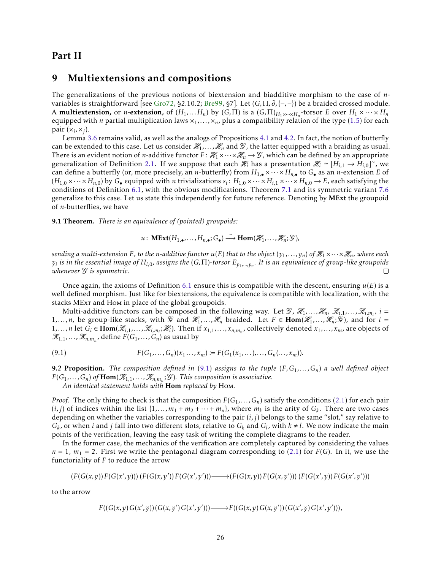## <span id="page-25-5"></span><span id="page-25-2"></span>Part II

## <span id="page-25-1"></span>9 Multiextensions and compositions

The generalizations of the previous notions of biextension and biadditive morphism to the case of *n*variables is straightforward [see [Gro72,](#page-59-1) §2.10.2; [Bre99,](#page-58-4) §7]. Let (*G,*Π*,∂,*{−*,*−}) be a braided crossed module. A multiextension, or *n*-extension, of  $(H_1,...H_n)$  by  $(G,\Pi)$  is a  $(G,\Pi)_{H_1\times\cdots\times H_n}$ -torsor *E* over  $H_1\times\cdots\times H_n$ equipped with *n* partial multiplication laws  $x_1, \ldots, x_n$ , plus a compatibility relation of the type [\(1.5\)](#page-9-2) for each  $\overline{\text{pair}}\left(\times_i,\times_j\right)$ .

Lemma [3.6](#page-13-2) remains valid, as well as the analogs of Propositions [4.1](#page-15-1) and [4.2.](#page-16-3) In fact, the notion of butterfly can be extended to this case. Let us consider  $\mathcal{H}_1,\ldots,\mathcal{H}_n$  and  $\mathcal{G}$ , the latter equipped with a braiding as usual. There is an evident notion of *n*-additive functor  $F: \mathcal{H}_1 \times \cdots \times \mathcal{H}_n \to \mathcal{G}$ , which can be defined by an appropriate generalization of Definition [2.1.](#page-11-2) If we suppose that each  $\mathcal{H}_i$  has a presentation  $\mathcal{H}_i \simeq [H_{i,1} \to H_{i,0}]^{\sim}$ , we can define a butterfly (or, more precisely, an *n*-butterfly) from  $H_{1,\bullet}\times\cdots\times H_{n,\bullet}$  to  $G_\bullet$  as an *n*-extension  $E$  of  $(H_{1,0} \times \cdots \times H_{n,0})$  by  $G_{\bullet}$  equipped with *n* trivializations  $s_i: H_{1,0} \times \cdots \times H_{i,1} \times \cdots \times H_{n,0} \to E$ , each satisfying the conditions of Definition [6.1,](#page-18-8) with the obvious modifications. Theorem [7.1](#page-20-0) and its symmetric variant [7.6](#page-22-3) generalize to this case. Let us state this independently for future reference. Denoting by MExt the groupoid of *n*-butterflies, we have

<span id="page-25-0"></span>9.1 Theorem. *There is an equivalence of (pointed) groupoids:*

$$
u: \text{MExt}(H_{1,\bullet},\ldots,H_{n,\bullet};G_{\bullet}) \stackrel{\sim}{\longrightarrow} \text{Hom}(\mathscr{H}_1,\ldots,\mathscr{H}_n;\mathscr{G}),
$$

*sending a multi-extension* E, to the *n*-additive functor  $u(E)$  that to the object  $(y_1,...,y_n)$  of  $\mathcal{H}_1 \times \cdots \times \mathcal{H}_n$ , where each *yi is in the essential image of Hi,*0*, assigns the* (*G,*Π)*-torsor Ey*1*,...,y<sup>n</sup> . It is an equivalence of group-like groupoids whenever* G *is symmetric.*  $\Box$ 

Once again, the axioms of Definition [6.1](#page-18-8) ensure this is compatible with the descent, ensuring *u*(*E*) is a well defined morphism. Just like for biextensions, the equivalence is compatible with localization, with the stacks MExt and Hom in place of the global groupoids.

Multi-additive functors can be composed in the following way. Let  $\mathcal{G}$  ,  $\mathcal{H}_1, \ldots, \mathcal{H}_n,$   $\mathcal{H}_{i,1}, \ldots, \mathcal{H}_{i,m_i}, i =$ 1,...,n, be group-like stacks, with  $\mathcal G$  and  $\mathcal X_1,\ldots,\mathcal X_n$  braided. Let  $F \in \text{Hom}(\mathcal X_1,\ldots,\mathcal X_n;\mathcal G)$ , and for  $i =$ 1,..., *n* let  $G_i \in \text{Hom}(\mathcal{K}_{i,1},...,\mathcal{K}_{i,m_i};\mathcal{K}_i)$ . Then if  $x_{1,1},...,x_{n,m_n}$ , collectively denoted  $x_1,...,x_m$ , are objects of  $\mathscr{K}_{1,1},\ldots,\mathscr{K}_{n,m_n}$ , define  $F(G_1,\ldots,G_n)$  as usual by

(9.1) 
$$
F(G_1,...,G_n)(x_1...x_m) := F(G_1(x_1,...),...,G_n(...,x_m)).
$$

<span id="page-25-4"></span>**9.2 Proposition.** The composition defined in [\(9.1\)](#page-25-3) assigns to the tuple  $(F, G_1, \ldots, G_n)$  a well defined object  $F(G_1,...,G_n)$  of  $\text{Hom}(\mathscr{K}_{1,1},\ldots,\mathscr{K}_{n,m_n};\mathscr{G})$ . This composition is associative.

<span id="page-25-3"></span>*An identical statement holds with* Hom *replaced by* Hom*.*

*Proof.* The only thing to check is that the composition  $F(G_1, \ldots, G_n)$  satisfy the conditions [\(2.1\)](#page-11-1) for each pair  $(i, j)$  of indices within the list  $\{1, \ldots, m_1 + m_2 + \cdots + m_n\}$ , where  $m_k$  is the arity of  $G_k$ . There are two cases depending on whether the variables corresponding to the pair (*i, j*) belongs to the same "slot," say relative to  $G_k$ , or when *i* and *j* fall into two different slots, relative to  $G_k$  and  $G_l$ , with  $k \neq l$ . We now indicate the main points of the verification, leaving the easy task of writing the complete diagrams to the reader.

In the former case, the mechanics of the verification are completely captured by considering the values  $n = 1$ ,  $m_1 = 2$ . First we write the pentagonal diagram corresponding to [\(2.1\)](#page-11-1) for  $F(G)$ . In it, we use the functoriality of *F* to reduce the arrow

$$
(F(G(x,y))F(G(x',y))) (F(G(x,y'))F(G(x',y'))) \longrightarrow (F(G(x,y))F(G(x,y')) (F(G(x',y))F(G(x',y')))
$$

to the arrow

$$
F((G(x,y)G(x',y))(G(x,y')G(x',y')))\longrightarrow F((G(x,y)G(x,y'))(G(x',y)G(x',y'))),
$$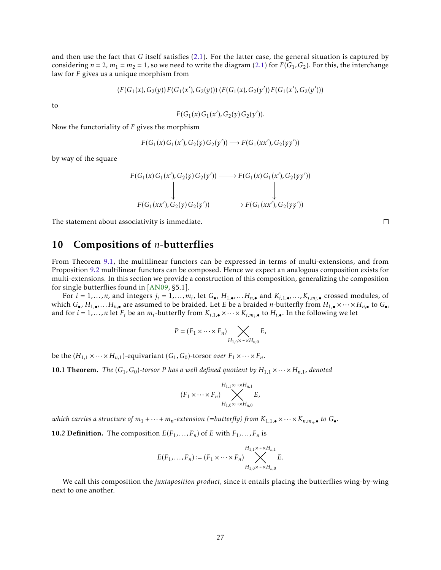<span id="page-26-3"></span>and then use the fact that *G* itself satisfies [\(2.1\)](#page-11-1). For the latter case, the general situation is captured by considering  $n = 2$ ,  $m_1 = m_2 = 1$ , so we need to write the diagram [\(2.1\)](#page-11-1) for  $F(G_1, G_2)$ . For this, the interchange law for *F* gives us a unique morphism from

$$
(F(G_1(x),G_2(y))F(G_1(x'),G_2(y))) (F(G_1(x),G_2(y'))F(G_1(x'),G_2(y')))
$$

to

$$
F(G_1(x)G_1(x'), G_2(y)G_2(y')).
$$

Now the functoriality of *F* gives the morphism

$$
F(G_1(x)G_1(x'), G_2(y)G_2(y')) \longrightarrow F(G_1(xx'), G_2(yy'))
$$

by way of the square

$$
F(G_1(x) G_1(x'), G_2(y) G_2(y')) \longrightarrow F(G_1(x) G_1(x'), G_2(yy'))
$$
  
\n
$$
\downarrow \qquad \qquad \downarrow
$$
  
\n
$$
F(G_1(xx'), G_2(y) G_2(y')) \longrightarrow F(G_1(xx'), G_2(yy'))
$$

The statement about associativity is immediate.

## <span id="page-26-1"></span>10 Compositions of *n*-butterflies

From Theorem [9.1,](#page-25-0) the multilinear functors can be expressed in terms of multi-extensions, and from Proposition [9.2](#page-25-4) multilinear functors can be composed. Hence we expect an analogous composition exists for multi-extensions. In this section we provide a construction of this composition, generalizing the composition for single butterflies found in [\[AN09,](#page-57-0) §5.1].

For  $i = 1,...,n$ , and integers  $j_i = 1,...,m_i$ , let  $G_{\bullet}$ ,  $H_{1,\bullet}$ ,..., $H_{n,\bullet}$  and  $K_{i,1,\bullet}$ ,..., $K_{i,m_i,\bullet}$  crossed modules, of which  $G_e$ ,  $H_{1,e}$ ,... $H_{n,e}$  are assumed to be braided. Let *E* be a braided *n*-butterfly from  $H_{1,e} \times \cdots \times H_{n,e}$  to  $G_e$ , and for  $i = 1, ..., n$  let  $F_i$  be an  $m_i$ -butterfly from  $K_{i,1,\bullet} \times \cdots \times K_{i,m_i,\bullet}$  to  $H_{i,\bullet}$ . In the following we let

$$
P = (F_1 \times \cdots \times F_n) \sum_{H_{1,0} \times \cdots \times H_{n,0}} E,
$$

be the  $(H_{1,1} \times \cdots \times H_{n,1})$ -equivariant  $(G_1, G_0)$ -torsor *over*  $F_1 \times \cdots \times F_n$ .

<span id="page-26-0"></span>**10.1 Theorem.** The  $(G_1, G_0)$ -torsor P has a well defined quotient by  $H_{1,1} \times \cdots \times H_{n,1}$ , denoted

$$
(F_1 \times \cdots \times F_n) \underset{H_{1,0} \times \cdots \times H_{n,0}}{\overset{H_{1,1} \times \cdots \times H_{n,1}}{\sum}} E,
$$

*which carries a structure of*  $m_1 + \cdots + m_n$ -extension (=butterfly) from  $K_{1,1,\bullet} \times \cdots \times K_{n,m_n,\bullet}$  to  $G_{\bullet}$ .

<span id="page-26-2"></span>**10.2 Definition.** The composition  $E(F_1, \ldots, F_n)$  of *E* with  $F_1, \ldots, F_n$  is

$$
E(F_1, \ldots, F_n) := (F_1 \times \cdots \times F_n) \underset{H_{1,0} \times \cdots \times H_{n,0}}{\overset{H_{1,1} \times \cdots \times H_{n,1}}{\sum}} E.
$$

We call this composition the *juxtaposition product,* since it entails placing the butterflies wing-by-wing next to one another.

 $\Box$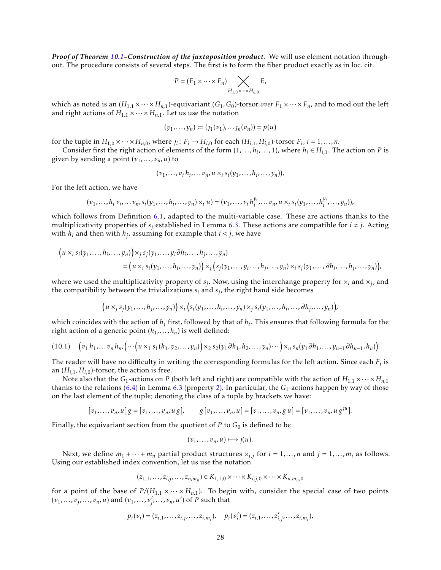*Proof of Theorem [10.1–](#page-26-0)Construction of the juxtaposition product.* We will use element notation throughout. The procedure consists of several steps. The first is to form the fiber product exactly as in loc. cit.

$$
P = (F_1 \times \cdots \times F_n) \underset{H_{1,0} \times \cdots \times H_{n,0}}{\times} E,
$$

which as noted is an  $(H_{1,1} \times \cdots \times H_{n,1})$ -equivariant  $(G_1, G_0)$ -torsor *over*  $F_1 \times \cdots \times F_n$ , and to mod out the left and right actions of  $H_{1,1} \times \cdots \times H_{n,1}$ . Let us use the notation

$$
(y_1, \ldots, y_n) := (j_1(v_1), \ldots, j_n(v_n)) = p(u)
$$

for the tuple in  $H_{1,0} \times \cdots \times H_{n,0}$ , where  $j_i: F_i \to H_{i,0}$  for each  $(H_{i,1}, H_{i,0})$ -torsor  $F_i$ ,  $i = 1, \ldots, n$ .

Consider first the right action of elements of the form  $(1,...,h_i,...,1)$ , where  $h_i \in H_{i,1}$ . The action on *P* is given by sending a point  $(v_1, \ldots, v_n, u)$  to

$$
(v_1,\ldots,v_i\,h_i,\ldots v_n,u\times_i s_i(y_1,\ldots,h_i,\ldots,y_n)),
$$

For the left action, we have

$$
(v_1, \ldots, h_i v_i, \ldots v_n, s_i (y_1, \ldots, h_i, \ldots, y_n) \times_i u) = (v_1, \ldots, v_i h_i^{y_i}, \ldots v_n, u \times_i s_i (y_1, \ldots, h_i^{y_i}, \ldots, y_n)),
$$

which follows from Definition [6.1,](#page-18-8) adapted to the multi-variable case. These are actions thanks to the multiplicativity properties of  $s_j$  established in Lemma [6.3.](#page-18-6) These actions are compatible for  $i \neq j$ . Acting with  $h_i$  and then with  $h_j$ , assuming for example that  $i < j$ , we have

$$
\begin{aligned} \left(u \times_i s_i(y_1,\ldots,h_i,\ldots,y_n)\right) \times_j s_j(y_1,\ldots,y_i \partial h_i,\ldots,h_j,\ldots,y_n) \\ &= \left(u \times_i s_i(y_1,\ldots,h_i,\ldots,y_n)\right) \times_j \left(s_j(y_1,\ldots,y_i,\ldots,h_j,\ldots,y_n)\times_i s_j(y_1,\ldots,\partial h_i,\ldots,h_j,\ldots,y_n)\right), \end{aligned}
$$

where we used the multiplicativity property of  $s_j$ . Now, using the interchange property for  $x_i$  and  $x_j$ , and the compatibility between the trivializations  $s_i$  and  $s_j$ , the right hand side becomes

$$
(u \times_j s_j(y_1,\ldots,h_j,\ldots,y_n)) \times_i (s_i(y_1,\ldots,h_i,\ldots,y_n) \times_j s_i(y_1,\ldots,h_i,\ldots,\partial h_j,\ldots,y_n)),
$$

which coincides with the action of *h<sup>j</sup>* first, followed by that of *h<sup>i</sup>* . This ensures that following formula for the right action of a generic point  $(h_1, \ldots, h_n)$  is well defined:

<span id="page-27-0"></span>
$$
(10.1) \quad \left(v_1\,h_1,\ldots v_n\,h_n,\left(\cdots\left(u\times_1 s_1(h_1,y_2,\ldots,y_n)\right)\times_2 s_2(y_1\,\partial h_1,h_2,\ldots,y_n)\cdots\right)\times_n s_n(y_1\,\partial h_1,\ldots,y_{n-1}\,\partial h_{n-1},h_n)\right).
$$

The reader will have no difficulty in writing the corresponding formulas for the left action. Since each  $F_i$  is an  $(H_{i,1}, H_{i,0})$ -torsor, the action is free.

Note also that the  $G_1$ -actions on *P* (both left and right) are compatible with the action of  $H_{1,1} \times \cdots \times H_{n,1}$ thanks to the relations  $(6.4)$  in Lemma [6.3](#page-18-6) (property [2\)](#page-18-11). In particular, the  $G_1$ -actions happen by way of those on the last element of the tuple; denoting the class of a tuple by brackets we have:

$$
[v_1, \ldots, v_n, u]g = [v_1, \ldots, v_n, u g], \qquad g[v_1, \ldots, v_n, u] = [v_1, \ldots, v_n, g u] = [v_1, \ldots, v_n, u g^{ju}].
$$

Finally, the equivariant section from the quotient of *P* to  $G_0$  is defined to be

$$
(v_1,\ldots,v_n,u)\longmapsto j(u).
$$

Next, we define  $m_1 + \cdots + m_n$  partial product structures  $x_{i,j}$  for  $i = 1, \ldots, n$  and  $j = 1, \ldots, m_i$  as follows. Using our established index convention, let us use the notation

$$
(z_{1,1},\ldots,z_{i,j},\ldots,z_{n,m_n})\in K_{1,1,0}\times\cdots\times K_{i,j,0}\times\cdots\times K_{n,m_n,0}
$$

for a point of the base of  $P/(H_{1,1} \times \cdots \times H_{n,1})$ . To begin with, consider the special case of two points  $(v_1, \ldots, v_j, \ldots, v_n, u)$  and  $(v_1, \ldots, v'_j, \ldots, v_n, u')$  of *P* such that

$$
p_i(v_i) = (z_{i,1}, \ldots, z_{i,j}, \ldots, z_{i,m_i}), \quad p_i(v_i') = (z_{i,1}, \ldots, z_{i,j}', \ldots, z_{i,m_i}),
$$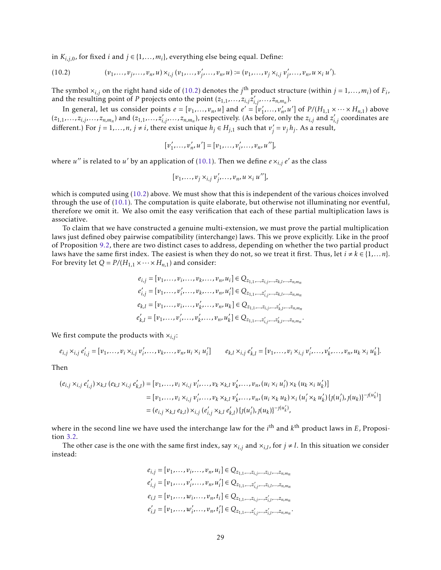in *Ki,j,*0, for fixed *i* and *j* ∈ {1*,...,m<sup>i</sup>* }, everything else being equal. Define:

<span id="page-28-0"></span>(10.2) 
$$
(v_1, \ldots, v_j, \ldots, v_n, u) \times_{i,j} (v_1, \ldots, v'_j, \ldots, v_n, u) := (v_1, \ldots, v_j \times_{i,j} v'_j, \ldots, v_n, u \times_i u').
$$

The symbol  $x_{i,j}$  on the right hand side of [\(10.2\)](#page-28-0) denotes the *j*<sup>th</sup> product structure (within *j* = 1,...,*m*<sub>*i*</sub>) of *F*<sub>*i*</sub>, and the resulting point of *P* projects onto the point  $(z_{1,1},...,z_{i,j}z'_{i,j},...,z_{n,m_n})$ .

In general, let us consider points  $e = [v_1, \ldots, v_n, u]$  and  $e' = [v'_1, \ldots, v'_n, u'_n]$  $\int_1', \ldots, \nu'_n, u'$ ] of  $P/(H_{1,1} \times \cdots \times H_{n,1})$  above  $(z_{1,1},...,z_{i,j},...,z_{n,m_n})$  and  $(z_{1,1},...,z'_{i,j},...,z_{n,m_n})$ , respectively. (As before, only the  $z_{i,j}$  and  $z'_{i,j}$  coordinates are different.) For  $j = 1, ..., n$ ,  $j \neq i$ , there exist unique  $h_j \in H_{j,1}$  such that  $v_j$  $y'_{j} = v_{j} h_{j}$ . As a result,

$$
[v'_1, \ldots, v'_n, u'] = [v_1, \ldots, v'_i, \ldots, v_n, u''],
$$

where  $u''$  is related to  $u'$  by an application of [\(10.1\)](#page-27-0). Then we define  $e \times_{i,j} e'$  as the class

$$
[v_1,\ldots,v_j\times_{i,j}v'_j,\ldots,v_n,u\times_i u''],
$$

which is computed using [\(10.2\)](#page-28-0) above. We must show that this is independent of the various choices involved through the use of [\(10.1\)](#page-27-0). The computation is quite elaborate, but otherwise not illuminating nor eventful, therefore we omit it. We also omit the easy verification that each of these partial multiplication laws is associative.

To claim that we have constructed a genuine multi-extension, we must prove the partial multiplication laws just defined obey pairwise compatibility (interchange) laws. This we prove explicitly. Like in the proof of Proposition [9.2,](#page-25-4) there are two distinct cases to address, depending on whether the two partial product laws have the same first index. The easiest is when they do not, so we treat it first. Thus, let  $i \neq k \in \{1,...n\}$ . For brevity let  $Q = P/(H_{1,1} \times \cdots \times H_{n,1})$  and consider:

$$
e_{i,j} = [v_1, \dots, v_i, \dots, v_k, \dots, v_n, u_i] \in Q_{z_{1,1}, \dots, z_{i,j}, \dots, z_{k,l}, \dots, z_{n,m_n}}
$$
  
\n
$$
e'_{i,j} = [v_1, \dots, v'_i, \dots, v_k, \dots, v_n, u'_i] \in Q_{z_{1,1}, \dots, z'_{i,j}, \dots, z_{k,l}, \dots, z_{n,m_n}}
$$
  
\n
$$
e_{k,l} = [v_1, \dots, v_i, \dots, v'_k, \dots, v_n, u_k] \in Q_{z_{1,1}, \dots, z_{i,j}, \dots, z'_{k,l}, \dots, z_{n,m_n}}
$$
  
\n
$$
e'_{k,l} = [v_1, \dots, v'_i, \dots, v'_k, \dots, v_n, u'_k] \in Q_{z_{1,1}, \dots, z'_{i,j}, \dots, z'_{k,l}, \dots, z_{n,m_n}}
$$

We first compute the products with  $\times_{i,j}$ :

$$
e_{i,j} \times_{i,j} e'_{i,j} = [v_1, \ldots, v_i \times_{i,j} v'_i, \ldots, v_k, \ldots, v_n, u_i \times_i u'_i]
$$
\n
$$
e_{k,l} \times_{i,j} e'_{k,l} = [v_1, \ldots, v_i \times_{i,j} v'_i, \ldots, v'_k, \ldots, v_n, u_k \times_i u'_k].
$$

Then

$$
(e_{i,j} \times_{i,j} e'_{i,j}) \times_{k,l} (e_{k,l} \times_{i,j} e'_{k,l}) = [v_1, \dots, v_i \times_{i,j} v'_i, \dots, v_k \times_{k,l} v'_k, \dots, v_n, (u_i \times_i u'_i) \times_k (u_k \times_i u'_k)]
$$
  
\n
$$
= [v_1, \dots, v_i \times_{i,j} v'_i, \dots, v_k \times_{k,l} v'_k, \dots, v_n, (u_i \times_k u_k) \times_i (u'_i \times_k u'_k) \{j(u'_i), j(u_k)\}^{-j(u'_k)}]
$$
  
\n
$$
= (e_{i,j} \times_{k,l} e_{k,l}) \times_{i,j} (e'_{i,j} \times_{k,l} e'_{k,l}) \{j(u'_i), j(u_k)\}^{-j(u'_k)},
$$

where in the second line we have used the interchange law for the *i*<sup>th</sup> and *k*<sup>th</sup> product laws in *E*, Proposition [3.2.](#page-12-2)

The other case is the one with the same first index, say  $\times_{i,j}$  and  $\times_{i,l}$ , for  $j \neq l$ . In this situation we consider instead:

$$
e_{i,j} = [v_1, \dots, v_i, \dots, v_n, u_i] \in Q_{z_{1,1}, \dots, z_{i,j}, \dots, z_{i,l}, \dots, z_{n,m_n}}
$$
  
\n
$$
e'_{i,j} = [v_1, \dots, v'_i, \dots, v_n, u'_i] \in Q_{z_{1,1}, \dots, z'_{i,j}, \dots, z_{i,l}, \dots, z_{n,m_n}}
$$
  
\n
$$
e_{i,l} = [v_1, \dots, w_i, \dots, v_n, t'_i] \in Q_{z_{1,1}, \dots, z'_{i,j}, \dots, z'_{i,l}, \dots, z_{n,m_n}}
$$
  
\n
$$
e'_{i,l} = [v_1, \dots, w'_i, \dots, v_n, t'_i] \in Q_{z_{1,1}, \dots, z'_{i,j}, \dots, z'_{i,l}, \dots, z_{n,m_n}}
$$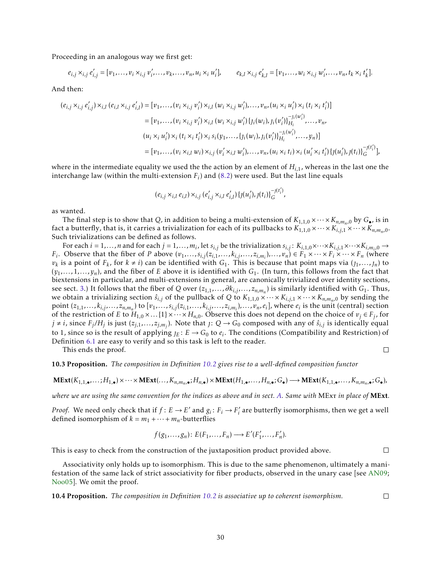<span id="page-29-2"></span>Proceeding in an analogous way we first get:

$$
e_{i,j} \times_{i,j} e'_{i,j} = [v_1, \ldots, v_i \times_{i,j} v'_i, \ldots, v_k, \ldots, v_n, u_i \times_i u'_i], \qquad e_{k,l} \times_{i,j} e'_{k,l} = [v_1, \ldots, w_i \times_{i,j} w'_i, \ldots, v_n, t_k \times_i t'_k].
$$

And then:

$$
(e_{i,j} \times_{i,j} e'_{i,j}) \times_{i,l} (e_{i,l} \times_{i,j} e'_{i,l}) = [v_1, \dots, (v_i \times_{i,j} v'_i) \times_{i,l} (w_i \times_{i,j} w'_i), \dots, v_n, (u_i \times_i u'_i) \times_i (t_i \times_i t'_i)]
$$
  
\n
$$
= [v_1, \dots, (v_i \times_{i,j} v'_i) \times_{i,l} (w_i \times_{i,j} w'_i) \{j_i(w_i), j_i(v'_i)\}_{H_i}^{J_i(w'_i)}, \dots, v_n,
$$
  
\n
$$
(u_i \times_i u'_i) \times_i (t_i \times_i t'_i) \times_i s_i(y_1, \dots, \{j_i(w_i), j_i(v'_i)\}_{H_i}^{J_i(w'_i)}, \dots, y_n)]
$$
  
\n
$$
= [v_1, \dots, (v_i \times_{i,l} w_i) \times_{i,j} (v'_i \times_{i,l} w'_i), \dots, v_n, (u_i \times_i t_i) \times_i (u'_i \times_i t'_i) \{j(u'_i), j(t_i)\}_{G}^{J_i(t'_i)}],
$$

where in the intermediate equality we used the the action by an element of *Hi,*1, whereas in the last one the interchange law (within the multi-extension  $F_i$ ) and [\(8.2\)](#page-23-2) were used. But the last line equals

$$
(e_{i,j} \times_{i,l} e_{i,l}) \times_{i,j} (e'_{i,j} \times_{i,l} e'_{i,l}) \{j(u'_i), j(t_i)\}_G^{-j(t'_i)},
$$

as wanted.

The final step is to show that *Q*, in addition to being a multi-extension of  $K_{1,1,0} \times \cdots \times K_{n,m_n,0}$  by  $G_{\bullet}$ , is in fact a butterfly, that is, it carries a trivialization for each of its pullbacks to  $K_{1,1,0} \times \cdots \times K_{i,j,1} \times \cdots \times K_{n,m_n,0}$ . Such trivializations can be defined as follows.

For each  $i = 1, ..., n$  and for each  $j = 1, ..., m_i$ , let  $s_{i,j}$  be the trivialization  $s_{i,j}$ :  $K_{i,1,0} \times \cdots \times K_{i,j,1} \times \cdots \times K_{i,m_i,0} \to$  $F_i$ . Observe that the fiber of P above  $(v_1, ..., s_{i,j}(z_{i,1}, ..., k_{i,j}, ..., z_{i,m_i}), ..., v_n) \in F_1 \times \cdots \times F_i \times \cdots \times F_n$  (where  $v_k$  is a point of  $F_k$ , for  $k \neq i$ ) can be identified with  $G_1$ . This is because that point maps via  $(j_1,...,j_n)$  to  $(y_1, \ldots, 1, \ldots, y_n)$ , and the fiber of *E* above it is identified with  $G_1$ . (In turn, this follows from the fact that biextensions in particular, and multi-extensions in general, are canonically trivialized over identity sections, see sect. [3.](#page-11-0)) It follows that the fiber of *Q* over (*z*1*,*1*,...,∂ki,j,..., zn,m<sup>n</sup>* ) is similarly identified with *G*1. Thus, we obtain a trivializing section  $\hat{s}_{i,j}$  of the pullback of *Q* to  $K_{1,1,0} \times \cdots \times K_{i,j,1} \times \cdots \times K_{n,m_n,0}$  by sending the point  $(z_{1,1},...,k_{i,j},...,z_{n,m_n})$  to  $[v_1,...,s_{i,j}(z_{i,1},...,k_{i,j},...,z_{i,m_i}),...,v_n,e_i]$ , where  $e_i$  is the unit (central) section of the restriction of *E* to  $H_{1,0} \times ... \times H_{n,0}$ . Observe this does not depend on the choice of  $v_j \in F_j$ , for  $j \neq i$ , since  $F_j/H_j$  is just  $(z_{j,1},...,z_{j,m_j})$ . Note that  $j: Q \to G_0$  composed with any of  $\hat{s}_{i,j}$  is identically equal to 1, since so is the result of applying  $j_E: E \to G_0$  to  $e_i$ . The conditions (Compatibility and Restriction) of Definition [6.1](#page-18-8) are easy to verify and so this task is left to the reader.

This ends the proof.

<span id="page-29-0"></span>10.3 Proposition. *The composition in Definition [10.2](#page-26-2) gives rise to a well-defined composition functor*

$$
\textbf{MExt}(K_{1,1,\bullet},\ldots;H_{1,\bullet})\times\cdots\times\textbf{MExt}(\ldots,K_{n,m_n,\bullet};H_{n,\bullet})\times\textbf{MExt}(H_{1,\bullet},\ldots,H_{n,\bullet};G_\bullet)\longrightarrow\textbf{MExt}(K_{1,1,\bullet},\ldots,K_{n,m_n,\bullet};G_\bullet),
$$

*where we are using the same convention for the indices as above and in sect. [A.](#page-45-0) Same with* MExt *in place of* MExt*.*

*Proof.* We need only check that if  $f: E \to E'$  and  $g_i: F_i \to F'_i$ *i* are butterfly isomorphisms, then we get a well defined isomorphism of  $k = m_1 + \cdots + m_n$ -butterflies

$$
f(g_1,\ldots,g_n)\colon E(F_1,\ldots,F_n)\longrightarrow E'(F'_1,\ldots,F'_n).
$$

This is easy to check from the construction of the juxtaposition product provided above.

Associativity only holds up to isomorphism. This is due to the same phenomenon, ultimately a manifestation of the same lack of strict associativity for fiber products, observed in the unary case [see [AN09;](#page-57-0) [Noo05\]](#page-59-2). We omit the proof.

<span id="page-29-1"></span>10.4 Proposition. *The composition in Definition [10.2](#page-26-2) is associative up to coherent isomorphism.*

 $\Box$ 

 $\Box$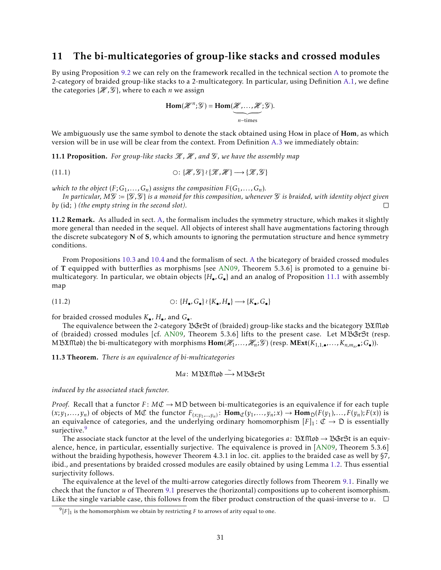### <span id="page-30-4"></span><span id="page-30-1"></span>11 The bi-multicategories of group-like stacks and crossed modules

By using Proposition [9.2](#page-25-4) we can rely on the framework recalled in the technical section [A](#page-45-0) to promote the 2-category of braided group-like stacks to a 2-multicategory. In particular, using Definition [A.1,](#page-46-0) we define the categories  $\{\mathcal{H}, \mathcal{G}\}\$ , where to each *n* we assign

$$
\operatorname{Hom}(\mathcal{H}^n;\mathcal{G})=\operatorname{Hom}(\underbrace{\mathcal{H},\ldots,\mathcal{H}}_{n-\text{times}};\mathcal{G}).
$$

We ambiguously use the same symbol to denote the stack obtained using Hom in place of Hom, as which version will be in use will be clear from the context. From Definition [A.3](#page-46-1) we immediately obtain:

<span id="page-30-2"></span>**11.1 Proposition.** For group-like stacks  $\mathcal{K}$ ,  $\mathcal{H}$ , and  $\mathcal{G}$ , we have the assembly map

(11.1) 
$$
\bigcirc: \{\mathscr{H}, \mathscr{G}\} \wr \{\mathscr{H}, \mathscr{H}\} \longrightarrow \{\mathscr{H}, \mathscr{G}\}
$$

*which to the object*  $(F; G_1, \ldots, G_n)$  *assigns the composition*  $F(G_1, \ldots, G_n)$ *.* 

*In particular, MG* := {G,G} *is a monoid for this composition, whenever* G *is braided, with identity object given by* (id; ) *(the empty string in the second slot).*  $\Box$ 

11.2 Remark. As alluded in sect. [A,](#page-45-0) the formalism includes the symmetry structure, which makes it slightly more general than needed in the sequel. All objects of interest shall have augmentations factoring through the discrete subcategory N of S, which amounts to ignoring the permutation structure and hence symmetry conditions.

From Propositions [10.3](#page-29-0) and [10.4](#page-29-1) and the formalism of sect. [A](#page-45-0) the bicategory of braided crossed modules of T equipped with butterflies as morphisms [see [AN09,](#page-57-0) Theorem 5.3.6] is promoted to a genuine bimulticategory. In particular, we obtain objects {*H*• *,G*• } and an analog of Proposition [11.1](#page-30-2) with assembly map

(11.2) : {*H*• *,G*• } o {*K*• *,H*• } −→ {*K*• *,G*• }

for braided crossed modules *K*• , *H*• , and *G*• .

The equivalence between the 2-category BGrSt of (braided) group-like stacks and the bicategory BXMod of (braided) crossed modules [cf. [AN09,](#page-57-0) Theorem 5.3.6] lifts to the present case. Let MBGrSt (resp. MBXMob) the bi-multicategory with morphisms  $\textbf{Hom}(\mathscr{H}_1,\ldots,\mathscr{H}_n;\mathscr{G})$  (resp.  $\textbf{MExt}(K_{1,1,\bullet},\ldots,K_{n,m_n,\bullet};G_\bullet)).$ 

<span id="page-30-0"></span>11.3 Theorem. *There is an equivalence of bi-multicategories*

$$
\mathsf{M}a\colon\mathsf{M}\mathfrak{B}\mathfrak{X}\mathfrak{Mod}\stackrel{\sim}{\longrightarrow}\mathsf{M}\mathfrak{B}\mathfrak{G}\mathbf{r}\mathfrak{S}\mathsf{t}
$$

*induced by the associated stack functor.*

*Proof.* Recall that a functor  $F: M\mathbb{C} \to MD$  between bi-multicategories is an equivalence if for each tuple  $(x, y_1,..., y_n)$  of objects of MC the functor  $F_{(x, y_1,..., y_n)}$ :  $\textbf{Hom}_{\mathcal{L}}(y_1,..., y_n; x) \to \textbf{Hom}_{\mathcal{D}}(F(y_1),..., F(y_n); F(x))$  is an equivalence of categories, and the underlying ordinary homomorphism  $[F]_1 : \mathfrak{C} \to \mathfrak{D}$  is essentially surjective.<sup>[9](#page-30-3)</sup>

The associate stack functor at the level of the underlying bicategories  $a: B\mathfrak{XMO}\to B\mathfrak{G}$ r $St$  is an equivalence, hence, in particular, essentially surjective. The equivalence is proved in [\[AN09,](#page-57-0) Theorem 5.3.6] without the braiding hypothesis, however Theorem 4.3.1 in loc. cit. applies to the braided case as well by §7, ibid., and presentations by braided crossed modules are easily obtained by using Lemma [1.2.](#page-9-5) Thus essential surjectivity follows.

The equivalence at the level of the multi-arrow categories directly follows from Theorem [9.1.](#page-25-0) Finally we check that the functor *u* of Theorem [9.1](#page-25-0) preserves the (horizontal) compositions up to coherent isomorphism. Like the single variable case, this follows from the fiber product construction of the quasi-inverse to  $u$ .  $\Box$ 

<span id="page-30-3"></span> $^{9}[F]_1$  is the homomorphism we obtain by restricting *F* to arrows of arity equal to one.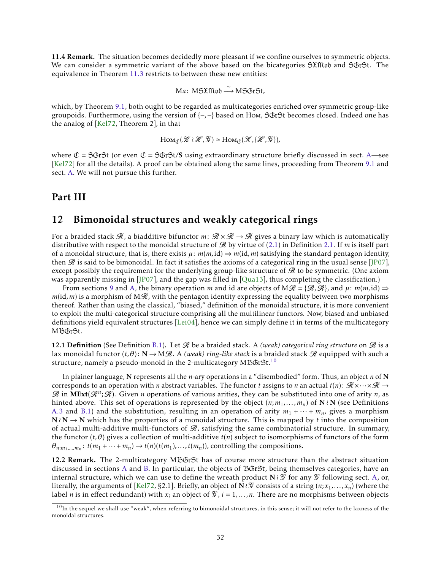<span id="page-31-5"></span><span id="page-31-3"></span>11.4 Remark. The situation becomes decidedly more pleasant if we confine ourselves to symmetric objects. We can consider a symmetric variant of the above based on the bicategories  $\Im\mathfrak{XMO}$  and  $\Im\mathfrak{GrSt}$ . The equivalence in Theorem [11.3](#page-30-0) restricts to between these new entities:

$$
\mathsf{M}a\colon\mathsf{MSTMob}\stackrel{\sim}{\longrightarrow}\mathsf{MSGrSt},
$$

which, by Theorem [9.1,](#page-25-0) both ought to be regarded as multicategories enriched over symmetric group-like groupoids. Furthermore, using the version of {−*,*−} based on Hom, SGrSt becomes closed. Indeed one has the analog of [\[Kel72,](#page-59-5) Theorem 2], in that

$$
\mathrm{Hom}_{\mathfrak C}(\mathcal K\wr \mathcal H,\mathcal G)\simeq \mathrm{Hom}_{\mathfrak C}(\mathcal K,\{\mathcal H,\mathcal G\}),
$$

where  $\mathcal{C} = \mathcal{S}$ Gr $\mathcal{S}$ t (or even  $\mathcal{C} = \mathcal{S}$ Gr $\mathcal{S}$ t/S using extraordinary structure briefly discussed in sect. [A—](#page-45-0)see [\[Kel72\]](#page-59-5) for all the details). A proof can be obtained along the same lines, proceeding from Theorem [9.1](#page-25-0) and sect. [A.](#page-45-0) We will not pursue this further.

### <span id="page-31-0"></span>Part III

## <span id="page-31-1"></span>12 Bimonoidal structures and weakly categorical rings

For a braided stack  $\mathcal{R}$ , a biadditive bifunctor  $m: \mathcal{R} \times \mathcal{R} \to \mathcal{R}$  gives a binary law which is automatically distributive with respect to the monoidal structure of  $\mathcal{R}$  by virtue of [\(2.1\)](#page-11-1) in Definition [2.1.](#page-11-2) If *m* is itself part of a monoidal structure, that is, there exists  $\mu: m(m, id) \Rightarrow m(id, m)$  satisfying the standard pentagon identity, then  $\mathscr R$  is said to be bimonoidal. In fact it satisfies the axioms of a categorical ring in the usual sense [\[JP07\]](#page-59-7), except possibly the requirement for the underlying group-like structure of  $\mathscr R$  to be symmetric. (One axiom was apparently missing in  $[JP07]$ , and the gap was filled in  $[Qua13]$ , thus completing the classification.)

From sections [9](#page-25-1) and [A,](#page-45-0) the binary operation *m* and id are objects of  $M\mathscr{R} = {\mathscr{R}, \mathscr{R}}$ , and  $\mu$ :  $m(m, id) \Rightarrow$  $m(\mathrm{id}, m)$  is a morphism of M $\mathscr{R}$ , with the pentagon identity expressing the equality between two morphisms thereof. Rather than using the classical, "biased," definition of the monoidal structure, it is more convenient to exploit the multi-categorical structure comprising all the multilinear functors. Now, biased and unbiased definitions yield equivalent structures [\[Lei04\]](#page-59-6), hence we can simply define it in terms of the multicategory MBGrSt.

<span id="page-31-4"></span>12.1 Definition (See Definition [B.1\)](#page-47-1). Let  $\mathscr R$  be a braided stack. A *(weak) categorical ring structure* on  $\mathscr R$  is a lax monoidal functor  $(t,\theta)$ :  $N \to M\mathcal{R}$ . A *(weak) ring-like stack* is a braided stack  $\mathcal{R}$  equipped with such a structure, namely a pseudo-monoid in the 2-multicategory MBGrSt. $^{10}$  $^{10}$  $^{10}$ 

In plainer language, N represents all the *n*-ary operations in a "disembodied" form. Thus, an object *n* of N corresponds to an operation with *n* abstract variables. The functor *t* assigns to *n* an actual  $t(n)$ :  $\mathcal{R} \times \cdots \times \mathcal{R} \rightarrow$  $\mathscr R$  in  ${\bf MExt}(\mathscr R^n;\mathscr R)$ . Given *n* operations of various arities, they can be substituted into one of arity *n*, as hinted above. This set of operations is represented by the object  $(n; m_1, \ldots, m_n)$  of N  $\wr$  N (see Definitions [A.3](#page-46-1) and [B.1\)](#page-47-1) and the substitution, resulting in an operation of arity  $m_1 + \cdots + m_n$ , gives a morphism  $N \wr N \to N$  which has the properties of a monoidal structure. This is mapped by *t* into the composition of actual multi-additive multi-functors of  $\mathscr{R}$ , satisfying the same combinatorial structure. In summary, the functor (*t,θ*) gives a collection of multi-additive *t*(*n*) subject to isomorphisms of functors of the form  $\theta_{n;m_1,\dots,m_n}: t(m_1+\dots+m_n) \to t(n)(t(m_1),\dots,t(m_n))$ , controlling the compositions.

12.2 Remark. The 2-multicategory MBGrSt has of course more structure than the abstract situation discussed in sections [A](#page-45-0) and [B.](#page-47-0) In particular, the objects of BGrSt, being themselves categories, have an internal structure, which we can use to define the wreath product  $N \wr \mathcal{G}$  for any  $\mathcal{G}$  following sect. [A,](#page-45-0) or, literally, the arguments of [\[Kel72,](#page-59-5) §2.1]. Briefly, an object of  $N \& \mathcal{G}$  consists of a string  $(n; x_1, \ldots, x_n)$  (where the label *n* is in effect redundant) with  $x_i$  an object of  $\mathcal{G}$ ,  $i = 1, ..., n$ . There are no morphisms between objects

<span id="page-31-2"></span> $10$ In the sequel we shall use "weak", when referring to bimonoidal structures, in this sense; it will not refer to the laxness of the monoidal structures.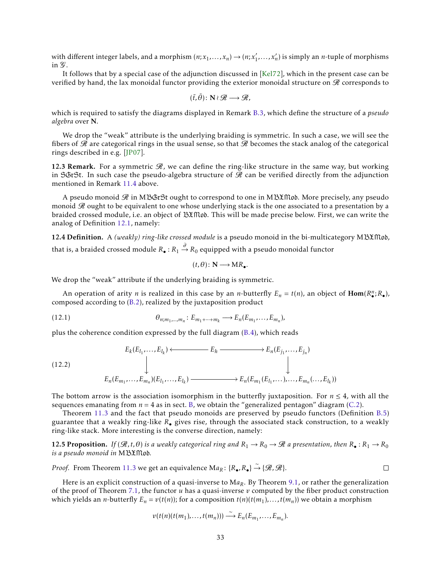<span id="page-32-3"></span>with different integer labels, and a morphism  $(n; x_1,...,x_n) \rightarrow (n; x_1)$  $\lambda'_1, \ldots, \lambda'_n$  is simply an *n*-tuple of morphisms in  $\mathscr G$ .

It follows that by a special case of the adjunction discussed in [\[Kel72\]](#page-59-5), which in the present case can be verified by hand, the lax monoidal functor providing the exterior monoidal structure on  $\mathscr R$  corresponds to

$$
(\tilde{t},\tilde{\theta})\colon\mathbf{N}\wr\mathscr{R}\longrightarrow\mathscr{R},
$$

which is required to satisfy the diagrams displayed in Remark [B.3,](#page-48-0) which define the structure of a *pseudo algebra* over N.

We drop the "weak" attribute is the underlying braiding is symmetric. In such a case, we will see the fibers of  $\mathcal R$  are categorical rings in the usual sense, so that  $\mathcal R$  becomes the stack analog of the categorical rings described in e.g. [\[JP07\]](#page-59-7).

12.3 Remark. For a symmetric  $\mathcal{R}$ , we can define the ring-like structure in the same way, but working in SGrSt. In such case the pseudo-algebra structure of  $\mathcal R$  can be verified directly from the adjunction mentioned in Remark [11.4](#page-31-3) above.

A pseudo monoid  $\mathscr R$  in MBGrSt ought to correspond to one in MBXMob. More precisely, any pseudo monoid  $\mathscr R$  ought to be equivalent to one whose underlying stack is the one associated to a presentation by a braided crossed module, i.e. an object of BXMod. This will be made precise below. First, we can write the analog of Definition [12.1,](#page-31-4) namely:

12.4 Definition. A *(weakly) ring-like crossed module* is a pseudo monoid in the bi-multicategory MBXMod, that is, a braided crossed module  $R_\bullet: R_1 \stackrel{\partial}{\to} R_0$  equipped with a pseudo monoidal functor

<span id="page-32-2"></span>
$$
(t,\theta) \colon \mathbf{N} \longrightarrow \mathbf{M} R_{\bullet}.
$$

We drop the "weak" attribute if the underlying braiding is symmetric.

An operation of arity *n* is realized in this case by an *n*-butterfly  $E_n = t(n)$ , an object of  $\text{Hom}(R^n_\bullet; R_\bullet)$ , composed according to [\(B.2\)](#page-47-2), realized by the juxtaposition product

(12.1) 
$$
\theta_{n;m_1,\dots,m_n}: E_{m_1+\dots+m_k} \longrightarrow E_n(E_{m_1},\dots,E_{m_n}),
$$

plus the coherence condition expressed by the full diagram [\(B.4\)](#page-48-1), which reads

<span id="page-32-1"></span>
$$
(12.2)
$$
\n
$$
E_{k}(E_{l_1},\ldots,E_{l_k}) \leftarrow E_{h} \longrightarrow E_{n}(E_{j_1},\ldots,E_{j_n})
$$
\n
$$
\downarrow \qquad \qquad \downarrow
$$
\n
$$
E_{n}(E_{m_1},\ldots,E_{m_n})(E_{l_1},\ldots,E_{l_k}) \longrightarrow E_{n}(E_{m_1}(E_{l_1},\ldots),\ldots,E_{m_n}(\ldots,E_{l_k}))
$$

The bottom arrow is the association isomorphism in the butterfly juxtaposition. For  $n \leq 4$ , with all the sequences emanating from  $n = 4$  as in sect. [B,](#page-47-0) we obtain the "generalized pentagon" diagram [\(C.2\)](#page-51-0).

Theorem [11.3](#page-30-0) and the fact that pseudo monoids are preserved by pseudo functors (Definition [B.5\)](#page-49-2) guarantee that a weakly ring-like *R*• gives rise, through the associated stack construction, to a weakly ring-like stack. More interesting is the converse direction, namely:

<span id="page-32-0"></span>**12.5 Proposition.** If  $(\mathscr{R}, t, \theta)$  is a weakly categorical ring and  $R_1 \to R_0 \to \mathscr{R}$  a presentation, then  $R_\bullet: R_1 \to R_0$ *is a pseudo monoid in* MBXMod*.*

*Proof.* From Theorem [11.3](#page-30-0) we get an equivalence  $Ma_R$ : { $R_{\bullet}$ ,  $R_{\bullet}$ }  $\stackrel{\sim}{\rightarrow}$  { $\mathscr{R}, \mathscr{R}$ }.  $\Box$ 

Here is an explicit construction of a quasi-inverse to M*aR*. By Theorem [9.1,](#page-25-0) or rather the generalization of the proof of Theorem [7.1,](#page-20-0) the functor  $u$  has a quasi-inverse  $v$  computed by the fiber product construction which yields an *n*-butterfly  $E_n = v(t(n))$ ; for a composition  $t(n)(t(m_1),...,t(m_n))$  we obtain a morphism

$$
v(t(n)(t(m_1),...,t(m_n))) \stackrel{\sim}{\longrightarrow} E_n(E_{m_1},...,E_{m_n}).
$$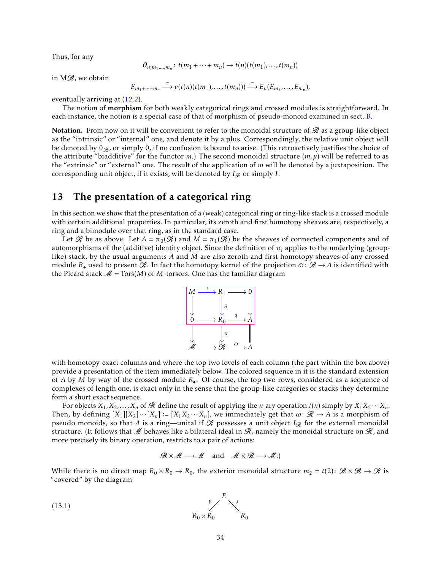Thus, for any

$$
\theta_{n;m_1,\dots,m_n}: t(m_1+\dots+m_n) \to t(n)(t(m_1),\dots,t(m_n))
$$

in  $M\mathscr{R}$ , we obtain

$$
E_{m_1+\cdots+m_n}\stackrel{\sim}{\longrightarrow} v(t(n)(t(m_1),\ldots,t(m_n)))\stackrel{\sim}{\longrightarrow} E_n(E_{m_1},\ldots,E_{m_n}),
$$

eventually arriving at [\(12.2\)](#page-32-1).

The notion of morphism for both weakly categorical rings and crossed modules is straightforward. In each instance, the notion is a special case of that of morphism of pseudo-monoid examined in sect. [B.](#page-47-0)

Notation. From now on it will be convenient to refer to the monoidal structure of  $\mathscr R$  as a group-like object as the "intrinsic" or "internal" one, and denote it by a plus. Correspondingly, the relative unit object will be denoted by  $0\mathscr{R}$ , or simply 0, if no confusion is bound to arise. (This retroactively justifies the choice of the attribute "biadditive" for the functor  $m$ .) The second monoidal structure  $(m, \mu)$  will be referred to as the "extrinsic" or "external" one. The result of the application of *m* will be denoted by a juxtaposition. The corresponding unit object, if it exists, will be denoted by  $I_{\mathcal{R}}$  or simply *I*.

## <span id="page-33-0"></span>13 The presentation of a categorical ring

In this section we show that the presentation of a (weak) categorical ring or ring-like stack is a crossed module with certain additional properties. In particular, its zeroth and first homotopy sheaves are, respectively, a ring and a bimodule over that ring, as in the standard case.

Let  $\mathcal{R}$  be as above. Let  $A = \pi_0(\mathcal{R})$  and  $M = \pi_1(\mathcal{R})$  be the sheaves of connected components and of automorphisms of the (additive) identity object. Since the definition of  $\pi_i$  applies to the underlying (grouplike) stack, by the usual arguments *A* and *M* are also zeroth and first homotopy sheaves of any crossed module  $R_{\bullet}$  used to present  $\mathscr{R}$ . In fact the homotopy kernel of the projection  $\omega \colon \mathscr{R} \to A$  is identified with the Picard stack  $M = Tors(M)$  of M-torsors. One has the familiar diagram



with homotopy-exact columns and where the top two levels of each column (the part within the box above) provide a presentation of the item immediately below. The colored sequence in it is the standard extension of *A* by *M* by way of the crossed module *R*• . Of course, the top two rows, considered as a sequence of complexes of length one, is exact only in the sense that the group-like categories or stacks they determine form a short exact sequence.

For objects  $X_1, X_2, \ldots, X_n$  of  $\mathcal{R}$  define the result of applying the *n*-ary operation  $t(n)$  simply by  $X_1 X_2 \cdots X_n$ . Then, by defining  $[X_1][X_2]\cdots[X_n] := [X_1X_2\cdots X_n]$ , we immediately get that  $\omega: \mathcal{R} \to A$  is a morphism of pseudo monoids, so that *A* is a ring—unital if  $\mathcal R$  possesses a unit object  $I_{\mathcal R}$  for the external monoidal structure. (It follows that M behaves like a bilateral ideal in  $\mathcal R$ , namely the monoidal structure on  $\mathcal R$ , and more precisely its binary operation, restricts to a pair of actions:

<span id="page-33-1"></span>
$$
\mathcal{R} \times \mathcal{M} \longrightarrow \mathcal{M} \quad \text{and} \quad \mathcal{M} \times \mathcal{R} \longrightarrow \mathcal{M}.
$$

While there is no direct map  $R_0 \times R_0 \to R_0$ , the exterior monoidal structure  $m_2 = t(2)$ :  $\mathscr{R} \times \mathscr{R} \to \mathscr{R}$  is "covered" by the diagram

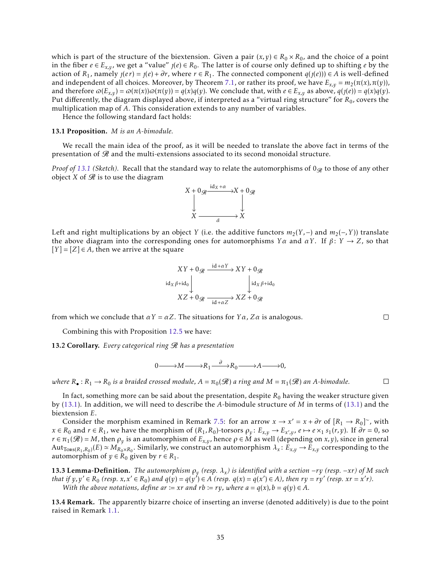which is part of the structure of the biextension. Given a pair  $(x, y) \in R_0 \times R_0$ , and the choice of a point in the fiber  $e \in E_{x,y}$ , we get a "value"  $j(e) \in R_0$ . The latter is of course only defined up to shifting *e* by the action of  $R_1$ , namely  $\chi(e r) = \chi(e) + \partial r$ , where  $r \in R_1$ . The connected component  $q(\chi(e)) \in A$  is well-defined and independent of all choices. Moreover, by Theorem [7.1,](#page-20-0) or rather its proof, we have  $E_{x,y} = m_2(\pi(x), \pi(y))$ , and therefore  $\omega(E_{x,y}) = \omega(\pi(x))\omega(\pi(y)) = q(x)q(y)$ . We conclude that, with  $e \in E_{x,y}$  as above,  $q(y(e)) = q(x)q(y)$ . Put differently, the diagram displayed above, if interpreted as a "virtual ring structure" for *R*<sub>0</sub>, covers the multiplication map of *A*. This consideration extends to any number of variables.

Hence the following standard fact holds:

#### <span id="page-34-0"></span>13.1 Proposition. *M is an A-bimodule.*

We recall the main idea of the proof, as it will be needed to translate the above fact in terms of the presentation of  $\mathcal R$  and the multi-extensions associated to its second monoidal structure.

*Proof of* [13.1](#page-34-0) *(Sketch).* Recall that the standard way to relate the automorphisms of  $0\mathcal{R}$  to those of any other object *X* of  $\mathcal{R}$  is to use the diagram



Left and right multiplications by an object *Y* (i.e. the additive functors  $m_2(Y, -)$  and  $m_2(-, Y)$ ) translate the above diagram into the corresponding ones for automorphisms *Y*  $\alpha$  and  $\alpha Y$ . If  $\beta$ : *Y*  $\rightarrow$  *Z*, so that  $[Y] = [Z] \in A$ , then we arrive at the square

$$
XY + 0\mathcal{R} \xrightarrow{\text{id} + \alpha Y} XY + 0\mathcal{R}
$$
  
id<sub>X</sub>  $\beta$ +id<sub>0</sub>  $\downarrow$   

$$
XZ + 0\mathcal{R} \xrightarrow{\text{id} + \alpha Z} XZ + 0\mathcal{R}
$$

from which we conclude that  $\alpha Y = \alpha Z$ . The situations for  $Y\alpha$ ,  $Z\alpha$  is analogous.

Combining this with Proposition [12.5](#page-32-0) we have:

<span id="page-34-1"></span>13.2 Corollary. *Every categorical ring*  $\mathscr R$  has a presentation

$$
0 \longrightarrow M \longrightarrow R_1 \stackrel{\partial}{\longrightarrow} R_0 \longrightarrow A \longrightarrow 0,
$$

 $\mathcal{L}_\bullet$   $R_\bullet: R_1 \to R_0$  is a braided crossed module,  $A = \pi_0(\mathscr{R})$  a ring and  $M = \pi_1(\mathscr{R})$  an A-bimodule.  $\Box$ 

In fact, something more can be said about the presentation, despite  $R_0$  having the weaker structure given by [\(13.1\)](#page-33-1). In addition, we will need to describe the *A*-bimodule structure of *M* in terms of [\(13.1\)](#page-33-1) and the biextension *E*.

Consider the morphism examined in Remark [7.5:](#page-22-2) for an arrow  $x \to x' = x + \partial r$  of  $[R_1 \to R_0]^\sim$ , with  $x \in R_0$  and  $r \in R_1$ , we have the morphism of  $(R_1, R_0)$ -torsors  $\rho_y: E_{x,y} \to E_{x',y}$ ,  $e \mapsto e \times_1 s_1(r, y)$ . If  $\partial r = 0$ , so  $r \in \pi_1(\mathscr{R}) = M$ , then  $\rho_y$  is an automorphism of  $E_{x,y}$ , hence  $\rho \in M$  as well (depending on *x*, *y*), since in general  $Aut_{\text{Tors}(R_1, R_0)}(E) \simeq M_{R_0 \times R_0}$ . Similarly, we construct an automorphism  $\lambda_x \colon E_{x,y} \to E_{x,y}$  corresponding to the automorphism of  $y \in R_0$  given by  $r \in R_1$ .

<span id="page-34-2"></span>**13.3 Lemma-Definition.** The automorphism  $\rho_y$  (resp.  $\lambda_x$ ) is identified with a section –ry (resp. –xr) of M such that if  $y, y' \in R_0$  (resp.  $x, x' \in R_0$ ) and  $q(y) = q(y') \in A$  (resp.  $q(x) = q(x') \in A$ ), then  $ry = ry'$  (resp.  $xr = x'r$ ). *With the above notations, define ar*  $:= xr$  *and*  $rb := ry$ *, where*  $a = q(x)$ *,*  $b = q(y) \in A$ *.* 

13.4 Remark. The apparently bizarre choice of inserting an inverse (denoted additively) is due to the point raised in Remark [1.1.](#page-7-0)

 $\Box$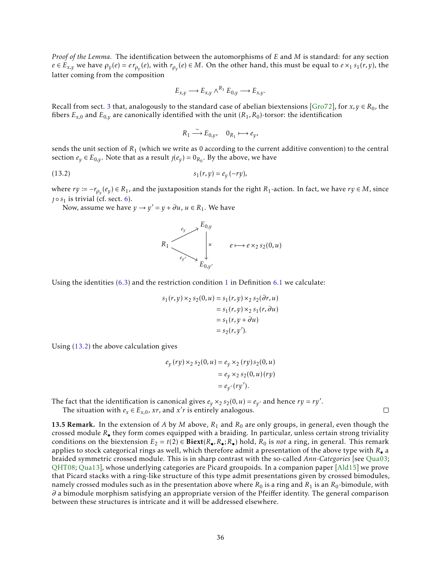<span id="page-35-1"></span>*Proof of the Lemma.* The identification between the automorphisms of *E* and *M* is standard: for any section  $e \in E_{x,y}$  we have  $\rho_y(e) = e r_{\rho_y}(e)$ , with  $r_{\rho_y}(e) \in M$ . On the other hand, this must be equal to  $e \times_1 s_1(r, y)$ , the latter coming from the composition

$$
E_{x,y} \longrightarrow E_{x,y} \wedge^{R_1} E_{0,y} \longrightarrow E_{x,y}.
$$

Recall from sect. [3](#page-11-0) that, analogously to the standard case of abelian biextensions [\[Gro72\]](#page-59-1), for  $x, y \in R_0$ , the fibers  $E_{x,0}$  and  $E_{0,y}$  are canonically identified with the unit  $(R_1, R_0)$ -torsor: the identification

<span id="page-35-0"></span>
$$
R_1 \xrightarrow{\sim} E_{0,y}, \quad 0_{R_1} \longmapsto e_y,
$$

sends the unit section of *R*<sup>1</sup> (which we write as 0 according to the current additive convention) to the central section  $e_y \in E_{0,y}$ . Note that as a result  $\jmath(e_y) = 0_{R_0}$ . By the above, we have

(13.2) 
$$
s_1(r, y) = e_y(-ry),
$$

where  $ry \coloneqq -r_{\rho_y}(e_y) \in R_1$ , and the juxtaposition stands for the right  $R_1$ -action. In fact, we have  $ry \in M$ , since  $1 \circ s_1$  is trivial (cf. sect. [6\)](#page-18-0).

Now, assume we have  $y \rightarrow y' = y + \partial u$ ,  $u \in R_1$ . We have



Using the identities  $(6.3)$  and the restriction condition [1](#page-18-1) in Definition [6.1](#page-18-8) we calculate:

$$
s_1(r, y) \times_2 s_2(0, u) = s_1(r, y) \times_2 s_2(\partial r, u)
$$
  
=  $s_1(r, y) \times_2 s_1(r, \partial u)$   
=  $s_1(r, y + \partial u)$   
=  $s_2(r, y').$ 

Using [\(13.2\)](#page-35-0) the above calculation gives

$$
e_y (ry) \times_2 s_2(0, u) = e_y \times_2 (ry) s_2(0, u)
$$
  
=  $e_y \times_2 s_2(0, u) (ry)$   
=  $e_{y'}(ry').$ 

The fact that the identification is canonical gives  $e_y \times_2 s_2(0, u) = e_{y'}$  and hence  $ry = ry'$ .

The situation with  $e_x \in E_{x,0}$ , xr, and  $x'r$  is entirely analogous.

 $\Box$ 

13.5 Remark. In the extension of *A* by *M* above, *R*<sup>1</sup> and *R*<sup>0</sup> are only groups, in general, even though the crossed module *R*• they form comes equipped with a braiding. In particular, unless certain strong triviality conditions on the biextension  $E_2 = t(2) \in \text{Biext}(R_\bullet, R_\bullet; R_\bullet)$  hold,  $R_0$  is *not* a ring, in general. This remark applies to stock categorical rings as well, which therefore admit a presentation of the above type with *R*• a braided symmetric crossed module. This is in sharp contrast with the so-called *Ann-Categories* [see [Qua03;](#page-59-14) [QHT08;](#page-59-15) [Qua13\]](#page-59-9), whose underlying categories are Picard groupoids. In a companion paper [\[Ald15\]](#page-57-4) we prove that Picard stacks with a ring-like structure of this type admit presentations given by crossed bimodules, namely crossed modules such as in the presentation above where  $R_0$  is a ring and  $R_1$  is an  $R_0$ -bimodule, with *∂* a bimodule morphism satisfying an appropriate version of the Pfeiffer identity. The general comparison between these structures is intricate and it will be addressed elsewhere.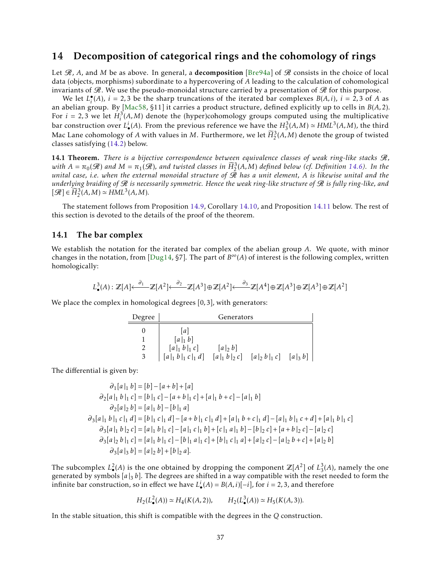## <span id="page-36-2"></span><span id="page-36-1"></span>14 Decomposition of categorical rings and the cohomology of rings

Let  $\mathscr R$ , A, and M be as above. In general, a **decomposition** [\[Bre94a\]](#page-58-7) of  $\mathscr R$  consists in the choice of local data (objects, morphisms) subordinate to a hypercovering of *A* leading to the calculation of cohomological invariants of  $\mathcal R$ . We use the pseudo-monoidal structure carried by a presentation of  $\mathcal R$  for this purpose.

We let  $L_i^{\bullet}$  $\mathbf{F}_i^{\bullet}(A)$ ,  $i = 2,3$  be the sharp truncations of the iterated bar complexes *B*(*A, i*),  $i = 2,3$  of *A* as an abelian group. By [\[Mac58,](#page-59-11) §11] it carries a product structure, defined explicitly up to cells in *B*(*A,*2). For  $i = 2,3$  we let  $H_i^3(A,M)$  denote the (hyper)cohomology groups computed using the multiplicative bar construction over  $L^i_{\bullet}(A)$ . From the previous reference we have the  $H^3_3(A,M) \simeq HML^3(A,M)$ , the third Mac Lane cohomology of *A* with values in *M*. Furthermore, we let  $\widetilde{H}_2^3(A,M)$  denote the group of twisted classes satisfying [\(14.2\)](#page-39-1) below.

<span id="page-36-0"></span>14.1 Theorem. *There is a bijective correspondence between equivalence classes of weak ring-like stacks*  $\mathcal{R}$ *, with*  $A = \pi_0(\mathcal{R})$  and  $M = \pi_1(\mathcal{R})$ , and twisted classes in  $\widetilde{H}_2^3(A, M)$  defined below (cf. Definition [14.6\)](#page-39-0). In the *unital case, i.e. when the external monoidal structure of* R *has a unit element, A is likewise unital and the underlying braiding of* R *is necessarily symmetric. Hence the weak ring-like structure of* R *is fully ring-like, and*  $[\mathscr{R}] \in \widetilde{H}_2^3(A,M) \simeq \text{HML}^3(A,M).$ 

The statement follows from Proposition [14.9,](#page-44-0) Corollary [14.10,](#page-44-1) and Proposition [14.11](#page-44-2) below. The rest of this section is devoted to the details of the proof of the theorem.

### 14.1 The bar complex

We establish the notation for the iterated bar complex of the abelian group *A*. We quote, with minor changes in the notation, from [\[Dug14,](#page-58-14) §7]. The part of *B* <sup>∞</sup>(*A*) of interest is the following complex, written homologically:

$$
L^3_{\bullet}(A): \mathbb{Z}[A] \leftarrow \mathcal{Z}[A^2] \leftarrow \mathcal{Z}[A^3] \oplus \mathbb{Z}[A^2] \leftarrow \mathcal{Z}[A^4] \oplus \mathbb{Z}[A^3] \oplus \mathbb{Z}[A^3] \oplus \mathbb{Z}[A^2]
$$

We place the complex in homological degrees [0*,*3], with generators:

| Degree |                                       | Generators |                                            |  |
|--------|---------------------------------------|------------|--------------------------------------------|--|
|        | la I                                  |            |                                            |  |
|        | $[a _1 b]$                            |            |                                            |  |
|        | $\left[a\right]_1 b\left _1 c\right]$ | [a , b]    |                                            |  |
| 3      | $[a _1 b _1 c _1 d]$                  |            | $[a _1 b _2 c]$ $[a _2 b _1 c]$ $[a _3 b]$ |  |

The differential is given by:

$$
\partial_1[a_1 b] = [b] - [a + b] + [a]
$$
\n
$$
\partial_2[a_1 b_1 c] = [b]_1 c] - [a + b]_1 c] + [a]_1 b + c] - [a]_1 b]
$$
\n
$$
\partial_2[a_2 b] = [a]_1 b] - [b]_1 a]
$$
\n
$$
\partial_3[a_1 b_1 c_1 d] = [b]_1 c]_1 d] - [a + b]_1 c]_1 d] + [a]_1 b + c]_1 d] - [a]_1 b]_1 c + d] + [a]_1 b]_1 c]
$$
\n
$$
\partial_3[a_1 b_2 c] = [a]_1 b]_1 c] - [a]_1 c]_1 b] + [c]_1 a]_1 b] - [b]_2 c] + [a + b]_2 c] - [a]_2 c]
$$
\n
$$
\partial_3[a_2 b]_1 c] = [a]_1 b]_1 c] - [b]_1 a_1 c] + [b]_1 c]_1 a] + [a]_2 c] - [a]_2 b + c] + [a]_2 b]
$$
\n
$$
\partial_3[a_3 b] = [a]_2 b] + [b]_2 a].
$$

The subcomplex  $L^2(\mathcal{A})$  is the one obtained by dropping the component  $\mathbb{Z}[A^2]$  of  $L^3_3(A)$ , namely the one generated by symbols  $[a]_3 b$ . The degrees are shifted in a way compatible with the reset needed to form the infinite bar construction, so in effect we have  $L^i_{\bullet}(A) = B(A, i)[-i]$ , for  $i = 2, 3$ , and therefore

$$
H_2(L^2_{\bullet}(A)) \simeq H_4(K(A, 2)), \qquad H_2(L^3_{\bullet}(A)) \simeq H_5(K(A, 3)).
$$

In the stable situation, this shift is compatible with the degrees in the *Q* construction.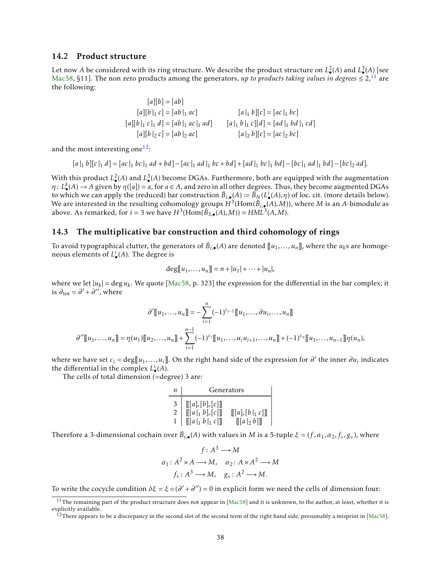#### <span id="page-37-4"></span><span id="page-37-2"></span>14.2 Product structure

Let now  $A$  be considered with its ring structure. We describe the product structure on  $L^2_\bullet(A)$  and  $L^3_\bullet(A)$  [see [Mac58,](#page-59-11) §[11](#page-37-0)]. The non zero products among the generators, up to products taking values in degrees  $\leq 2$ ,  $^{11}$  are the following:

$$
[a][b] = [ab]
$$
  
\n
$$
[a][b]_1 c] = [ab]_1 ac
$$
  
\n
$$
[a][b]_1 c]_1 d] = [ab]_1 ac
$$
  
\n
$$
[a][b]_2 c] = [ab]_2 ac
$$
  
\n
$$
[a][b]_2 c] = [ab]_2 ac
$$
  
\n
$$
[a]_2 b][c] = [ac]_2 bc
$$

and the most interesting one<sup>[12](#page-37-1)</sup>:

$$
[a|_1 b][c|_1 d] = [ac|_1 bc|_1 ad + bd] - [ac|_1 ad|_1 bc + bd] + [ad|_1 bc|_1 bd] - [bc|_1 ad|_1 bd] - [bc|_2 ad].
$$

With this product  $L^2_{\bullet}(A)$  and  $L^3_{\bullet}(A)$  become DGAs. Furthermore, both are equipped with the augmentation  $\eta: L^k(\mathcal{A}) \to A$  given by  $\eta([a]) = a$ , for  $a \in \mathcal{A}$ , and zero in all other degrees. Thus, they become augmented DGAs to which we can apply the (reduced) bar construction  $\bar{B}_{i,\bullet}(A)\coloneqq \bar{B}_N(L^i_\bullet(A),\eta)$  of loc. cit. (more details below). We are interested in the resulting cohomology groups  $H^3(\text{Hom}(\bar{B}_{i,\bullet}(A),M))$ , where  $M$  is an  $A$ -bimodule as above. As remarked, for  $i = 3$  we have  $H^3(\text{Hom}(\bar{B}_{3,\bullet}(A), M)) \simeq HML^3(A, M)$ .

#### <span id="page-37-3"></span>14.3 The multiplicative bar construction and third cohomology of rings

To avoid typographical clutter, the generators of  $\bar{B}_{i,\bullet}(A)$  are denoted  $[\![u_1,\ldots,u_n]\!]$ , where the  $u_k$ s are homogeneous elements of  $L^i_{\bullet}(A)$ . The degree is

$$
\deg[[u_1,\ldots,u_n]]=n+|u_1|+\cdots+|u_n|,
$$

where we let  $|u_k|$  = deg  $u_k$ . We quote [\[Mac58,](#page-59-11) p. 323] the expression for the differential in the bar complex; it is  $\partial_{\text{tot}} = \partial' + \partial''$ , where

$$
\partial'[\![u_1, \ldots, u_n]\!] = - \sum_{i=1}^n (-1)^{\varepsilon_{i-1}} [\![u_1, \ldots, \partial u_i, \ldots, u_n]\!]
$$

$$
\partial''[\![u_1, \ldots, u_n]\!] = \eta(u_1) [\![u_2, \ldots, u_n]\!] + \sum_{i=1}^{n-1} (-1)^{\varepsilon_i} [\![u_1, \ldots, u_i u_{i+1}, \ldots, u_n]\!] + (-1)^{\varepsilon_n} [\![u_1, \ldots, u_{n-1}]\!] \eta(u_n),
$$

where we have set  $\varepsilon_i = \text{deg}[\![u_1,\ldots,u_i]\!]$ . On the right hand side of the expression for  $\partial'$  the inner  $\partial u_i$  indicates the differential in the complex  $L^i_{\bullet}(A)$ .

The cells of total dimension (=degree) 3 are:

| n | Generators        |                   |
|---|-------------------|-------------------|
| 3 | $[[[a],[b],[c]]$  |                   |
| 2 | $[[[a],[b],[c]]]$ | $[[[a],[b],[c]]]$ |
| 1 | $[[[a],[b],[c]]]$ | $[[[a],[b]]$      |

Therefore a 3-dimensional cochain over  $\bar{B}_{i,\bullet}(A)$  with values in *M* is a 5-tuple  $\xi = (f, \alpha_1, \alpha_2, f_+, g_+)$ , where

$$
f: A3 \longrightarrow M
$$
  

$$
\alpha_1: A^2 \times A \longrightarrow M, \quad \alpha_2: A \times A^2 \longrightarrow M
$$
  

$$
f_+: A^3 \longrightarrow M, \quad g_+: A^2 \longrightarrow M.
$$

To write the cocycle condition  $\delta \xi = \xi \circ (\partial' + \partial'') = 0$  in explicit form we need the cells of dimension four:

<span id="page-37-0"></span> $11$ The remaining part of the product structure does not appear in [\[Mac58\]](#page-59-11) and it is unknown, to the author, at least, whether it is explicitly available.

<span id="page-37-1"></span> $12$ There appears to be a discrepancy in the second slot of the second term of the right hand side, presumably a misprint in [\[Mac58\]](#page-59-11).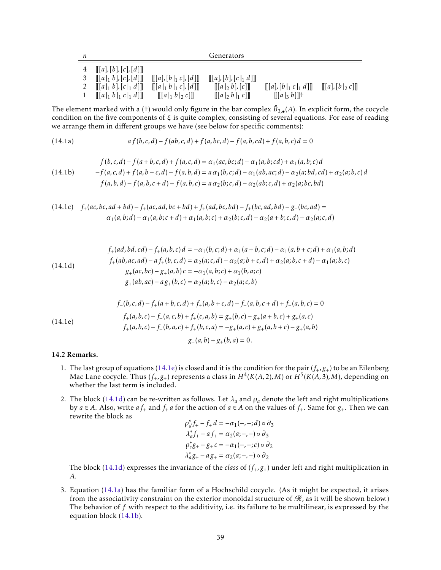<span id="page-38-5"></span>

| n | Generators              |                           |                   |                            |                   |
|---|-------------------------|---------------------------|-------------------|----------------------------|-------------------|
|   | [[[a],[b],[c],[d]]]     |                           |                   |                            |                   |
|   | $[[[a]_1 b],[c],[d]]$   | [[[a],[b],c],[d]]         | [[[a],[b],[c],d]] |                            |                   |
|   | $[[[a]_1 b],[c]_1 d]]$  | $[[[a]_1 b]_1 c]$ , $[d]$ | [[a , b], [c]]    | $[[[a],[b]_1 c]_1 d]]$     | $[[[a],[b]_2 c]]$ |
|   | $[[[a]_1 b]_1 c]_1 d]]$ | $[[a _1 b _2 c]]$         | $[[a _2 b _1 c]]$ | $[[[a]_3 b]]$ <sup>†</sup> |                   |

The element marked with a (†) would only figure in the bar complex  $\bar{B}_{3,\bullet}(A)$ . In explicit form, the cocycle condition on the five components of *ξ* is quite complex, consisting of several equations. For ease of reading we arrange them in different groups we have (see below for specific comments):

<span id="page-38-2"></span>(14.1a) 
$$
af(b,c,d) - f(ab,c,d) + f(a,bc,d) - f(a,b,cd) + f(a,b,c)d = 0
$$

<span id="page-38-3"></span>(14.1b) 
$$
f(b,c,d) - f(a+b,c,d) + f(a,c,d) = \alpha_1(ac,bc;d) - \alpha_1(a,b;cd) + \alpha_1(a,b;c)d
$$

$$
-f(a,c,d) + f(a,b+c,d) - f(a,b,d) = a\alpha_1(b,c;d) - \alpha_1(ab,ac;d) - \alpha_2(a;bd,cd) + \alpha_2(a;b,c)d
$$

$$
f(a,b,d) - f(a,b,c+d) + f(a,b,c) = a\alpha_2(b;c,d) - \alpha_2(ab;c,d) + \alpha_2(a;bc,bd)
$$

<span id="page-38-4"></span>
$$
(14.1c) \quad f_{+}(ac, bc, ad+bd) - f_{+}(ac, ad, bc+bd) + f_{+}(ad, bc, bd) - f_{+}(bc, ad, bd) - g_{+}(bc, ad) =
$$
  

$$
\alpha_{1}(a, b; d) - \alpha_{1}(a, b; c+d) + \alpha_{1}(a, b; c) + \alpha_{2}(b; c, d) - \alpha_{2}(a+b; c, d) + \alpha_{2}(a; c, d)
$$

<span id="page-38-1"></span>(14.1d)  
\n
$$
f_{+}(ad, bd, cd) - f_{+}(a, b, c) d = -\alpha_{1}(b, c; d) + \alpha_{1}(a+b, c; d) - \alpha_{1}(a, b+c; d) + \alpha_{1}(a, b; d)
$$
\n
$$
f_{+}(ab, ac, ad) - a f_{+}(b, c, d) = \alpha_{2}(a; c, d) - \alpha_{2}(a; b+c, d) + \alpha_{2}(a; b, c+d) - \alpha_{1}(a; b, c)
$$
\n
$$
g_{+}(ac, bc) - g_{+}(a, b) c = -\alpha_{1}(a, b; c) + \alpha_{1}(b, a; c)
$$
\n
$$
g_{+}(ab, ac) - a g_{+}(b, c) = \alpha_{2}(a; b, c) - \alpha_{2}(a; c, b)
$$

<span id="page-38-0"></span>(14.1e)  
\n
$$
f_{+}(b, c, d) - f_{+}(a + b, c, d) + f_{+}(a, b + c, d) - f_{+}(a, b, c + d) + f_{+}(a, b, c) = 0
$$
\n
$$
f_{+}(a, b, c) - f_{+}(a, c, b) + f_{+}(c, a, b) = g_{+}(b, c) - g_{+}(a + b, c) + g_{+}(a, c)
$$
\n
$$
f_{+}(a, b, c) - f_{+}(b, a, c) + f_{+}(b, c, a) = -g_{+}(a, c) + g_{+}(a, b + c) - g_{+}(a, b)
$$

$$
g_{+}(a,b)+g_{+}(b,a)=0.
$$

### 14.2 Remarks.

- 1. The last group of equations [\(14.1e\)](#page-38-0) is closed and it is the condition for the pair  $(f_+, g_+)$  to be an Eilenberg Mac Lane cocycle. Thus  $(f_+,g_+)$  represents a class in  $H^4(K(A,2),M)$  or  $H^5(K(A,3),M)$ , depending on whether the last term is included.
- 2. The block [\(14.1d\)](#page-38-1) can be re-written as follows. Let  $\lambda_a$  and  $\rho_a$  denote the left and right multiplications by  $a \in A$ . Also, write  $af_+$  and  $f_+a$  for the action of  $a \in A$  on the values of  $f_+$ . Same for  $g_+$ . Then we can rewrite the block as

$$
\rho_d^* f_+ - f_+ d = -\alpha_1(-, -; d) \circ \partial_3
$$
  
\n
$$
\lambda_a^* f_+ - a f_+ = \alpha_2(a; -, -) \circ \partial_3
$$
  
\n
$$
\rho_c^* g_+ - g_+ c = -\alpha_1(-, -; c) \circ \partial_2
$$
  
\n
$$
\lambda_a^* g_+ - a g_+ = \alpha_2(a; -, -) \circ \partial_2
$$

The block [\(14.1d\)](#page-38-1) expresses the invariance of the *class* of  $(f_+, g_+)$  under left and right multiplication in *A*.

3. Equation [\(14.1a\)](#page-38-2) has the familiar form of a Hochschild cocycle. (As it might be expected, it arises from the associativity constraint on the exterior monoidal structure of  $\mathscr R$ , as it will be shown below.) The behavior of *f* with respect to the additivity, i.e. its failure to be multilinear, is expressed by the equation block [\(14.1b\)](#page-38-3).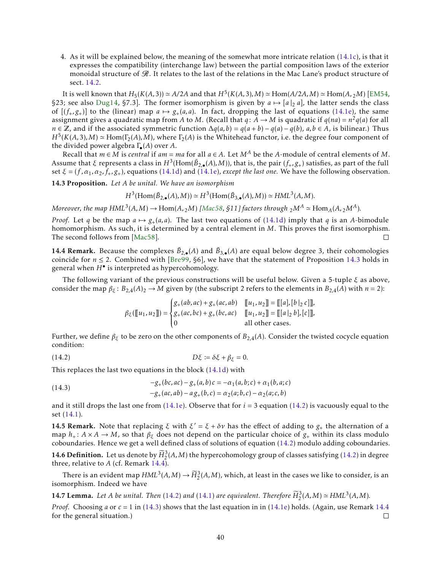<span id="page-39-6"></span>4. As it will be explained below, the meaning of the somewhat more intricate relation [\(14.1c\)](#page-38-4), is that it expresses the compatibility (interchange law) between the partial composition laws of the exterior monoidal structure of  $\mathscr R$ . It relates to the last of the relations in the Mac Lane's product structure of sect. [14.2.](#page-37-2)

It is well known that  $H_5(K(A,3)) \simeq A/2A$  and that  $H^5(K(A,3),M) \simeq \text{Hom}(A/2A,M) \simeq \text{Hom}(A, {}_2M)$  [\[EM54,](#page-58-6) §23; see also [Dug14,](#page-58-14) §7.3]. The former isomorphism is given by  $a \mapsto [a|_2 a]$ , the latter sends the class of  $[(f_+,g_+)]$  to the (linear) map  $a \mapsto g_+(a,a)$ . In fact, dropping the last of equations [\(14.1e\)](#page-38-0), the same assignment gives a quadratic map from *A* to *M*. (Recall that  $q: A \to M$  is quadratic if  $q(na) = n^2q(a)$  for all *n* ∈  $\mathbb{Z}$ , and if the associated symmetric function  $\Delta q(a, b) = q(a + b) - q(a) - q(b)$ , *a*, *b* ∈ *A*, is bilinear.) Thus  $H^5(K(A,3), M) \simeq \text{Hom}(\Gamma_2(A), M)$ , where  $\Gamma_2(A)$  is the Whitehead functor, i.e. the degree four component of the divided power algebra Γ• (*A*) over *A*.

Recall that *m* ∈ *M* is *central* if *am* = *ma* for all *a* ∈ *A*. Let *M<sup>A</sup>* be the *A*-module of central elements of *M*. Assume that  $\xi$  represents a class in  $H^3(\text{Hom}(\bar{B}_{2,\bullet}(A),M))$ , that is, the pair  $(f_+,g_+)$  satisfies, as part of the full set  $\xi = (f, \alpha_1, \alpha_2, f_+, g_+)$ , equations [\(14.1d\)](#page-38-1) and [\(14.1e\)](#page-38-0), *except the last one*. We have the following observation.

<span id="page-39-2"></span>14.3 Proposition. *Let A be unital. We have an isomorphism*

$$
H^3(\text{Hom}(\bar{B}_{2,\bullet}(A),M)) \simeq H^3(\text{Hom}(\bar{B}_{3,\bullet}(A),M)) \simeq HML^3(A,M).
$$

Moreover, the map  $\mathrm{HML}^3(A,M) \rightarrow \mathrm{Hom}(A,{}_2M)$  [\[Mac58,](#page-59-11) §11] factors through  ${}_2M^A \simeq \mathrm{Hom}_A(A,{}_2M^A)$ .

*Proof.* Let *q* be the map  $a \mapsto g_+(a,a)$ . The last two equations of [\(14.1d\)](#page-38-1) imply that *q* is an *A*-bimodule homomorphism. As such, it is determined by a central element in *M*. This proves the first isomorphism. The second follows from [\[Mac58\]](#page-59-11).

<span id="page-39-3"></span>14.4 Remark. Because the complexes  $\bar{B}_{2,\bullet}(A)$  and  $\bar{B}_{3,\bullet}(A)$  are equal below degree 3, their cohomologies coincide for  $n \leq 2$ . Combined with [\[Bre99,](#page-58-4) §6], we have that the statement of Proposition [14.3](#page-39-2) holds in general when *H*• is interpreted as hypercohomology.

The following variant of the previous constructions will be useful below. Given a 5-tuple *ξ* as above,  $\zeta$  consider the map  $β_ξ$  :  $B_{2,4}(A)_2 → M$  given by (the subscript 2 refers to the elements in  $B_{2,4}(A)$  with  $n = 2$ ):

<span id="page-39-4"></span><span id="page-39-1"></span>
$$
\beta_{\xi}([\![u_1, u_2]\!]) = \begin{cases} g_+(ab, ac) + g_+(ac, ab) & [\![u_1, u_2]\!] = [\![[a], [b\!_2 c]\!]], \\ g_+(ac, bc) + g_+(bc, ac) & [\![u_1, u_2]\!] = [\![[a\!_2 b], [c]\!]], \\ 0 & \text{all other cases.} \end{cases}
$$

Further, we define *β<sup>ξ</sup>* to be zero on the other components of *B*2*,*4(*A*). Consider the twisted cocycle equation condition:

$$
(14.2) \tD\xi := \delta\xi + \beta_{\xi} = 0.
$$

This replaces the last two equations in the block [\(14.1d\)](#page-38-1) with

(14.3) 
$$
-g_{+}(bc,ac) - g_{+}(a,b)c = -\alpha_{1}(a,b;c) + \alpha_{1}(b,a;c)
$$

$$
-g_{+}(ac,ab) - a g_{+}(b,c) = \alpha_{2}(a;b,c) - \alpha_{2}(a;c,b)
$$

and it still drops the last one from  $(14.1e)$ . Observe that for  $i = 3$  equation  $(14.2)$  is vacuously equal to the set [\(14.1\)](#page-38-5).

14.5 Remark. Note that replacing  $\xi$  with  $\xi' = \xi + \delta \nu$  has the effect of adding to  $g_+$  the alternation of a map  $h_+$ :  $A \times A \to M$ , so that  $\beta_{\xi}$  does not depend on the particular choice of  $g_+$  within its class modulo coboundaries. Hence we get a well defined class of solutions of equation [\(14.2\)](#page-39-1) modulo adding coboundaries.

<span id="page-39-0"></span>**14.6 Definition.** Let us denote by  $\widetilde{H}_2^3(A, M)$  the hypercohomology group of classes satisfying [\(14.2\)](#page-39-1) in degree three, relative to *A* (cf. Remark [14.4\)](#page-39-3).

There is an evident map  $HML^3(A,M) \to \widetilde{H}^3_2(A,M)$ , which, at least in the cases we like to consider, is an isomorphism. Indeed we have

<span id="page-39-5"></span>**14.7 Lemma.** Let A be unital. Then [\(14.2\)](#page-39-1) and [\(14.1\)](#page-38-5) are equivalent. Therefore  $\widetilde{H}_2^3(A,M) \simeq HML^3(A,M)$ .

*Proof.* Choosing *a* or  $c = 1$  in [\(14.3\)](#page-39-4) shows that the last equation in in [\(14.1e\)](#page-38-0) holds. (Again, use Remark [14.4](#page-39-3) for the general situation.)  $\Box$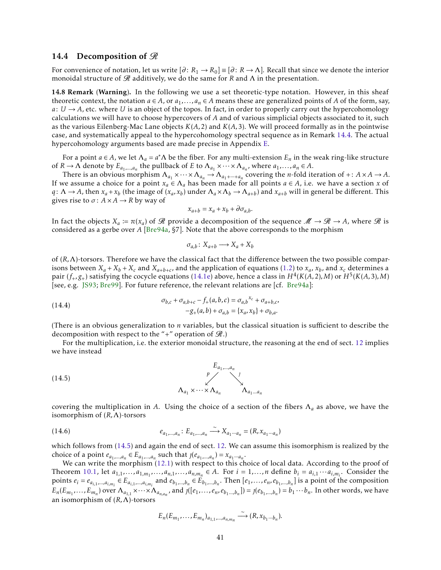#### <span id="page-40-4"></span><span id="page-40-3"></span>14.4 Decomposition of  $\mathscr R$

For convenience of notation, let us write  $[\partial: R_1 \to R_0] \equiv [\partial: R \to \Lambda]$ . Recall that since we denote the interior monoidal structure of  $\mathcal R$  additively, we do the same for *R* and  $\Lambda$  in the presentation.

14.8 Remark (Warning). In the following we use a set theoretic-type notation. However, in this sheaf theoretic context, the notation  $a \in A$ , or  $a_1, \ldots, a_n \in A$  means these are generalized points of *A* of the form, say,  $a: U \rightarrow A$ , etc. where U is an object of the topos. In fact, in order to properly carry out the hypercohomology calculations we will have to choose hypercovers of *A* and of various simplicial objects associated to it, such as the various Eilenberg-Mac Lane objects *K*(*A,*2) and *K*(*A,*3). We will proceed formally as in the pointwise case, and systematically appeal to the hypercohomology spectral sequence as in Remark [14.4.](#page-39-3) The actual hypercohomology arguments based are made precise in Appendix [E.](#page-54-0)

For a point  $a \in A$ , we let  $\Lambda_a = a^*\Lambda$  be the fiber. For any multi-extension  $E_n$  in the weak ring-like structure of  $R \to \Lambda$  denote by  $E_{a_1,...,a_n}$  the pullback of  $E$  to  $\Lambda_{a_1} \times \cdots \times \Lambda_{a_n}$ , where  $a_1,...,a_n \in A$ .

There is an obvious morphism  $\Lambda_{a_1} \times \cdots \times \Lambda_{a_n} \to \Lambda_{a_1 + \cdots + a_n}$  covering the *n*-fold iteration of +:  $A \times A \to A$ . If we assume a choice for a point  $x_a \in \Lambda_a$  has been made for all points  $a \in A$ , i.e. we have a section *x* of  $q: \Lambda \to A$ , then  $x_a + x_b$  (the image of  $(x_a, x_b)$  under  $\Lambda_a \times \Lambda_b \to \Lambda_{a+b}$ ) and  $x_{a+b}$  will in general be different. This gives rise to  $\sigma$  :  $A \times A \rightarrow R$  by way of

$$
x_{a+b} = x_a + x_b + \partial \sigma_{a,b}.
$$

In fact the objects  $X_a \coloneqq \pi(x_a)$  of  $\mathscr R$  provide a decomposition of the sequence  $\mathscr M \to \mathscr R \to A$ , where  $\mathscr R$  is considered as a gerbe over *A* [\[Bre94a,](#page-58-7) §7]. Note that the above corresponds to the morphism

<span id="page-40-2"></span>
$$
\sigma_{a,b}: X_{a+b} \longrightarrow X_a + X_b
$$

of (*R,*Λ)-torsors. Therefore we have the classical fact that the difference between the two possible comparisons between  $X_a + X_b + X_c$  and  $X_{a+b+c}$ , and the application of equations [\(1.2\)](#page-8-1) to  $x_a$ ,  $x_b$ , and  $x_c$  determines a pair  $(f_+, g_+)$  satisfying the cocycle equations  $(14.1e)$  above, hence a class in  $H^4(K(A,2), M)$  or  $H^5(K(A,3), M)$ [see, e.g. [JS93;](#page-59-8) [Bre99\]](#page-58-4). For future reference, the relevant relations are [cf. [Bre94a\]](#page-58-7):

(14.4) 
$$
\sigma_{b,c} + \sigma_{a,b+c} - f_+(a,b,c) = \sigma_{a,b}^{x_c} + \sigma_{a+b,c},
$$

$$
-\mathcal{g}_+(a,b) + \sigma_{a,b} = \{x_a, x_b\} + \sigma_{b,a}.
$$

(There is an obvious generalization to *n* variables, but the classical situation is sufficient to describe the decomposition with respect to the "+" operation of  $\mathscr{R}.)$ 

For the multiplication, i.e. the exterior monoidal structure, the reasoning at the end of sect. [12](#page-31-1) implies we have instead



<span id="page-40-0"></span>covering the multiplication in *A*. Using the choice of a section of the fibers  $\Lambda_a$  as above, we have the isomorphism of (*R,*Λ)-torsors

(14.6) 
$$
e_{a_1,...,a_n}: E_{a_1,...,a_n} \xrightarrow{\sim} X_{a_1...a_n} = (R, x_{a_1...a_n})
$$

which follows from [\(14.5\)](#page-40-0) and again the end of sect. [12.](#page-31-1) We can assume this isomorphism is realized by the choice of a point  $e_{a_1,...,a_n} \in E_{a_1,...,a_n}$  such that  $j(e_{a_1,...,a_n}) = x_{a_1 \cdots a_n}$ .

We can write the morphism [\(12.1\)](#page-32-2) with respect to this choice of local data. According to the proof of Theorem [10.1,](#page-26-0) let  $a_{1,1},...,a_{1,m_1},...,a_{n,1},...,a_{n,m_n} \in A$ . For  $i = 1,...,n$  define  $b_i = a_{i,1} \cdots a_{i,m_i}$ . Consider the points  $e_i = e_{a_{i,1},...,a_{i,m_i}} \in E_{a_{i,1},...,a_{i,m_i}}$  and  $e_{b_1,...,b_n} \in E_{b_1,...,b_n}$ . Then  $[e_1,...,e_n,e_{b_1,...,b_n}]$  is a point of the composition  $E_n(E_{m_1},...,E_{m_n})$  over  $\Lambda_{a_{1,1}} \times \cdots \times \Lambda_{a_{n,a_n}}$ , and  $\jmath([e_1,...,e_n,e_{b_1...,b_n}]) = \jmath(e_{b_1,...,b_n}) = b_1 \cdots b_n$ . In other words, we have an isomorphism of (*R,*Λ)-torsors

<span id="page-40-1"></span>
$$
E_n(E_{m_1},\ldots,E_{m_n})_{a_{1,1},\ldots,a_{n,m_n}} \stackrel{\sim}{\longrightarrow} (R,x_{b_1\cdots b_n}).
$$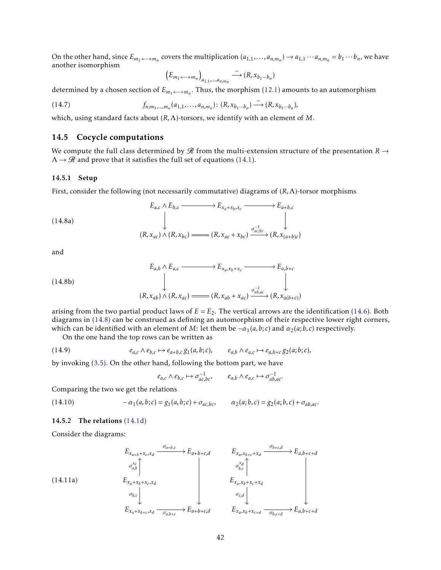On the other hand, since  $E_{m_1+\cdots+m_n}$  covers the multiplication  $(a_{1,1},\ldots,a_{n,m_n})\to a_{1,1}\cdots a_{n,m_n}=b_1\cdots b_n$ , we have another isomorphism ∼

<span id="page-41-5"></span><span id="page-41-1"></span>
$$
(E_{m_1+\cdots+m_n})_{a_{1,1},\ldots,a_{n,m_n}} \stackrel{\sim}{\longrightarrow} (R,x_{b_1\cdots b_n})
$$

determined by a chosen section of  $E_{m_1+\dots+m_n}$ . Thus, the morphism [\(12.1\)](#page-32-2) amounts to an automorphism

(14.7) 
$$
f_{n;m_1,...,m_n}(a_{1,1},...,a_{n,m_n})\colon (R,x_{b_1\cdots b_n}) \xrightarrow{\sim} (R,x_{b_1\cdots b_n}),
$$

which, using standard facts about (*R,*Λ)-torsors, we identify with an element of *M*.

### <span id="page-41-0"></span>14.5 Cocycle computations

We compute the full class determined by  $\mathscr R$  from the multi-extension structure of the presentation  $R \to$  $\Lambda \rightarrow \mathscr{R}$  and prove that it satisfies the full set of equations [\(14.1\)](#page-38-5).

#### 14.5.1 Setup

First, consider the following (not necessarily commutative) diagrams of (*R,*Λ)-torsor morphisms

(14.8a)  
\n
$$
\downarrow E_{a,c} \land E_{b,c} \longrightarrow E_{x_a + x_b, x_c} \longrightarrow E_{a+b,c}
$$
\n
$$
\downarrow \qquad \qquad \downarrow
$$
\n
$$
(R, x_{ac}) \land (R, x_{bc}) \longrightarrow (R, x_{ac} + x_{bc}) \xrightarrow{\sigma_{ac,bc}^{-1}} (R, x_{(a+b)c})
$$

and

(14.8b)  
\n
$$
\downarrow E_{a,b} \wedge E_{a,c} \longrightarrow E_{x_a,x_b+x_c} \longrightarrow E_{a,b+c}
$$
\n
$$
\downarrow \qquad \qquad \downarrow
$$
\n
$$
(R, x_{ab}) \wedge (R, x_{ac}) \longrightarrow (R, x_{ab} + x_{ac}) \xrightarrow{\sigma_{ab,ac}^{-1}} (R, x_{a(b+c)})
$$

arising from the two partial product laws of  $E = E_2$ . The vertical arrows are the identification [\(14.6\)](#page-40-1). Both diagrams in [\(14.8\)](#page-41-1) can be construed as defining an automorphism of their respective lower right corners, which can be identified with an element of *M*: let them be  $-\alpha_1(a, b; c)$  and  $\alpha_2(a; b, c)$  respectively.

On the one hand the top rows can be written as

(14.9) 
$$
e_{a,c} \wedge e_{b,c} \mapsto e_{a+b,c} g_1(a,b;c), \qquad e_{a,b} \wedge e_{a,c} \mapsto e_{a,b+c} g_2(a;b;c),
$$

by invoking [\(3.5\)](#page-14-0). On the other hand, following the bottom part, we have

<span id="page-41-6"></span><span id="page-41-4"></span><span id="page-41-2"></span>
$$
e_{a,c} \wedge e_{b,c} \mapsto \sigma_{ac,bc}^{-1}, \qquad e_{a,b} \wedge e_{a,c} \mapsto \sigma_{ab,ac}^{-1}.
$$

Comparing the two we get the relations

(14.10) 
$$
-\alpha_1(a,b;c) = g_1(a,b;c) + \sigma_{ac,bc}, \qquad \alpha_2(a;b,c) = g_2(a;b,c) + \sigma_{ab,ac}.
$$

#### 14.5.2 The relations [\(14.1d\)](#page-38-1)

Consider the diagrams:

<span id="page-41-3"></span>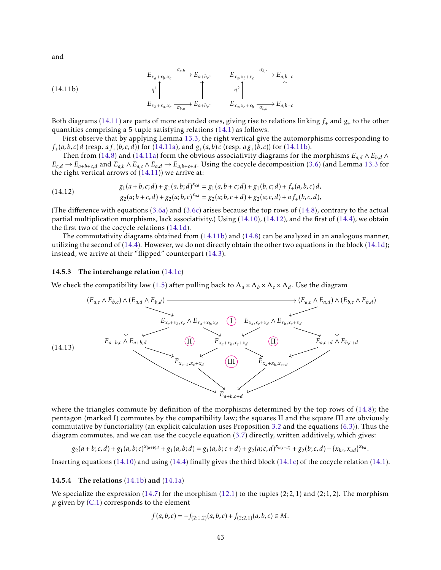and

<span id="page-42-0"></span>(14.11b)  
\n
$$
E_{x_a+x_b,x_c} \xrightarrow{\sigma_{a,b}} E_{a+b,c} \longrightarrow E_{x_a,x_b+x_c} \xrightarrow{\sigma_{b,c}} E_{a,b+c}
$$
\n
$$
\uparrow \qquad \qquad \uparrow \qquad \qquad \uparrow
$$
\n
$$
E_{x_b+x_a,x_c} \xrightarrow{\sigma_{b,a}} E_{a+b,c} \qquad \qquad \uparrow \qquad \qquad \uparrow
$$
\n
$$
E_{x_a,x_c+x_b} \xrightarrow{\sigma_{c,b}} E_{a,b+c}
$$

Both diagrams [\(14.11\)](#page-41-2) are parts of more extended ones, giving rise to relations linking  $f_+$  and  $g_+$  to the other quantities comprising a 5-tuple satisfying relations [\(14.1\)](#page-38-5) as follows.

First observe that by applying Lemma [13.3,](#page-34-2) the right vertical give the automorphisms corresponding to  $f_+(a, b, c)$  *d* (resp. *a*  $f_+(b, c, d)$ ) for [\(14.11a\)](#page-41-3), and  $g_+(a, b)$  *c* (resp. *a*  $g_+(b, c)$ ) for [\(14.11b\)](#page-42-0).

Then from [\(14.8\)](#page-41-1) and [\(14.11a\)](#page-41-3) form the obvious associativity diagrams for the morphisms  $E_{a,d} \wedge E_{b,d} \wedge E_{b,d}$  $E_{c,d} \to E_{a+b+c,d}$  and  $E_{a,b} \wedge E_{a,c} \wedge E_{a,d} \to E_{a,b+c+d}$ . Using the cocycle decomposition [\(3.6\)](#page-14-1) (and Lemma [13.3](#page-34-2) for the right vertical arrows of  $(14.11)$ ) we arrive at:

<span id="page-42-1"></span>(14.12) 
$$
g_1(a+b,c;d) + g_1(a,b;d)^{x_{cd}} = g_1(a,b+c;d) + g_1(b,c;d) + f_+(a,b,c)d,
$$

$$
g_2(a;b+c,d) + g_2(a;b,c)^{x_{ad}} = g_2(a;b,c+d) + g_2(a;c,d) + a f_+(b,c,d),
$$

(The difference with equations [\(3.6a\)](#page-14-3) and [\(3.6c\)](#page-14-4) arises because the top rows of [\(14.8\)](#page-41-1), contrary to the actual partial multiplication morphisms, lack associativity.) Using  $(14.10)$ ,  $(14.12)$ , and the first of  $(14.4)$ , we obtain the first two of the cocycle relations [\(14.1d\)](#page-38-1).

The commutativity diagrams obtained from [\(14.11b\)](#page-42-0) and [\(14.8\)](#page-41-1) can be analyzed in an analogous manner, utilizing the second of  $(14.4)$ . However, we do not directly obtain the other two equations in the block  $(14.1d)$ ; instead, we arrive at their "flipped" counterpart [\(14.3\)](#page-39-4).

#### 14.5.3 The interchange relation [\(14.1c\)](#page-38-4)

We check the compatibility law [\(1.5\)](#page-9-2) after pulling back to  $\Lambda_a \times \Lambda_b \times \Lambda_c \times \Lambda_d$ . Use the diagram

<span id="page-42-2"></span>

where the triangles commute by definition of the morphisms determined by the top rows of [\(14.8\)](#page-41-1); the pentagon (marked I) commutes by the compatibility law; the squares II and the square III are obviously commutative by functoriality (an explicit calculation uses Proposition [3.2](#page-12-2) and the equations [\(6.3\)](#page-18-4)). Thus the diagram commutes, and we can use the cocycle equation [\(3.7\)](#page-14-2) directly, written additively, which gives:

$$
g_2(a+b;c,d)+g_1(a,b;c)^{x_{(a+b)d}}+g_1(a,b;d)=g_1(a,b;c+d)+g_2(a;c,d)^{x_{b(c+d)}}+g_2(b;c,d)-\{x_{bc},x_{ad}\}^{x_{bd}}.
$$

Inserting equations  $(14.10)$  and using  $(14.4)$  finally gives the third block  $(14.1c)$  of the cocycle relation  $(14.1)$ .

#### 14.5.4 The relations [\(14.1b\)](#page-38-3) and [\(14.1a\)](#page-38-2)

We specialize the expression  $(14.7)$  for the morphism  $(12.1)$  to the tuples  $(2, 2, 1)$  and  $(2, 1, 2)$ . The morphism  $\mu$  given by [\(C.1\)](#page-49-1) corresponds to the element

$$
f(a,b,c) = -f_{(2;1,2)}(a,b,c) + f_{(2;2,1)}(a,b,c) \in M.
$$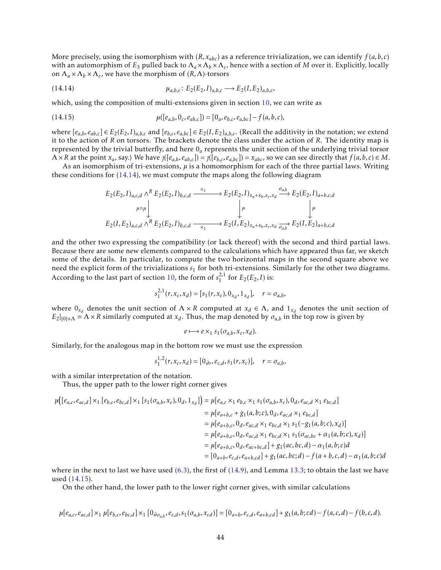More precisely, using the isomorphism with  $(R, x_{abc})$  as a reference trivialization, we can identify  $f(a, b, c)$ with an automorphism of  $E_3$  pulled back to  $\Lambda_a\times\Lambda_b\times\Lambda_c$ , hence with a section of  $M$  over it. Explicitly, locally on  $\Lambda_a \times \Lambda_b \times \Lambda_c$ , we have the morphism of  $(R, \Lambda)$ -torsors

<span id="page-43-0"></span>(14.14) 
$$
\mu_{a,b,c}: E_2(E_2, I)_{a,b,c} \longrightarrow E_2(I, E_2)_{a,b,c},
$$

which, using the composition of multi-extensions given in section [10,](#page-26-1) we can write as

(14.15) 
$$
\mu([e_{a,b}, 0_c, e_{ab,c}]) = [0_a, e_{b,c}, e_{a,bc}] - f(a, b, c),
$$

where  $[e_{a,b},e_{ab,c}] \in E_2(E_2,I)_{a,b,c}$  and  $[e_{b,c},e_{a,bc}] \in E_2(I,E_2)_{a,b,c}$ . (Recall the additivity in the notation; we extend it to the action of *R* on torsors. The brackets denote the class under the action of *R*. The identity map is represented by the trivial butterfly, and here 0*<sup>a</sup>* represents the unit section of the underlying trivial torsor  $\Lambda \times R$  at the point  $x_a$ , say.) We have  $\jmath([e_{a,b}, e_{ab,c}]) = \jmath([e_{b,c}, e_{a,bc}]) = x_{abc}$ , so we can see directly that  $f(a, b, c) \in M$ .

As an isomorphism of tri-extensions, *µ* is a homomorphism for each of the three partial laws. Writing these conditions for [\(14.14\)](#page-43-0), we must compute the maps along the following diagram

<span id="page-43-1"></span>
$$
E_2(E_2, I)_{a,c,d} \wedge^R E_2(E_2, I)_{b,c,d} \xrightarrow{\times_1} E_2(E_2, I)_{x_a + x_b, x_c, x_d} \xrightarrow{\sigma_{a,b}} E_2(E_2, I)_{a+b,c,d}
$$
  
\n
$$
\downarrow^{\mu \wedge \mu} \downarrow^{\mu}
$$
  
\n
$$
E_2(I, E_2)_{a,c,d} \wedge^R E_2(E_2, I)_{b,c,d} \xrightarrow{\times_1} E_2(I, E_2)_{x_a + x_b, x_c, x_d} \xrightarrow{\sigma_{a,b}} E_2(I, E_2)_{a+b,c,d}
$$

and the other two expressing the compatibility (or lack thereof) with the second and third partial laws. Because there are some new elements compared to the calculations which have appeared thus far, we sketch some of the details. In particular, to compute the two horizontal maps in the second square above we need the explicit form of the trivializations  $s_1$  for both tri-extensions. Similarly for the other two diagrams. According to the last part of section [10,](#page-26-1) the form of  $s_1^{2,1}$  for  $E_2(E_2, I)$  is:

$$
s_1^{2,1}(r, x_c, x_d) = [s_1(r, x_c), 0_{x_d}, 1_{x_d}], \quad r = \sigma_{a,b},
$$

where  $0_{x_d}$  denotes the unit section of  $\Lambda \times R$  computed at  $x_d \in \Lambda$ , and  $1_{x_d}$  denotes the unit section of  $E_2|_{\{0\}\times\Lambda} \simeq \Lambda \times R$  similarly computed at  $x_d$ . Thus, the map denoted by  $\sigma_{a,b}$  in the top row is given by

$$
e \longmapsto e \times_1 s_1(\sigma_{a,b}, x_c, x_d).
$$

Similarly, for the analogous map in the bottom row we must use the expression

$$
s_1^{1,2}(r, x_c, x_d) = [0_{\partial r}, e_{c,d}, s_1(r, x_c)], \quad r = \sigma_{a,b},
$$

with a similar interpretation of the notation.

Thus, the upper path to the lower right corner gives

$$
\mu([e_{a,c}, e_{ac,d}] \times_1 [e_{b,c}, e_{bc,d}] \times_1 [s_1(\sigma_{a,b}, x_c), 0_d, 1_{x_d}]) = \mu[e_{a,c} \times_1 e_{b,c} \times_1 s_1(\sigma_{a,b}, x_c), 0_d, e_{ac,d} \times_1 e_{bc,d}]
$$
  
\n
$$
= \mu[e_{a+b,c} + g_1(a,b;c), 0_d, e_{ac,d} \times_1 e_{bc,d}]
$$
  
\n
$$
= \mu[e_{a+b,c}, 0_d, e_{ac,d} \times_1 e_{bc,d} \times_1 s_1(-g_1(a,b;c), x_d)]
$$
  
\n
$$
= \mu[e_{a+b,c}, 0_d, e_{ac,d} \times_1 e_{bc,d} \times_1 s_1(\sigma_{ac,bc} + \alpha_1(a,b;c), x_d)]
$$
  
\n
$$
= \mu[e_{a+b,c}, 0_d, e_{ac+b,c,d}] + g_1(ac, bc, d) - \alpha_1(a,b;c)d
$$
  
\n
$$
= [0_{a+b}, e_{c,d}, e_{a+b,c,d}] + g_1(ac, bc; d) - f(a+b, c, d) - \alpha_1(a,b;c)d
$$

where in the next to last we have used  $(6.3)$ , the first of  $(14.9)$ , and Lemma [13.3;](#page-34-2) to obtain the last we have used [\(14.15\)](#page-43-1).

On the other hand, the lower path to the lower right corner gives, with similar calculations

$$
\mu[e_{a,c},e_{ac,d}]\times_1\mu[e_{b,c},e_{bc,d}]\times_1[0_{\partial\sigma_{a,b}},e_{c,d},s_1(\sigma_{a,b},x_{cd})]=[0_{a+b},e_{c,d},e_{a+b,cd}]+g_1(a,b;cd)-f(a,c,d)-f(b,c,d).
$$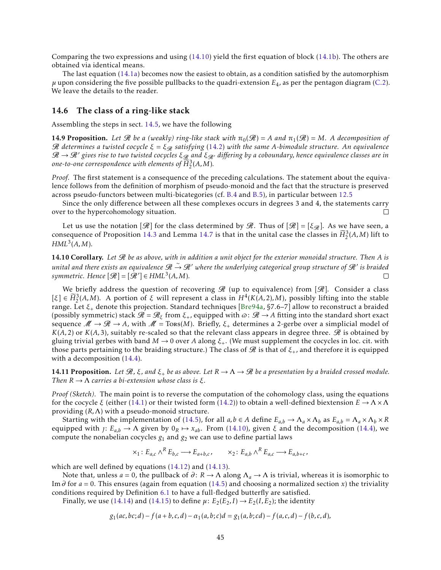<span id="page-44-3"></span>Comparing the two expressions and using [\(14.10\)](#page-41-4) yield the first equation of block [\(14.1b\)](#page-38-3). The others are obtained via identical means.

The last equation [\(14.1a\)](#page-38-2) becomes now the easiest to obtain, as a condition satisfied by the automorphism  $\mu$  upon considering the five possible pullbacks to the quadri-extension  $E_4$ , as per the pentagon diagram [\(C.2\)](#page-51-0). We leave the details to the reader.

#### 14.6 The class of a ring-like stack

Assembling the steps in sect. [14.5,](#page-41-0) we have the following

<span id="page-44-0"></span>**14.9 Proposition.** Let  $\mathcal{R}$  be a (weakly) ring-like stack with  $\pi_0(\mathcal{R}) = A$  and  $\pi_1(\mathcal{R}) = M$ . A decomposition of R *determines a twisted cocycle ξ* = *ξ*<sup>R</sup> *satisfying* [\(14.2\)](#page-39-1) *with the same A-bimodule structure. An equivalence*  $\mathscr{R} \to \mathscr{R}'$  gives rise to two twisted cocycles ξ<sub>Ω</sub> and ξ<sub>Ω</sub>, differing by a coboundary, hence equivalence classes are in one-to-one correspondence with elements of  $\widetilde{H}^3_2(A,M)$ .

*Proof.* The first statement is a consequence of the preceding calculations. The statement about the equivalence follows from the definition of morphism of pseudo-monoid and the fact that the structure is preserved across pseudo-functors between multi-bicategories (cf. [B.4](#page-48-2) and [B.5\)](#page-49-2), in particular between [12.5](#page-32-0)

Since the only difference between all these complexes occurs in degrees 3 and 4, the statements carry over to the hypercohomology situation.  $\Box$ 

Let us use the notation  $[\mathscr{R}]$  for the class determined by  $\mathscr{R}$ . Thus of  $[\mathscr{R}] = [\xi_{\mathscr{R}}]$ . As we have seen, a consequence of Proposition [14.3](#page-39-2) and Lemma [14.7](#page-39-5) is that in the unital case the classes in  $\widetilde{H}_2^3(A,M)$  lift to *HML*<sup>3</sup> (*A,M*).

<span id="page-44-1"></span>14.10 Corollary. *Let* R *be as above, with in addition a unit object for the exterior monoidal structure. Then A is unital and there exists an equivalence* R <sup>∼</sup><sup>→</sup> <sup>R</sup><sup>0</sup> *where the underlying categorical group structure of* <sup>R</sup><sup>0</sup> *is braided*  $symmetric.$  Hence  $[\mathscr{R}] = [\mathscr{R}'] \in \text{HML}^3(A,M).$  $\Box$ 

We briefly address the question of recovering  $\mathcal R$  (up to equivalence) from  $[\mathcal R]$ . Consider a class [*ξ*] ∈  $\widetilde{H}_2^3(A,M)$ . A portion of *ξ* will represent a class in  $H^4(K(A,2),M)$ , possibly lifting into the stable range. Let *ξ*<sup>+</sup> denote this projection. Standard techniques [\[Bre94a,](#page-58-7) §7.6–7] allow to reconstruct a braided (possibly symmetric) stack  $\mathscr{R} = \mathscr{R}_\xi$  from  $\xi_+$ , equipped with  $\varpi\colon\mathscr{R}\to A$  fitting into the standard short exact sequence  $M \to \mathcal{R} \to A$ , with  $M = \text{Tors}(M)$ . Briefly,  $\xi_{+}$  determines a 2-gerbe over a simplicial model of  $K(A,2)$  or  $K(A,3)$ , suitably re-scaled so that the relevant class appears in degree three.  $\mathcal{R}$  is obtained by gluing trivial gerbes with band *M* → 0 over *A* along *ξ*+. (We must supplement the cocycles in loc. cit. with those parts pertaining to the braiding structure.) The class of  $\mathscr R$  is that of  $\xi_{+}$ , and therefore it is equipped with a decomposition  $(14.4)$ .

<span id="page-44-2"></span>**14.11 Proposition.** Let  $\mathcal{R}$ ,  $\xi$ , and  $\xi$ <sub>+</sub> be as above. Let  $R \to \Lambda \to \mathcal{R}$  be a presentation by a braided crossed module. *Then*  $R \rightarrow \Lambda$  *carries a bi-extension whose class is*  $\xi$ *.* 

*Proof (Sketch).* The main point is to reverse the computation of the cohomology class, using the equations for the cocycle *ξ* (either [\(14.1\)](#page-38-5) or their twisted form [\(14.2\)](#page-39-1)) to obtain a well-defined biextension *E* → Λ × Λ providing (*R,*Λ) with a pseudo-monoid structure.

Starting with the implementation of [\(14.5\)](#page-40-0), for all  $a, b \in A$  define  $E_{a,b} \to \Lambda_a \times \Lambda_b$  as  $E_{a,b} = \Lambda_a \times \Lambda_b \times R$ equipped with  $f: E_{a,b} \to \Lambda$  given by  $0_R \mapsto x_{ab}$ . From [\(14.10\)](#page-41-4), given  $\xi$  and the decomposition [\(14.4\)](#page-40-2), we compute the nonabelian cocycles  $g_1$  and  $g_2$  we can use to define partial laws

$$
\times_1: E_{a,c} \wedge^R E_{b,c} \longrightarrow E_{a+b,c}, \qquad \times_2: E_{a,b} \wedge^R E_{a,c} \longrightarrow E_{a,b+c},
$$

which are well defined by equations [\(14.12\)](#page-42-1) and [\(14.13\)](#page-42-2).

Note that, unless  $a = 0$ , the pullback of  $\partial: R \to \Lambda$  along  $\Lambda_a \to \Lambda$  is trivial, whereas it is isomorphic to Im*∂* for *a* = 0. This ensures (again from equation [\(14.5\)](#page-40-0) and choosing a normalized section *x*) the triviality conditions required by Definition [6.1](#page-18-8) to have a full-fledged butterfly are satisfied.

Finally, we use [\(14.14\)](#page-43-0) and [\(14.15\)](#page-43-1) to define  $\mu$ :  $E_2(E_2, I) \rightarrow E_2(I, E_2)$ ; the identity

$$
g_1(ac, bc; d) - f(a + b, c, d) - \alpha_1(a, b; c)d = g_1(a, b; cd) - f(a, c, d) - f(b, c, d),
$$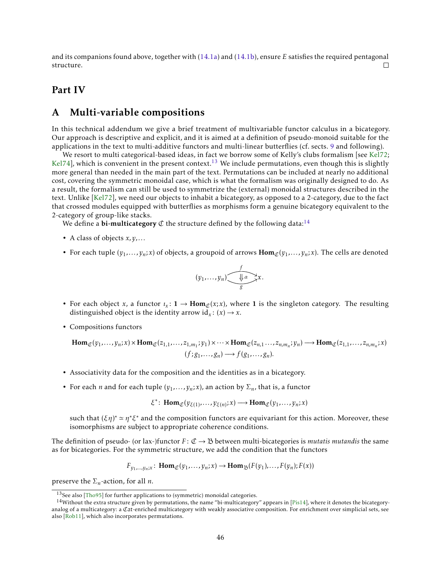<span id="page-45-4"></span>and its companions found above, together with [\(14.1a\)](#page-38-2) and [\(14.1b\)](#page-38-3), ensure *E* satisfies the required pentagonal structure.  $\Box$ 

### <span id="page-45-1"></span>Part IV

## <span id="page-45-0"></span>A Multi-variable compositions

In this technical addendum we give a brief treatment of multivariable functor calculus in a bicategory. Our approach is descriptive and explicit, and it is aimed at a definition of pseudo-monoid suitable for the applications in the text to multi-additive functors and multi-linear butterflies (cf. sects. [9](#page-25-1) and following).

We resort to multi categorical-based ideas, in fact we borrow some of Kelly's clubs formalism [see [Kel72;](#page-59-5) [Kel74\]](#page-59-16), which is convenient in the present context.<sup>[13](#page-45-2)</sup> We include permutations, even though this is slightly more general than needed in the main part of the text. Permutations can be included at nearly no additional cost, covering the symmetric monoidal case, which is what the formalism was originally designed to do. As a result, the formalism can still be used to symmetrize the (external) monoidal structures described in the text. Unlike [\[Kel72\]](#page-59-5), we need our objects to inhabit a bicategory, as opposed to a 2-category, due to the fact that crossed modules equipped with butterflies as morphisms form a genuine bicategory equivalent to the 2-category of group-like stacks.

We define a bi-multicategory  $\mathfrak C$  the structure defined by the following data:<sup>[14](#page-45-3)</sup>

- A class of objects  $x, y, \ldots$
- For each tuple  $(y_1,...,y_n;x)$  of objects, a groupoid of arrows  $\text{Hom}_{\mathfrak{C}}(y_1,...,y_n;x)$ . The cells are denoted



- For each object *x*, a functor  $i_x: 1 \to Hom_{\mathfrak{C}}(x; x)$ , where 1 is the singleton category. The resulting distinguished object is the identity arrow  $id_x$ :  $(x) \rightarrow x$ .
- Compositions functors

$$
\text{Hom}_{\mathcal{C}}(y_1,\ldots,y_n;x)\times \text{Hom}_{\mathcal{C}}(z_{1,1},\ldots,z_{1,m_1};y_1)\times\cdots\times \text{Hom}_{\mathcal{C}}(z_{n,1}\ldots,z_{n,m_n};y_n)\longrightarrow \text{Hom}_{\mathcal{C}}(z_{1,1},\ldots,z_{n,m_n};x)
$$
\n
$$
(f;g_1,\ldots,g_n)\longrightarrow f(g_1,\ldots,g_n).
$$

- Associativity data for the composition and the identities as in a bicategory.
- For each *n* and for each tuple  $(y_1,...,y_n;x)$ , an action by  $\Sigma_n$ , that is, a functor

 $\xi^*$ : Hom<sub>C</sub>( $y_{\xi(1)},...,y_{\xi(n)}$ ;*x*) → Hom<sub>C</sub>( $y_1,...,y_n$ ;*x*)

such that  $({\xi \eta})^* \simeq \eta^* {\xi}^*$  and the composition functors are equivariant for this action. Moreover, these isomorphisms are subject to appropriate coherence conditions.

The definition of pseudo- (or lax-)functor  $F: \mathfrak{C} \to \mathfrak{B}$  between multi-bicategories is *mutatis mutandis* the same as for bicategories. For the symmetric structure, we add the condition that the functors

$$
F_{y_1,\ldots,y_n;x} \colon \mathbf{Hom}_{\mathfrak{C}}(y_1,\ldots,y_n;x) \to \mathbf{Hom}_{\mathfrak{B}}(F(y_1),\ldots,F(y_n);F(x))
$$

preserve the Σ*n*-action, for all *n*.

<span id="page-45-3"></span><span id="page-45-2"></span> $^{13}$ See also [\[Tho95\]](#page-60-1) for further applications to (symmetric) monoidal categories.

 $14$ Without the extra structure given by permutations, the name "bi-multicategory" appears in [\[Pis14\]](#page-59-17), where it denotes the bicategoryanalog of a multicategory: a Cat-enriched multicategory with weakly associative composition. For enrichment over simplicial sets, see also [\[Rob11\]](#page-59-18), which also incorporates permutations.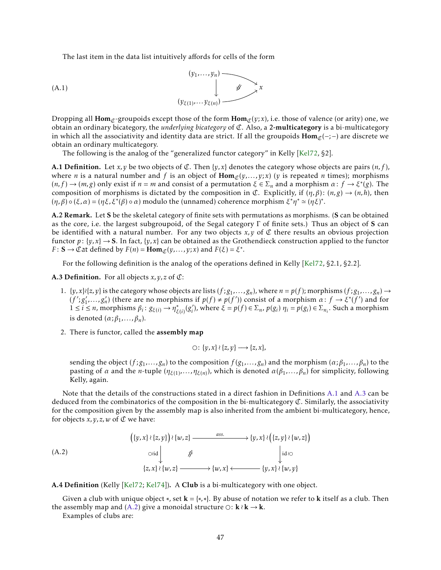<span id="page-46-3"></span>The last item in the data list intuitively affords for cells of the form

$$
(y_1, \ldots, y_n) \longrightarrow
$$
  
(A.1) 
$$
(y_{\xi(1)}, \ldots, y_{\xi(n)}) \longrightarrow x
$$

Dropping all  $\text{Hom}_{\mathcal{C}}$ -groupoids except those of the form  $\text{Hom}_{\mathcal{C}}(y; x)$ , i.e. those of valence (or arity) one, we obtain an ordinary bicategory, the *underlying bicategory* of C. Also, a 2-multicategory is a bi-multicategory in which all the associativity and identity data are strict. If all the groupoids  $Hom_{\mathcal{C}}(-;-)$  are discrete we obtain an ordinary multicategory.

The following is the analog of the "generalized functor category" in Kelly [\[Kel72,](#page-59-5) §2].

<span id="page-46-0"></span>A.1 Definition. Let *x*, *y* be two objects of  $\mathcal{C}$ . Then  $\{y, x\}$  denotes the category whose objects are pairs  $(n, f)$ , where *n* is a natural number and *f* is an object of  $Hom_{\mathcal{C}}(y, \ldots, y; x)$  (*y* is repeated *n* times); morphisms  $(n, f) \rightarrow (m, g)$  only exist if  $n = m$  and consist of a permutation  $\xi \in \Sigma_n$  and a morphism  $\alpha : f \rightarrow \xi^*(g)$ . The composition of morphisms is dictated by the composition in  $\mathcal{C}$ . Explicitly, if  $(\eta, \beta)$ :  $(n,g) \rightarrow (n,h)$ , then (*η*, β)  $\circ$  (*ξ*, *α*) = (*ηξ*, *ξ*<sup>\*</sup>(*β*)  $\circ$  *α*) modulo the (unnamed) coherence morphism *ξ*<sup>\*</sup>*η*<sup>\*</sup> ≈ (*ηξ*)<sup>\*</sup>.

A.2 Remark. Let S be the skeletal category of finite sets with permutations as morphisms. (S can be obtained as the core, i.e. the largest subgroupoid, of the Segal category  $\Gamma$  of finite sets.) Thus an object of S can be identified with a natural number. For any two objects  $x, y$  of  $\mathcal C$  there results an obvious projection functor  $p: \{y, x\} \to S$ . In fact,  $\{y, x\}$  can be obtained as the Grothendieck construction applied to the functor  $F: S \to \mathbb{C}$  at defined by  $F(n) = \text{Hom}_{\mathbb{C}}(y, \ldots, y; x)$  and  $F(\xi) = \xi^*$ .

For the following definition is the analog of the operations defined in Kelly [\[Kel72,](#page-59-5) §2.1, §2.2].

<span id="page-46-1"></span>**A.3 Definition.** For all objects  $x, y, z$  of  $\mathbb{C}$ :

- 1.  $\{y, x\}$ { $\{z, y\}$  is the category whose objects are lists ( $f$ ; $g_1, \ldots, g_n$ ), where  $n = p(f)$ ; morphisms ( $f$ ; $g_1, \ldots, g_n$ ) →  $(f';g'_1)$  $f_1, \ldots, g_n'$  (there are no morphisms if  $p(f) \neq p(f')$ ) consist of a morphism  $\alpha: f \to \xi^*(f')$  and for  $1 \le i \le n$ , morphisms  $\beta_i: g_{\xi(i)} \to \eta_{\xi}^*$ *ξ*(*i*) (*g* 0 *i*<sub>*i*</sub>), where  $\xi = p(f) \in \Sigma_n$ ,  $p(g_i) \eta_i = p(g_i) \in \Sigma_{n_i}$ . Such a morphism is denoted  $(\alpha; \beta_1, \ldots, \beta_n)$ .
- 2. There is functor, called the assembly map

$$
\bigcirc: \{y, x\} \wr \{z, y\} \longrightarrow \{z, x\},
$$

sending the object  $(f;g_1,...,g_n)$  to the composition  $f(g_1,...,g_n)$  and the morphism  $(\alpha;\beta_1,...,\beta_n)$  to the pasting of *α* and the *n*-tuple (*ηξ*(1)*,..., ηξ*(*n*) ), which is denoted *α*(*β*1*,..., βn*) for simplicity, following Kelly, again.

Note that the details of the constructions stated in a direct fashion in Definitions [A.1](#page-46-0) and [A.3](#page-46-1) can be deduced from the combinatorics of the composition in the bi-multicategory  $\mathfrak{C}$ . Similarly, the associativity for the composition given by the assembly map is also inherited from the ambient bi-multicategory, hence, for objects  $x, y, z, w$  of  $C$  we have:

<span id="page-46-2"></span>(A.2)  
\n
$$
((y, x) \wr \{z, y\}) \wr \{w, z\} \longrightarrow \{y, x\} \wr \{(z, y) \wr \{w, z\}\}\n \longrightarrow \{x, x\} \lor \{w, z\}\n \longrightarrow \{z, x\} \lor \{w, z\} \longrightarrow \{w, x\} \leftarrow \{y, x\} \lor \{w, y\}
$$

A.4 Definition (Kelly [\[Kel72;](#page-59-5) [Kel74\]](#page-59-16)). A Club is a bi-multicategory with one object.

Given a club with unique object ∗, set k = {∗*,*∗}. By abuse of notation we refer to k itself as a club. Then the assembly map and [\(A.2\)](#page-46-2) give a monoidal structure  $\bigcirc$ :  $\mathbf{k} \setminus \mathbf{k} \to \mathbf{k}$ .

Examples of clubs are: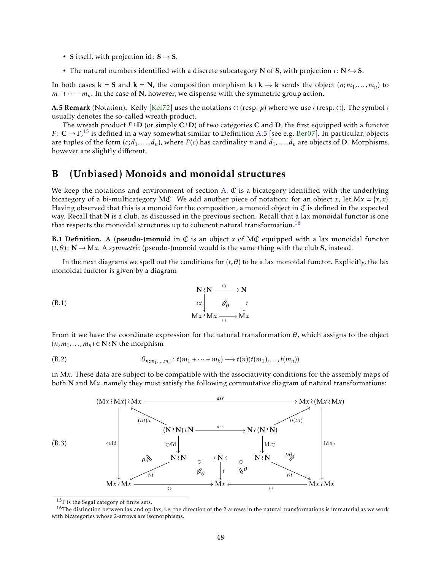- <span id="page-47-7"></span>• S itself, with projection id:  $S \rightarrow S$ .
- The natural numbers identified with a discrete subcategory N of S, with projection  $\iota: N \hookrightarrow S$ .

In both cases  $\mathbf{k} = \mathbf{S}$  and  $\mathbf{k} = \mathbf{N}$ , the composition morphism  $\mathbf{k} \wr \mathbf{k} \to \mathbf{k}$  sends the object  $(n; m_1, \dots, m_n)$  to  $m_1 + \cdots + m_n$ . In the case of **N**, however, we dispense with the symmetric group action.

**A.5 Remark** (Notation). Kelly [\[Kel72\]](#page-59-5) uses the notations  $\circ$  (resp.  $\mu$ ) where we use  $\wr$  (resp.  $\circ$ ). The symbol  $\wr$ usually denotes the so-called wreath product.

The wreath product  $F \wr D$  (or simply  $C \wr D$ ) of two categories C and D, the first equipped with a functor *F* : **C** → Γ,<sup>[15](#page-47-3)</sup> is defined in a way somewhat similar to Definition [A.3](#page-46-1) [see e.g. [Ber07\]](#page-58-15). In particular, objects are tuples of the form  $(c; d_1, \ldots, d_n)$ , where  $F(c)$  has cardinality *n* and  $d_1, \ldots, d_n$  are objects of **D**. Morphisms, however are slightly different.

## <span id="page-47-0"></span>B (Unbiased) Monoids and monoidal structures

We keep the notations and environment of section  $A$ .  $C$  is a bicategory identified with the underlying bicategory of a bi-multicategory MC. We add another piece of notation: for an object *x*, let  $Mx = \{x, x\}$ . Having observed that this is a monoid for the composition, a monoid object in  $\mathfrak C$  is defined in the expected way. Recall that N is a club, as discussed in the previous section. Recall that a lax monoidal functor is one that respects the monoidal structures up to coherent natural transformation.<sup>[16](#page-47-4)</sup>

<span id="page-47-1"></span>**B.1 Definition.** A (pseudo-)monoid in  $C$  is an object  $x$  of M $C$  equipped with a lax monoidal functor  $(t, \theta)$ :  $N \rightarrow Mx$ . A *symmetric* (pseudo-)monoid would is the same thing with the club S, instead.

In the next diagrams we spell out the conditions for  $(t, \theta)$  to be a lax monoidal functor. Explicitly, the lax monoidal functor is given by a diagram

<span id="page-47-6"></span>(B.1)  
\n
$$
N \wr N \xrightarrow{\circ} N
$$
\n
$$
t \wr t \qquad \forall \theta \qquad t
$$
\n
$$
Mx \wr Mx \xrightarrow{\circ} Mx
$$

From it we have the coordinate expression for the natural transformation  $\theta$ , which assigns to the object  $(n; m_1, \ldots, m_n) \in \mathbb{N} \wr \mathbb{N}$  the morphism

<span id="page-47-2"></span>
$$
(B.2) \qquad \theta_{n;m_1,\dots,m_n}: t(m_1+\dots+m_k) \longrightarrow t(n)(t(m_1),\dots,t(m_n))
$$

in M*x*. These data are subject to be compatible with the associativity conditions for the assembly maps of both N and M*x*, namely they must satisfy the following commutative diagram of natural transformations:

<span id="page-47-5"></span>

<span id="page-47-4"></span><span id="page-47-3"></span> $15$ Γ is the Segal category of finite sets.

<sup>&</sup>lt;sup>16</sup>The distinction between lax and op-lax, i.e. the direction of the 2-arrows in the natural transformations is immaterial as we work with bicategories whose 2-arrows are isomorphisms.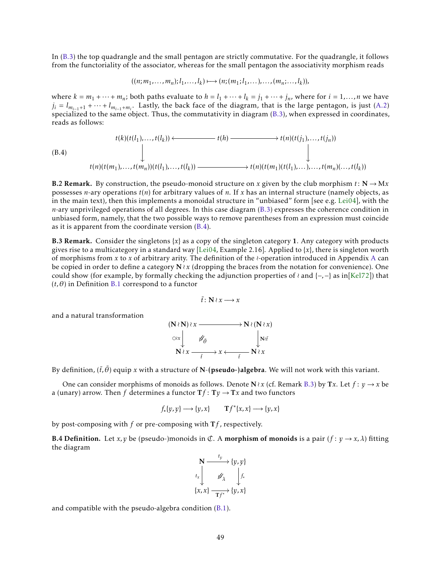<span id="page-48-3"></span>In [\(B.3\)](#page-47-5) the top quadrangle and the small pentagon are strictly commutative. For the quadrangle, it follows from the functoriality of the associator, whereas for the small pentagon the associativity morphism reads

$$
((n; m_1,..., m_n); l_1,..., l_k) \mapsto (n; (m_1; l_1,...),..., (m_n; ..., l_k)),
$$

where  $k = m_1 + \dots + m_n$ ; both paths evaluate to  $h = l_1 + \dots + l_k = j_1 + \dots + j_n$ , where for  $i = 1, \dots, n$  we have  $j_i = l_{m_{i-1}+1} + \cdots + l_{m_{i-1}+m_i}$ . Lastly, the back face of the diagram, that is the large pentagon, is just [\(A.2\)](#page-46-2) specialized to the same object. Thus, the commutativity in diagram [\(B.3\)](#page-47-5), when expressed in coordinates, reads as follows:

<span id="page-48-1"></span>
$$
t(k)(t(l_1),...,t(l_k)) \longleftarrow t(h) \longrightarrow t(n)(t(j_1),...,t(j_n))
$$
  
\n
$$
\downarrow \qquad \qquad \downarrow
$$
  
\n
$$
t(n)(t(m_1),...,t(m_n))(t(l_1),...,t(l_k)) \longrightarrow t(n)(t(m_1)(t(l_1),...,...,t(m_n)(...,t(l_k)))
$$

**B.2 Remark.** By construction, the pseudo-monoid structure on *x* given by the club morphism  $t: \mathbb{N} \to Mx$ possesses *n*-ary operations *t*(*n*) for arbitrary values of *n*. If *x* has an internal structure (namely objects, as in the main text), then this implements a monoidal structure in "unbiased" form [see e.g. [Lei04\]](#page-59-6), with the *n*-ary unprivileged operations of all degrees. In this case diagram [\(B.3\)](#page-47-5) expresses the coherence condition in unbiased form, namely, that the two possible ways to remove parentheses from an expression must coincide as it is apparent from the coordinate version [\(B.4\)](#page-48-1).

<span id="page-48-0"></span>**B.3 Remark.** Consider the singletons  $\{x\}$  as a copy of the singleton category 1. Any category with products gives rise to a multicategory in a standard way [\[Lei04,](#page-59-6) Example 2.16]. Applied to {*x*}, there is singleton worth of morphisms from  $x$  to  $x$  of arbitrary arity. The definition of the  $\lambda$ -operation introduced in [A](#page-45-0)ppendix A can be copied in order to define a category  $N \wr x$  (dropping the braces from the notation for convenience). One could show (for example, by formally checking the adjunction properties of  $\lambda$  and {-*,*−} as in[\[Kel72\]](#page-59-5)) that (*t,θ*) in Definition [B.1](#page-47-1) correspond to a functor

$$
\tilde{t}\colon\mathbf{N}\wr x\longrightarrow x
$$

and a natural transformation

(B.4)

$$
(N \wr N) \wr x \longrightarrow N \wr (N \wr x)
$$
  
\n
$$
\circ x \downarrow \qquad \qquad \psi_{\tilde{\theta}} \qquad \qquad \downarrow N \wr \tilde{t}
$$
  
\n
$$
N \wr x \longrightarrow x \longleftarrow \tilde{t} \qquad N \wr x
$$

By definition,  $(\tilde{t}, \tilde{\theta})$  equip *x* with a structure of N-(**pseudo-)algebra**. We will not work with this variant.

One can consider morphisms of monoids as follows. Denote  $N \wr x$  (cf. Remark [B.3\)](#page-48-0) by Tx. Let  $f: y \to x$  be a (unary) arrow. Then *f* determines a functor  $Tf: Tv \rightarrow Tx$  and two functors

$$
f_*(y, y) \longrightarrow {y, x}
$$
  $\qquad$   $\mathbf{T} f^*(x, x) \longrightarrow {y, x}$ 

by post-composing with *f* or pre-composing with T*f* , respectively.

<span id="page-48-2"></span>**B.4 Definition.** Let *x*, *y* be (pseudo-)monoids in C. A morphism of monoids is a pair  $(f: y \rightarrow x, \lambda)$  fitting the diagram

$$
\begin{array}{ccc}\nN & \xrightarrow{t_y} & \{y, y\} \\
\downarrow & \swarrow & \downarrow \\
\downarrow x & \downarrow & \downarrow \\
\{x, x\} & \xrightarrow{\mathbf{T}f^*} & \{y, x\}\n\end{array}
$$

and compatible with the pseudo-algebra condition [\(B.1\)](#page-47-6).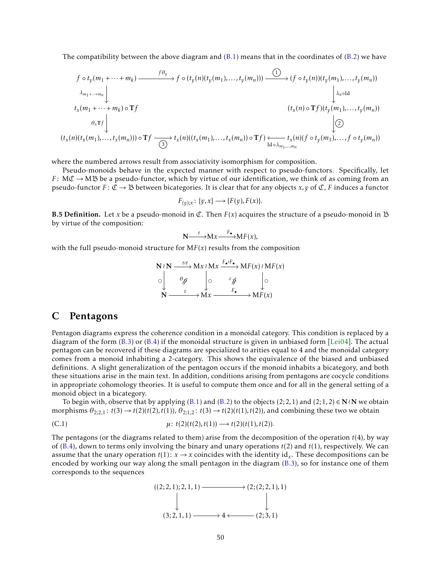<span id="page-49-3"></span>The compatibility between the above diagram and  $(B.1)$  means that in the coordinates of  $(B.2)$  we have

$$
f \circ t_{y}(m_{1} + \cdots + m_{k}) \xrightarrow{f \theta_{y}} f \circ (t_{y}(n)(t_{y}(m_{1}), \ldots, t_{y}(m_{n}))) \xrightarrow{\text{(1)}} (f \circ t_{y}(n))(t_{y}(m_{1}), \ldots, t_{y}(m_{n}))
$$
\n
$$
\lambda_{m_{1} + \cdots + m_{k}} \downarrow \qquad \qquad \downarrow \lambda_{n} \circ \text{Id}
$$
\n
$$
t_{x}(m_{1} + \cdots + m_{k}) \circ \text{T}f \qquad \qquad (t_{x}(n) \circ \text{T}f)(t_{y}(m_{1}), \ldots, t_{y}(m_{n}))
$$
\n
$$
\theta_{x} \text{T}f \downarrow \qquad \qquad \downarrow \text{(2)}
$$
\n
$$
(t_{x}(n)(t_{x}(m_{1}), \ldots, t_{x}(m_{n}))) \circ \text{T}f \xrightarrow{\text{(3)}} t_{x}(n)((t_{x}(m_{1}), \ldots, t_{x}(m_{n})) \circ \text{T}f) \xleftarrow{\text{(1)}} t_{x}(n)(f \circ t_{y}(m_{1}), \ldots, f \circ t_{y}(m_{n}))
$$

where the numbered arrows result from associativity isomorphism for composition.

Pseudo-monoids behave in the expected manner with respect to pseudo-functors. Specifically, let *F*:  $MC \rightarrow MB$  be a pseudo-functor, which by virtue of our identification, we think of as coming from an pseudo-functor  $F: \mathbb{C} \to \mathcal{B}$  between bicategories. It is clear that for any objects *x*, *y* of  $\mathbb{C}$ , *F* induces a functor

$$
F_{(y);x} \colon \{y,x\} \longrightarrow \{F(y), F(x)\}.
$$

<span id="page-49-2"></span>**B.5 Definition.** Let *x* be a pseudo-monoid in  $\mathcal{C}$ . Then  $F(x)$  acquires the structure of a pseudo-monoid in  $\mathcal{B}$ by virtue of the composition:

$$
N \stackrel{t}{\longrightarrow} Mx \stackrel{F_{\bullet}}{\longrightarrow} MF(x),
$$

with the full pseudo-monoid structure for  $MF(x)$  results from the composition

$$
N \wr N \xrightarrow{ftt} Mx \wr Mx \xrightarrow{F_{\bullet} \wr F_{\bullet}} MF(x) \wr MF(x)
$$
  
\n
$$
\circ \qquad \qquad \downarrow \qquad \qquad \downarrow \qquad \qquad \downarrow
$$
  
\n
$$
N \xrightarrow{t} Mx \xrightarrow{F_{\bullet}} MF(x)
$$

### <span id="page-49-0"></span>C Pentagons

Pentagon diagrams express the coherence condition in a monoidal category. This condition is replaced by a diagram of the form  $(B.3)$  or  $(B.4)$  if the monoidal structure is given in unbiased form [\[Lei04\]](#page-59-6). The actual pentagon can be recovered if these diagrams are specialized to arities equal to 4 and the monoidal category comes from a monoid inhabiting a 2-category. This shows the equivalence of the biased and unbiased definitions. A slight generalization of the pentagon occurs if the monoid inhabits a bicategory, and both these situations arise in the main text. In addition, conditions arising from pentagons are cocycle conditions in appropriate cohomology theories. It is useful to compute them once and for all in the general setting of a monoid object in a bicategory.

To begin with, observe that by applying [\(B.1\)](#page-47-6) and [\(B.2\)](#page-47-2) to the objects (2; 2, 1) and (2; 1, 2)  $\in \mathbb{N} \wr \mathbb{N}$  we obtain morphisms  $\theta_{2;2,1}$ :  $t(3) \rightarrow t(2)(t(2), t(1))$ ,  $\theta_{2;1,2}$ :  $t(3) \rightarrow t(2)(t(1), t(2))$ , and combining these two we obtain

(C.1) 
$$
\mu: t(2)(t(2), t(1)) \longrightarrow t(2)(t(1), t(2)).
$$

The pentagons (or the diagrams related to them) arise from the decomposition of the operation *t*(4), by way of [\(B.4\)](#page-48-1), down to terms only involving the binary and unary operations *t*(2) and *t*(1), respectively. We can assume that the unary operation  $t(1)$ :  $x \to x$  coincides with the identity id<sub>x</sub>. These decompositions can be encoded by working our way along the small pentagon in the diagram [\(B.3\)](#page-47-5), so for instance one of them corresponds to the sequences

<span id="page-49-1"></span>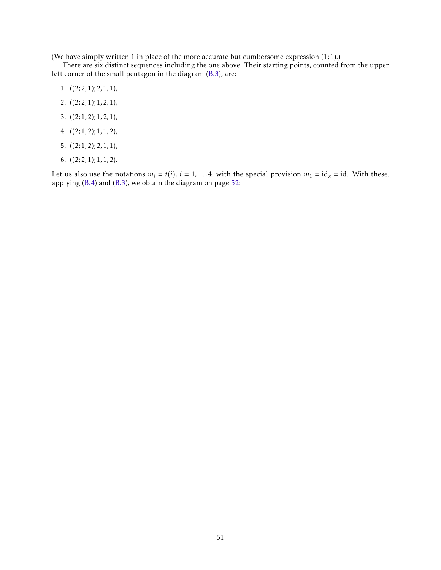(We have simply written 1 in place of the more accurate but cumbersome expression (1; 1).)

There are six distinct sequences including the one above. Their starting points, counted from the upper left corner of the small pentagon in the diagram [\(B.3\)](#page-47-5), are:

- <span id="page-50-5"></span><span id="page-50-4"></span><span id="page-50-3"></span><span id="page-50-2"></span><span id="page-50-1"></span><span id="page-50-0"></span>1. ((2; 2*,*1); 2*,*1*,*1),
- 2. ((2; 2*,*1); 1*,*2*,*1),
- 3. ((2; 1*,*2); 1*,*2*,*1),
- 4. ((2; 1*,*2); 1*,*1*,*2),
- <span id="page-50-6"></span>5. ((2; 1*,*2); 2*,*1*,*1),
- <span id="page-50-7"></span>6. ((2; 2*,*1); 1*,*1*,*2).

Let us also use the notations  $m_i = t(i)$ ,  $i = 1,...,4$ , with the special provision  $m_1 = id_x = id$ . With these, applying [\(B.4\)](#page-48-1) and [\(B.3\)](#page-47-5), we obtain the diagram on page [52:](#page-51-0)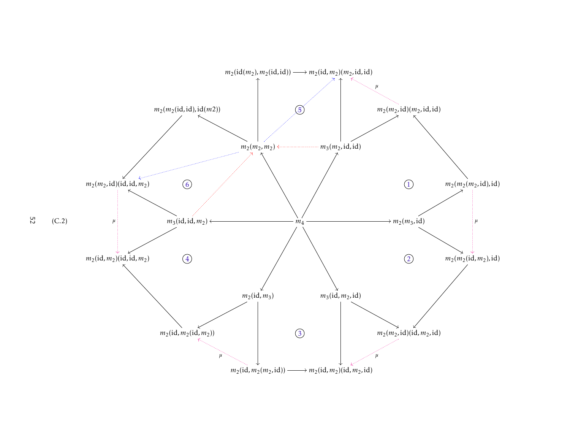<span id="page-51-0"></span>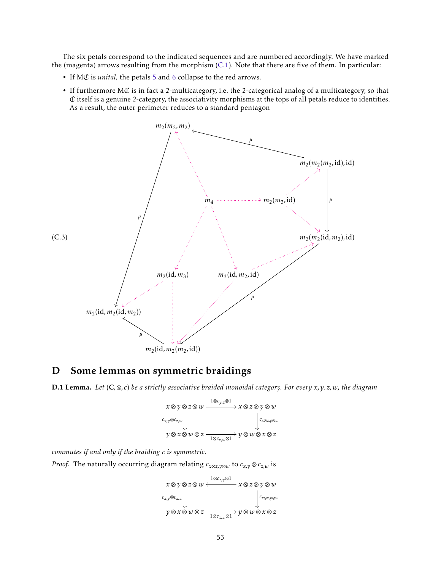The six petals correspond to the indicated sequences and are numbered accordingly. We have marked the (magenta) arrows resulting from the morphism [\(C.1\)](#page-49-1). Note that there are five of them. In particular:

- If MC is *unital,* the petals [5](#page-50-6) and [6](#page-50-7) collapse to the red arrows.
- If furthermore MC is in fact a 2-multicategory, i.e. the 2-categorical analog of a multicategory, so that C itself is a genuine 2-category, the associativity morphisms at the tops of all petals reduce to identities. As a result, the outer perimeter reduces to a standard pentagon



## <span id="page-52-0"></span>D Some lemmas on symmetric braidings

<span id="page-52-1"></span>D.1 Lemma. *Let* (C*,*⊗*, c*) *be a strictly associative braided monoidal category. For every x,y, z,w, the diagram*



*commutes if and only if the braiding c is symmetric.*

*Proof.* The naturally occurring diagram relating  $c_{x \otimes z, y \otimes w}$  to  $c_{x,y} \otimes c_{z,w}$  is

$$
\begin{array}{c}\nx\otimes y\otimes z\otimes w\longleftarrow\hspace{-0.2cm}\xrightarrow{\scriptsize{\begin{array}{c}1\otimes c_{z,y}\otimes 1\end{array}}}x\otimes z\otimes y\otimes w\\\ \xrightarrow{c_{x,y}\otimes c_{z,w}}\bigdownarrow\hspace{-0.2cm}y\otimes x\otimes w\otimes z\longrightarrow\hspace{-0.2cm}\xrightarrow{\scriptsize{\begin{array}{c}1\otimes c_{x,y}\otimes 1\end{array}}}y\otimes w\otimes x\otimes z\\\end{array}}
$$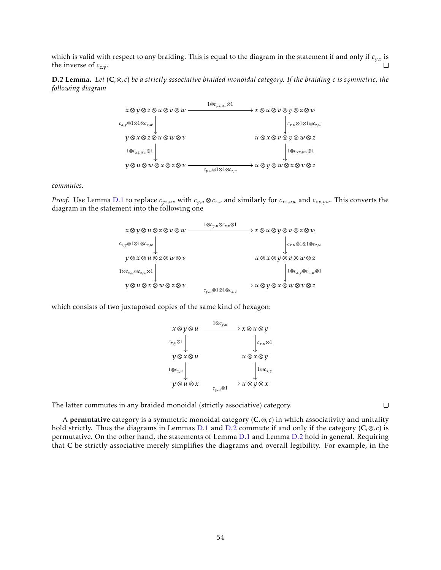which is valid with respect to any braiding. This is equal to the diagram in the statement if and only if *cy,z* is the inverse of *cz,y* . П

<span id="page-53-0"></span>D.2 Lemma. *Let* (C*,*⊗*, c*) *be a strictly associative braided monoidal category. If the braiding c is symmetric, the following diagram*



*commutes.*

*Proof.* Use Lemma [D.1](#page-52-1) to replace  $c_{yz,uv}$  with  $c_{y,u} \otimes c_{z,v}$  and similarly for  $c_{xz,uv}$  and  $c_{xv, yw}$ . This converts the diagram in the statement into the following one



which consists of two juxtaposed copies of the same kind of hexagon:



The latter commutes in any braided monoidal (strictly associative) category.

A permutative category is a symmetric monoidal category (C*,*⊗*, c*) in which associativity and unitality hold strictly. Thus the diagrams in Lemmas [D.1](#page-52-1) and [D.2](#page-53-0) commute if and only if the category (C*,*⊗*, c*) is permutative. On the other hand, the statements of Lemma [D.1](#page-52-1) and Lemma [D.2](#page-53-0) hold in general. Requiring that C be strictly associative merely simplifies the diagrams and overall legibility. For example, in the

 $\Box$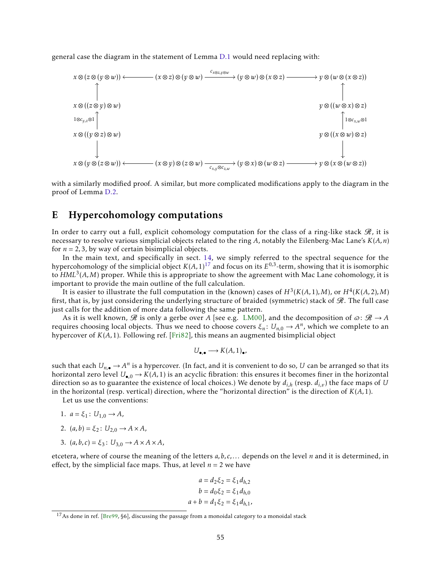<span id="page-54-2"></span>general case the diagram in the statement of Lemma [D.1](#page-52-1) would need replacing with:

$$
x \otimes (z \otimes (y \otimes w)) \longleftrightarrow (x \otimes z) \otimes (y \otimes w) \xrightarrow{c_{x \otimes z, y \otimes w}} (y \otimes w) \otimes (x \otimes z) \longrightarrow y \otimes (w \otimes (x \otimes z))
$$
  
\n
$$
x \otimes ((z \otimes y) \otimes w)
$$
\n
$$
y \otimes ((w \otimes x) \otimes z)
$$
\n
$$
y \otimes ((w \otimes x) \otimes z)
$$
\n
$$
y \otimes ((x \otimes w) \otimes z)
$$
\n
$$
y \otimes ((x \otimes w) \otimes z)
$$
\n
$$
y \otimes ((x \otimes w) \otimes z)
$$
\n
$$
y \otimes ((x \otimes w) \otimes z)
$$
\n
$$
y \otimes ((x \otimes w) \otimes z)
$$
\n
$$
y \otimes ((x \otimes w) \otimes z)
$$

with a similarly modified proof. A similar, but more complicated modifications apply to the diagram in the proof of Lemma [D.2.](#page-53-0)

## <span id="page-54-0"></span>E Hypercohomology computations

In order to carry out a full, explicit cohomology computation for the class of a ring-like stack  $\mathcal{R}$ , it is necessary to resolve various simplicial objects related to the ring *A*, notably the Eilenberg-Mac Lane's *K*(*A,n*) for  $n = 2, 3$ , by way of certain bisimplicial objects.

In the main text, and specifically in sect. [14,](#page-36-1) we simply referred to the spectral sequence for the hypercohomology of the simplicial object  $K(A,1)^{17}$  $K(A,1)^{17}$  $K(A,1)^{17}$  and focus on its  $E^{0,3}$ -term, showing that it is isomorphic to *HML*<sup>3</sup> (*A,M*) proper. While this is appropriate to show the agreement with Mac Lane cohomology, it is important to provide the main outline of the full calculation.

It is easier to illustrate the full computation in the (known) cases of  $H^3(K(A,1),M)$ , or  $H^4(K(A,2),M)$ first, that is, by just considering the underlying structure of braided (symmetric) stack of  $\mathcal R$ . The full case just calls for the addition of more data following the same pattern.

As it is well known,  $\mathscr{R}$  is only a gerbe over *A* [see e.g. [LM00\]](#page-59-12), and the decomposition of  $\varpi$ :  $\mathscr{R} \to A$ requires choosing local objects. Thus we need to choose covers  $\xi_n: U_{n,0} \to A^n$ , which we complete to an hypercover of *K*(*A,*1). Following ref. [\[Fri82\]](#page-58-16), this means an augmented bisimplicial object

$$
U_{\bullet,\bullet} \longrightarrow K(A,1)_{\bullet},
$$

such that each  $U_{n,\bullet}\to A^n$  is a hypercover. (In fact, and it is convenient to do so,  $U$  can be arranged so that its horizontal zero level  $U_{\bullet,0} \to K(A,1)$  is an acyclic fibration: this ensures it becomes finer in the horizontal direction so as to guarantee the existence of local choices.) We denote by *di,h* (resp. *di,v*) the face maps of *U* in the horizontal (resp. vertical) direction, where the "horizontal direction" is the direction of *K*(*A,*1).

Let us use the conventions:

1.  $a = \xi_1 : U_{1,0} \to A$ ,

2. 
$$
(a, b) = \xi_2 : U_{2,0} \to A \times A
$$
,

3. 
$$
(a, b, c) = \xi_3 : U_{3,0} \to A \times A \times A
$$
,

etcetera, where of course the meaning of the letters *a,b, c,...* depends on the level *n* and it is determined, in effect, by the simplicial face maps. Thus, at level  $n = 2$  we have

$$
a = d_2 \xi_2 = \xi_1 d_{h,2}
$$
  
\n
$$
b = d_0 \xi_2 = \xi_1 d_{h,0}
$$
  
\n
$$
a + b = d_1 \xi_2 = \xi_1 d_{h,1},
$$

<span id="page-54-1"></span> $17$ As done in ref. [\[Bre99,](#page-58-4) §6], discussing the passage from a monoidal category to a monoidal stack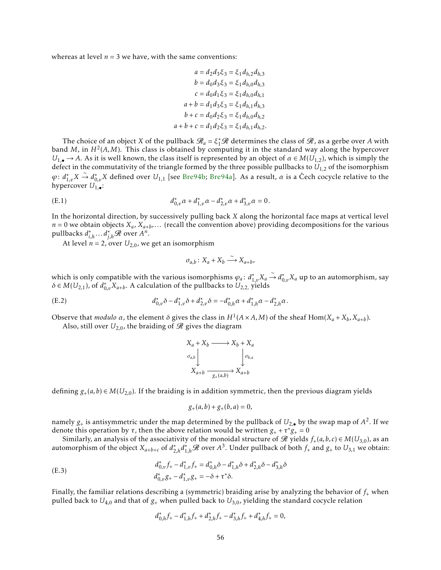<span id="page-55-3"></span>whereas at level  $n = 3$  we have, with the same conventions:

$$
a = d_2 d_3 \xi_3 = \xi_1 d_{h,2} d_{h,3}
$$
  
\n
$$
b = d_0 d_3 \xi_3 = \xi_1 d_{h,0} d_{h,3}
$$
  
\n
$$
c = d_0 d_1 \xi_3 = \xi_1 d_{h,0} d_{h,1}
$$
  
\n
$$
a + b = d_1 d_3 \xi_3 = \xi_1 d_{h,1} d_{h,3}
$$
  
\n
$$
b + c = d_0 d_2 \xi_3 = \xi_1 d_{h,0} d_{h,2}
$$
  
\n
$$
a + b + c = d_1 d_2 \xi_3 = \xi_1 d_{h,1} d_{h,2}.
$$

The choice of an object *X* of the pullback  $\mathcal{R}_a = \xi_1^* \mathcal{R}$  determines the class of  $\mathcal{R}$ , as a gerbe over *A* with band *M*, in  $H^2(A,M)$ . This class is obtained by computing it in the standard way along the hypercover  $U_{1,\bullet} \to A$ . As it is well known, the class itself is represented by an object of  $\alpha \in M(U_{1,2})$ , which is simply the defect in the commutativity of the triangle formed by the three possible pullbacks to  $U_{1,2}$  of the isomorphism  $\varphi: d_{1,v}^* X \stackrel{\sim}{\to} d_{0,v}^* X$  defined over  $U_{1,1}$  [see [Bre94b;](#page-58-17) [Bre94a\]](#page-58-7). As a result, *α* is a Čech cocycle relative to the hypercover *U*1*,*• :

(E.1) 
$$
d_{0,v}^* \alpha + d_{1,v}^* \alpha - d_{2,v}^* \alpha + d_{3,v}^* \alpha = 0.
$$

In the horizontal direction, by successively pulling back *X* along the horizontal face maps at vertical level  $n = 0$  we obtain objects  $X_a, X_{a+b}, \ldots$  (recall the convention above) providing decompositions for the various pullbacks  $d_{i,h}^*...d_{j,h}^*\mathscr{R}$  over  $A^n$ .

At level  $n = 2$ , over  $U_{2,0}$ , we get an isomorphism

<span id="page-55-1"></span><span id="page-55-0"></span>
$$
\sigma_{a,b}: X_a + X_b \xrightarrow{\sim} X_{a+b},
$$

which is only compatible with the various isomorphisms  $\varphi_a\colon d^*_{1,v}X_a\stackrel{\sim}{\to} d^*_{0,v}X_a$  up to an automorphism, say  $\delta \in M(U_{2,1})$ , of  $d_{0,v}^* X_{a+b}$ . A calculation of the pullbacks to  $U_{2,2}$ , yields

(E.2) 
$$
d_{0,v}^* \delta - d_{1,v}^* \delta + d_{2,v}^* \delta = -d_{0,h}^* \alpha + d_{1,h}^* \alpha - d_{2,h}^* \alpha.
$$

Observe that *modulo α*, the element *δ* gives the class in  $H^1(A \times A, M)$  of the sheaf Hom( $X_a + X_b, X_{a+b}$ ).

Also, still over  $U_{2,0}$ , the braiding of  $\mathscr R$  gives the diagram

$$
X_a + X_b \longrightarrow X_b + X_a
$$
  
\n
$$
\sigma_{a,b} \downarrow \qquad \qquad \downarrow \sigma_{b,a}
$$
  
\n
$$
X_{a+b} \longrightarrow X_{a+b} \longrightarrow X_{a+b}
$$

defining  $g_+(a,b) \in M(U_{2,0})$ . If the braiding is in addition symmetric, then the previous diagram yields

$$
g_{+}(a,b) + g_{+}(b,a) = 0,
$$

namely  $g_+$  is antisymmetric under the map determined by the pullback of  $U_{2,\bullet}$  by the swap map of  $A^2.$  If we denote this operation by  $\tau$ , then the above relation would be written  $g_+ + \tau^* g_+ = 0$ 

Similarly, an analysis of the associativity of the monoidal structure of  $\mathscr R$  yields  $f_+(a,b,c) \in M(U_{3,0})$ , as an automorphism of the object  $X_{a+b+c}$  of  $d_{2,h}^*d_{1,h}^*$   $\mathscr R$  over  $A^3$ . Under pullback of both  $f_+$  and  $g_+$  to  $U_{3,1}$  we obtain:

(E.3) 
$$
d_{0,v}^* f_+ - d_{1,v}^* f_+ = d_{0,h}^* \delta - d_{1,h}^* \delta + d_{2,h}^* \delta - d_{3,h}^* \delta
$$

$$
d_{0,v}^* g_+ - d_{1,v}^* g_+ = -\delta + \tau^* \delta.
$$

Finally, the familiar relations describing a (symmetric) braiding arise by analyzing the behavior of  $f_{+}$  when pulled back to  $U_{4,0}$  and that of  $g_+$  when pulled back to  $U_{3,0}$ , yielding the standard cocycle relation

<span id="page-55-2"></span>
$$
d_{0,h}^* f_+ - d_{1,h}^* f_+ + d_{2,h}^* f_+ - d_{3,h}^* f_+ + d_{4,h}^* f_+ = 0,
$$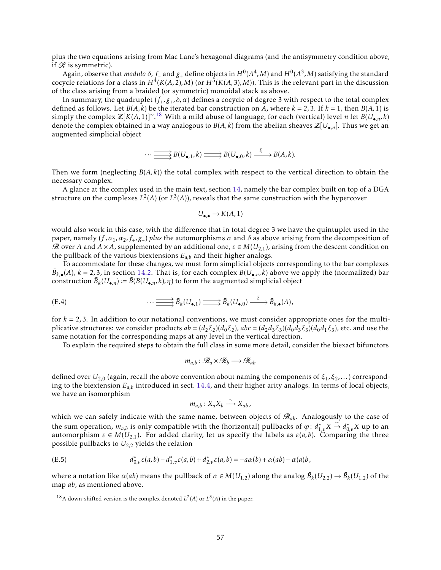plus the two equations arising from Mac Lane's hexagonal diagrams (and the antisymmetry condition above, if  $\mathscr R$  is symmetric).

Again, observe that *modulo*  $\delta$ *,*  $f_+$  and  $g_+$  define objects in  $H^0(A^4,M)$  and  $H^0(A^3,M)$  satisfying the standard cocycle relations for a class in  $H^4(K(A,2),M)$  (or  $H^5(K(A,3),M)$ ). This is the relevant part in the discussion of the class arising from a braided (or symmetric) monoidal stack as above.

In summary, the quadruplet  $(f_+, g_+, \delta, \alpha)$  defines a cocycle of degree 3 with respect to the total complex defined as follows. Let *B*(*A*,*k*) be the iterated bar construction on *A*, where *k* = 2, 3. If *k* = 1, then *B*(*A*, 1) is simply the complex Z[*K*(*A,*1)]∼. [18](#page-56-0) With a mild abuse of language, for each (vertical) level *n* let *B*(*U*•*,n,k*) denote the complex obtained in a way analogous to  $B(A, k)$  from the abelian sheaves  $\mathbb{Z}[U_{\bullet,n}]$ . Thus we get an augmented simplicial object

$$
\cdots \longrightarrow B(U_{\bullet,1},k) \longrightarrow B(U_{\bullet,0},k) \stackrel{\xi}{\longrightarrow} B(A,k).
$$

Then we form (neglecting  $B(A,k)$ ) the total complex with respect to the vertical direction to obtain the necessary complex.

A glance at the complex used in the main text, section [14,](#page-36-1) namely the bar complex built on top of a DGA structure on the complexes  $L^2(A)$  (or  $L^3(A)$ ), reveals that the same construction with the hypercover

$$
U_{\bullet,\bullet}\to K(A,1)
$$

would also work in this case, with the difference that in total degree 3 we have the quintuplet used in the paper, namely  $(f, \alpha_1, \alpha_2, f_+, g_+)$  *plus* the automorphisms  $\alpha$  and  $\delta$  as above arising from the decomposition of  $\mathscr R$  over *A* and  $A \times A$ , supplemented by an additional one,  $\varepsilon \in M(U_{2,1})$ , arising from the descent condition on the pullback of the various biextensions  $E_{a,b}$  and their higher analogs.

To accommodate for these changes, we must form simplicial objects corresponding to the bar complexes  $\bar{B}_{k,\bullet}(A)$ ,  $k = 2,3$ , in section [14.2.](#page-37-2) That is, for each complex  $B(U_{\bullet,n},k)$  above we apply the (normalized) bar construction  $\bar{B}_k(U_{\bullet,n}) \coloneqq \bar{B}(B(U_{\bullet,n},k),\eta)$  to form the augmented simplicial object

(E.4) 
$$
\cdots \longrightarrow \overrightarrow{B_k(U_{\bullet,1})} \longrightarrow \overrightarrow{B_k(U_{\bullet,0})} \longrightarrow \overrightarrow{B_k(\bullet,A)},
$$

for  $k = 2,3$ . In addition to our notational conventions, we must consider appropriate ones for the multiplicative structures: we consider products  $ab = (d_2\xi_2)(d_0\xi_2)$ ,  $abc = (d_2d_3\xi_3)(d_0d_3\xi_3)(d_0d_1\xi_3)$ , etc. and use the same notation for the corresponding maps at any level in the vertical direction.

To explain the required steps to obtain the full class in some more detail, consider the biexact bifunctors

<span id="page-56-2"></span>
$$
m_{a,b} \colon \mathcal{R}_a \times \mathcal{R}_b \longrightarrow \mathcal{R}_{ab}
$$

defined over *U*2*,*<sup>0</sup> (again, recall the above convention about naming the components of *ξ*1*, ξ*2*,...*) corresponding to the biextension *Ea,b* introduced in sect. [14.4,](#page-40-3) and their higher arity analogs. In terms of local objects, we have an isomorphism ∼

$$
m_{a,b}: X_a X_b \xrightarrow{\sim} X_{ab},
$$

which we can safely indicate with the same name, between objects of  $\mathcal{R}_{ab}$ . Analogously to the case of the sum operation,  $m_{a,b}$  is only compatible with the (horizontal) pullbacks of  $\varphi$ :  $d_{1,v}^*X \to d_{0,v}^*X$  up to an automorphism  $\varepsilon \in M(U_{2,1})$ . For added clarity, let us specify the labels as  $\varepsilon(a,b)$ . Comparing the three possible pullbacks to *U*2*,*<sup>2</sup> yields the relation

<span id="page-56-1"></span>(E.5) 
$$
d_{0,v}^* \varepsilon(a,b) - d_{1,v}^* \varepsilon(a,b) + d_{2,v}^* \varepsilon(a,b) = -a\alpha(b) + \alpha(ab) - \alpha(a)b,
$$

where a notation like  $\alpha(ab)$  means the pullback of  $\alpha \in M(U_{1,2})$  along the analog  $\bar{B}_k(U_{2,2}) \to \bar{B}_k(U_{1,2})$  of the map *ab*, as mentioned above.

<span id="page-56-0"></span><sup>&</sup>lt;sup>18</sup>A down-shifted version is the complex denoted  $L^2(A)$  or  $L^3(A)$  in the paper.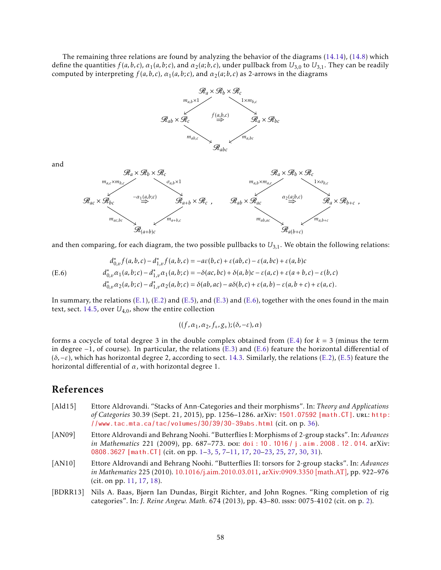The remaining three relations are found by analyzing the behavior of the diagrams [\(14.14\)](#page-43-0), [\(14.8\)](#page-41-1) which define the quantities  $f(a, b, c)$ ,  $\alpha_1(a, b; c)$ , and  $\alpha_2(a; b, c)$ , under pullback from  $U_{3,0}$  to  $U_{3,1}$ . They can be readily computed by interpreting  $f(a, b, c)$ ,  $\alpha_1(a, b, c)$ , and  $\alpha_2(a, b, c)$  as 2-arrows in the diagrams



and



and then comparing, for each diagram, the two possible pullbacks to *U*3*,*1. We obtain the following relations:

<span id="page-57-5"></span>
$$
d_{0,v}^{*}f(a,b,c) - d_{1,v}^{*}f(a,b,c) = -a\varepsilon(b,c) + \varepsilon(ab,c) - \varepsilon(a,bc) + \varepsilon(a,b)c
$$
  
(E.6) 
$$
d_{0,v}^{*}\alpha_{1}(a,b;c) - d_{1,v}^{*}\alpha_{1}(a,b;c) = -\delta(ac,bc) + \delta(a,b)c - \varepsilon(a,c) + \varepsilon(a+b,c) - \varepsilon(b,c)
$$

$$
d_{0,v}^{*}\alpha_{2}(a,b;c) - d_{1,v}^{*}\alpha_{2}(a,b;c) = \delta(ab,ac) - a\delta(b,c) + \varepsilon(a,b) - \varepsilon(a,b+c) + \varepsilon(a,c).
$$

In summary, the relations [\(E.1\)](#page-55-0), [\(E.2\)](#page-55-1) and [\(E.5\)](#page-56-1), and [\(E.3\)](#page-55-2) and [\(E.6\)](#page-57-5), together with the ones found in the main text, sect. [14.5,](#page-41-0) over  $U_{4,0}$ , show the entire collection

$$
((f,\alpha_1,\alpha_2,f_+,g_+);(\delta,-\varepsilon),\alpha)
$$

forms a cocycle of total degree 3 in the double complex obtained from  $(E.4)$  for  $k = 3$  (minus the term in degree −1, of course). In particular, the relations [\(E.3\)](#page-55-2) and [\(E.6\)](#page-57-5) feature the horizontal differential of (*δ,*−*ε*), which has horizontal degree 2, according to sect. [14.3.](#page-37-3) Similarly, the relations [\(E.2\)](#page-55-1), [\(E.5\)](#page-56-1) feature the horizontal differential of *α*, with horizontal degree 1.

## <span id="page-57-2"></span>References

- <span id="page-57-4"></span>[Ald15] Ettore Aldrovandi. "Stacks of Ann-Categories and their morphisms". In: *Theory and Applications of Categories* 30.39 (Sept. 21, 2015), pp. 1256–1286. arXiv: [1501.07592 \[math.CT\]](http://arxiv.org/abs/1501.07592). url: [http:](http://www.tac.mta.ca/tac/volumes/30/39/30-39abs.html) [//www.tac.mta.ca/tac/volumes/30/39/30-39abs.html](http://www.tac.mta.ca/tac/volumes/30/39/30-39abs.html) (cit. on p. [36\)](#page-35-1).
- <span id="page-57-0"></span>[AN09] Ettore Aldrovandi and Behrang Noohi. "Butterflies I: Morphisms of 2-group stacks". In: *Advances in Mathematics* 221 (2009), pp. 687-773. poi: [doi : 10 . 1016 / j . aim . 2008 . 12 . 014](https://doi.org/doi:10.1016/j.aim.2008.12.014). arXiv: [0808.3627 \[math.CT\]](http://arxiv.org/abs/0808.3627) (cit. on pp. [1](#page-0-1)[–3,](#page-2-2) [5,](#page-4-0) [7](#page-6-3)[–11,](#page-10-4) [17,](#page-16-4) [20](#page-19-1)[–23,](#page-22-4) [25,](#page-24-0) [27,](#page-26-3) [30,](#page-29-2) [31\)](#page-30-4).
- <span id="page-57-3"></span>[AN10] Ettore Aldrovandi and Behrang Noohi. "Butterflies II: torsors for 2-group stacks". In: *Advances in Mathematics* 225 (2010). [10.1016/j.aim.2010.03.011,](http://dx.doi.org/10.1016/j.aim.2010.03.011) [arXiv:0909.3350 \[math.AT\],](http://arxiv.org/abs/0909.3350) pp. 922–976 (cit. on pp. [11,](#page-10-4) [17,](#page-16-4) [18\)](#page-17-0).
- <span id="page-57-1"></span>[BDRR13] Nils A. Baas, Bjørn Ian Dundas, Birgit Richter, and John Rognes. "Ring completion of rig categories". In: *J. Reine Angew. Math.* 674 (2013), pp. 43–80. issn: 0075-4102 (cit. on p. [2\)](#page-1-0).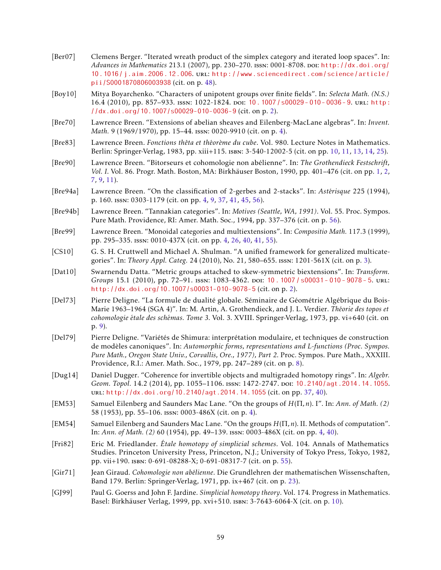- <span id="page-58-15"></span>[Ber07] Clemens Berger. "Iterated wreath product of the simplex category and iterated loop spaces". In: *Advances in Mathematics* 213.1 (2007), pp. 230–270. issn: 0001-8708. doi: [http://dx.doi.org/](https://doi.org/http://dx.doi.org/10.1016/j.aim.2006.12.006) [10.1016/j.aim.2006.12.006](https://doi.org/http://dx.doi.org/10.1016/j.aim.2006.12.006). url: [http://www.sciencedirect.com/science/article/](http://www.sciencedirect.com/science/article/pii/S0001870806003938) [pii/S0001870806003938](http://www.sciencedirect.com/science/article/pii/S0001870806003938) (cit. on p. [48\)](#page-47-7).
- <span id="page-58-1"></span>[Boy10] Mitya Boyarchenko. "Characters of unipotent groups over finite fields". In: *Selecta Math. (N.S.)* 16.4 (2010), pp. 857–933. ISSN: 1022-1824. poi: 10.1007/s00029-010-0036-9. URL: [http:](http://dx.doi.org/10.1007/s00029-010-0036-9) [//dx.doi.org/10.1007/s00029-010-0036-9](http://dx.doi.org/10.1007/s00029-010-0036-9) (cit. on p. [2\)](#page-1-0).
- <span id="page-58-8"></span>[Bre70] Lawrence Breen. "Extensions of abelian sheaves and Eilenberg-MacLane algebras". In: *Invent. Math.* 9 (1969/1970), pp. 15–44. issn: 0020-9910 (cit. on p. [4\)](#page-3-2).
- <span id="page-58-11"></span>[Bre83] Lawrence Breen. *Fonctions thêta et théorème du cube*. Vol. 980. Lecture Notes in Mathematics. Berlin: Springer-Verlag, 1983, pp. xiii+115. isbn: 3-540-12002-5 (cit. on pp. [10,](#page-9-6) [11,](#page-10-4) [13,](#page-12-4) [14,](#page-13-3) [25\)](#page-24-0).
- <span id="page-58-0"></span>[Bre90] Lawrence Breen. "Bitorseurs et cohomologie non abélienne". In: The Grothendieck Festschrift, *Vol. I.* Vol. 86. Progr. Math. Boston, MA: Birkhäuser Boston, 1990, pp. 401–476 (cit. on pp. [1,](#page-0-1) [2,](#page-1-0) [7,](#page-6-3) [9,](#page-8-2) [11\)](#page-10-4).
- <span id="page-58-7"></span>[Bre94a] Lawrence Breen. "On the classification of 2-gerbes and 2-stacks". In: *Astérisque* 225 (1994), p. 160. issn: 0303-1179 (cit. on pp. [4,](#page-3-2) [9,](#page-8-2) [37,](#page-36-2) [41,](#page-40-4) [45,](#page-44-3) [56\)](#page-55-3).
- <span id="page-58-17"></span>[Bre94b] Lawrence Breen. "Tannakian categories". In: *Motives (Seattle, WA, 1991)*. Vol. 55. Proc. Sympos. Pure Math. Providence, RI: Amer. Math. Soc., 1994, pp. 337–376 (cit. on p. [56\)](#page-55-3).
- <span id="page-58-4"></span>[Bre99] Lawrence Breen. "Monoidal categories and multiextensions". In: *Compositio Math.* 117.3 (1999), pp. 295–335. issn: 0010-437X (cit. on pp. [4,](#page-3-2) [26,](#page-25-5) [40,](#page-39-6) [41,](#page-40-4) [55\)](#page-54-2).
- <span id="page-58-3"></span>[CS10] G. S. H. Cruttwell and Michael A. Shulman. "A unified framework for generalized multicategories". In: *Theory Appl. Categ.* 24 (2010), No. 21, 580–655. issn: 1201-561X (cit. on p. [3\)](#page-2-2).
- <span id="page-58-2"></span>[Dat10] Swarnendu Datta. "Metric groups attached to skew-symmetric biextensions". In: *Transform. Groups* 15.1 (2010), pp. 72-91. ISSN: 1083-4362. DOI: 10. 1007 / s00031 - 010 - 9078 - 5. URL: <http://dx.doi.org/10.1007/s00031-010-9078-5> (cit. on p. [2\)](#page-1-0).
- <span id="page-58-10"></span>[Del73] Pierre Deligne. "La formule de dualité globale. Séminaire de Géométrie Algébrique du Bois-Marie 1963–1964 (SGA 4)". In: M. Artin, A. Grothendieck, and J. L. Verdier. *Theorie des topos et ´ cohomologie etale des sch ´ emas. Tome 3 ´* . Vol. 3. XVIII. Springer-Verlag, 1973, pp. vi+640 (cit. on p. [9\)](#page-8-2).
- <span id="page-58-9"></span>[Del79] Pierre Deligne. "Variétés de Shimura: interprétation modulaire, et techniques de construction de modèles canoniques". In: *Automorphic forms, representations and L-functions (Proc. Sympos. Pure Math., Oregon State Univ., Corvallis, Ore., 1977), Part 2*. Proc. Sympos. Pure Math., XXXIII. Providence, R.I.: Amer. Math. Soc., 1979, pp. 247–289 (cit. on p. [8\)](#page-7-2).
- <span id="page-58-14"></span>[Dug14] Daniel Dugger. "Coherence for invertible objects and multigraded homotopy rings". In: *Algebr. Geom. Topol.* 14.2 (2014), pp. 1055–1106. issn: 1472-2747. doi: [10.2140/agt.2014.14.1055](https://doi.org/10.2140/agt.2014.14.1055). url: <http://dx.doi.org/10.2140/agt.2014.14.1055> (cit. on pp. [37,](#page-36-2) [40\)](#page-39-6).
- <span id="page-58-5"></span>[EM53] Samuel Eilenberg and Saunders Mac Lane. "On the groups of *H*(Π*,n*). I". In: *Ann. of Math. (2)* 58 (1953), pp. 55–106. issn: 0003-486X (cit. on p. [4\)](#page-3-2).
- <span id="page-58-6"></span>[EM54] Samuel Eilenberg and Saunders Mac Lane. "On the groups *H*(Π*,n*). II. Methods of computation". In: *Ann. of Math. (2)* 60 (1954), pp. 49–139. issn: 0003-486X (cit. on pp. [4,](#page-3-2) [40\)](#page-39-6).
- <span id="page-58-16"></span>[Fri82] Eric M. Friedlander. *Etale homotopy of simplicial schemes ´* . Vol. 104. Annals of Mathematics Studies. Princeton University Press, Princeton, N.J.; University of Tokyo Press, Tokyo, 1982, pp. vii+190. isbn: 0-691-08288-X; 0-691-08317-7 (cit. on p. [55\)](#page-54-2).
- <span id="page-58-13"></span>[Gir71] Jean Giraud. *Cohomologie non abelienne ´* . Die Grundlehren der mathematischen Wissenschaften, Band 179. Berlin: Springer-Verlag, 1971, pp. ix+467 (cit. on p. [23\)](#page-22-4).
- <span id="page-58-12"></span>[GJ99] Paul G. Goerss and John F. Jardine. *Simplicial homotopy theory*. Vol. 174. Progress in Mathematics. Basel: Birkhäuser Verlag, 1999, pp. xvi+510. ISBN: 3-7643-6064-X (cit. on p. [10\)](#page-9-6).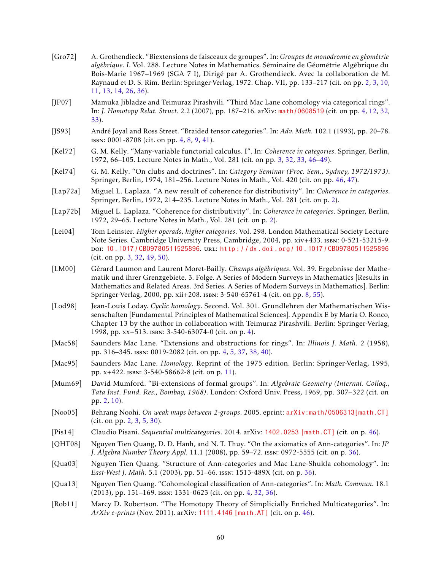- <span id="page-59-1"></span>[Gro72] A. Grothendieck. "Biextensions de faisceaux de groupes". In: *Groupes de monodromie en géométrie algébrique. I. Vol. 288. Lecture Notes in Mathematics. Séminaire de Géométrie Algébrique du* Bois-Marie 1967–1969 (SGA 7 I), Dirige par A. Grothendieck. Avec la collaboration de M. ´ Raynaud et D. S. Rim. Berlin: Springer-Verlag, 1972. Chap. VII, pp. 133–217 (cit. on pp. [2,](#page-1-0) [3,](#page-2-2) [10,](#page-9-6) [11,](#page-10-4) [13,](#page-12-4) [14,](#page-13-3) [26,](#page-25-5) [36\)](#page-35-1).
- <span id="page-59-7"></span>[JP07] Mamuka Jibladze and Teimuraz Pirashvili. "Third Mac Lane cohomology via categorical rings". In: *J. Homotopy Relat. Struct.* 2.2 (2007), pp. 187–216. arXiv: [math/0608519](http://arxiv.org/abs/math/0608519) (cit. on pp. [4,](#page-3-2) [12,](#page-11-4) [32,](#page-31-5) [33\)](#page-32-3).
- <span id="page-59-8"></span>[JS93] André Joyal and Ross Street. "Braided tensor categories". In: Adv. Math. 102.1 (1993), pp. 20–78. issn: 0001-8708 (cit. on pp. [4,](#page-3-2) [8,](#page-7-2) [9,](#page-8-2) [41\)](#page-40-4).
- <span id="page-59-5"></span>[Kel72] G. M. Kelly. "Many-variable functorial calculus. I". In: *Coherence in categories*. Springer, Berlin, 1972, 66–105. Lecture Notes in Math., Vol. 281 (cit. on pp. [3,](#page-2-2) [32,](#page-31-5) [33,](#page-32-3) [46](#page-45-4)[–49\)](#page-48-3).
- <span id="page-59-16"></span>[Kel74] G. M. Kelly. "On clubs and doctrines". In: *Category Seminar (Proc. Sem., Sydney, 1972/1973)*. Springer, Berlin, 1974, 181–256. Lecture Notes in Math., Vol. 420 (cit. on pp. [46,](#page-45-4) [47\)](#page-46-3).
- <span id="page-59-4"></span>[Lap72a] Miguel L. Laplaza. "A new result of coherence for distributivity". In: *Coherence in categories*. Springer, Berlin, 1972, 214–235. Lecture Notes in Math., Vol. 281 (cit. on p. [2\)](#page-1-0).
- <span id="page-59-3"></span>[Lap72b] Miguel L. Laplaza. "Coherence for distributivity". In: *Coherence in categories*. Springer, Berlin, 1972, 29–65. Lecture Notes in Math., Vol. 281 (cit. on p. [2\)](#page-1-0).
- <span id="page-59-6"></span>[Lei04] Tom Leinster. *Higher operads, higher categories*. Vol. 298. London Mathematical Society Lecture Note Series. Cambridge University Press, Cambridge, 2004, pp. xiv+433. isbn: 0-521-53215-9. doi: [10.1017/CBO9780511525896](https://doi.org/10.1017/CBO9780511525896). url: <http://dx.doi.org/10.1017/CBO9780511525896> (cit. on pp. [3,](#page-2-2) [32,](#page-31-5) [49,](#page-48-3) [50\)](#page-49-3).
- <span id="page-59-12"></span>[LM00] Gérard Laumon and Laurent Moret-Bailly. *Champs algébriques*. Vol. 39. Ergebnisse der Mathematik und ihrer Grenzgebiete. 3. Folge. A Series of Modern Surveys in Mathematics [Results in Mathematics and Related Areas. 3rd Series. A Series of Modern Surveys in Mathematics]. Berlin: Springer-Verlag, 2000, pp. xii+208. isbn: 3-540-65761-4 (cit. on pp. [8,](#page-7-2) [55\)](#page-54-2).
- <span id="page-59-10"></span>[Lod98] Jean-Louis Loday. *Cyclic homology*. Second. Vol. 301. Grundlehren der Mathematischen Wissenschaften [Fundamental Principles of Mathematical Sciences]. Appendix E by María O. Ronco, Chapter 13 by the author in collaboration with Teimuraz Pirashvili. Berlin: Springer-Verlag, 1998, pp. xx+513. isbn: 3-540-63074-0 (cit. on p. [4\)](#page-3-2).
- <span id="page-59-11"></span>[Mac58] Saunders Mac Lane. "Extensions and obstructions for rings". In: *Illinois J. Math.* 2 (1958), pp. 316–345. issn: 0019-2082 (cit. on pp. [4,](#page-3-2) [5,](#page-4-0) [37,](#page-36-2) [38,](#page-37-4) [40\)](#page-39-6).
- <span id="page-59-13"></span>[Mac95] Saunders Mac Lane. *Homology*. Reprint of the 1975 edition. Berlin: Springer-Verlag, 1995, pp. x+422. isbn: 3-540-58662-8 (cit. on p. [11\)](#page-10-4).
- <span id="page-59-0"></span>[Mum69] David Mumford. "Bi-extensions of formal groups". In: *Algebraic Geometry (Internat. Colloq., Tata Inst. Fund. Res., Bombay, 1968)*. London: Oxford Univ. Press, 1969, pp. 307–322 (cit. on pp. [2,](#page-1-0) [10\)](#page-9-6).
- <span id="page-59-2"></span>[Noo05] Behrang Noohi. *On weak maps between 2-groups*. 2005. eprint: [arXiv:math/0506313\[math.CT\]](arXiv:math/0506313 [math.CT]) (cit. on pp. [2,](#page-1-0) [3,](#page-2-2) [5,](#page-4-0) [30\)](#page-29-2).
- <span id="page-59-17"></span>[Pis14] Claudio Pisani. *Sequential multicategories*. 2014. arXiv: [1402.0253 \[math.CT\]](http://arxiv.org/abs/1402.0253) (cit. on p. [46\)](#page-45-4).
- <span id="page-59-15"></span>[QHT08] Nguyen Tien Quang, D. D. Hanh, and N. T. Thuy. "On the axiomatics of Ann-categories". In: *JP J. Algebra Number Theory Appl.* 11.1 (2008), pp. 59–72. issn: 0972-5555 (cit. on p. [36\)](#page-35-1).
- <span id="page-59-14"></span>[Qua03] Nguyen Tien Quang. "Structure of Ann-categories and Mac Lane-Shukla cohomology". In: *East-West J. Math.* 5.1 (2003), pp. 51–66. issn: 1513-489X (cit. on p. [36\)](#page-35-1).
- <span id="page-59-9"></span>[Qua13] Nguyen Tien Quang. "Cohomological classification of Ann-categories". In: *Math. Commun.* 18.1 (2013), pp. 151–169. issn: 1331-0623 (cit. on pp. [4,](#page-3-2) [32,](#page-31-5) [36\)](#page-35-1).
- <span id="page-59-18"></span>[Rob11] Marcy D. Robertson. "The Homotopy Theory of Simplicially Enriched Multicategories". In: *ArXiv e-prints* (Nov. 2011). arXiv: [1111.4146 \[math.AT\]](http://arxiv.org/abs/1111.4146) (cit. on p. [46\)](#page-45-4).